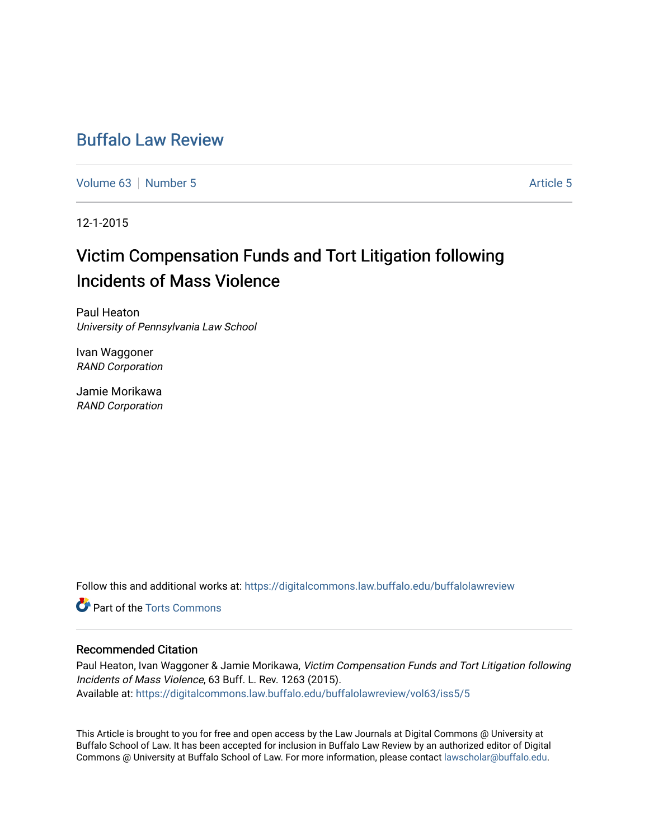# [Buffalo Law Review](https://digitalcommons.law.buffalo.edu/buffalolawreview)

[Volume 63](https://digitalcommons.law.buffalo.edu/buffalolawreview/vol63) [Number 5](https://digitalcommons.law.buffalo.edu/buffalolawreview/vol63/iss5) [Article 5](https://digitalcommons.law.buffalo.edu/buffalolawreview/vol63/iss5/5) Article 5 Article 5

12-1-2015

# Victim Compensation Funds and Tort Litigation following Incidents of Mass Violence

Paul Heaton University of Pennsylvania Law School

Ivan Waggoner RAND Corporation

Jamie Morikawa RAND Corporation

Follow this and additional works at: [https://digitalcommons.law.buffalo.edu/buffalolawreview](https://digitalcommons.law.buffalo.edu/buffalolawreview?utm_source=digitalcommons.law.buffalo.edu%2Fbuffalolawreview%2Fvol63%2Fiss5%2F5&utm_medium=PDF&utm_campaign=PDFCoverPages) 

**C** Part of the [Torts Commons](http://network.bepress.com/hgg/discipline/913?utm_source=digitalcommons.law.buffalo.edu%2Fbuffalolawreview%2Fvol63%2Fiss5%2F5&utm_medium=PDF&utm_campaign=PDFCoverPages)

## Recommended Citation

Paul Heaton, Ivan Waggoner & Jamie Morikawa, Victim Compensation Funds and Tort Litigation following Incidents of Mass Violence, 63 Buff. L. Rev. 1263 (2015). Available at: [https://digitalcommons.law.buffalo.edu/buffalolawreview/vol63/iss5/5](https://digitalcommons.law.buffalo.edu/buffalolawreview/vol63/iss5/5?utm_source=digitalcommons.law.buffalo.edu%2Fbuffalolawreview%2Fvol63%2Fiss5%2F5&utm_medium=PDF&utm_campaign=PDFCoverPages) 

This Article is brought to you for free and open access by the Law Journals at Digital Commons @ University at Buffalo School of Law. It has been accepted for inclusion in Buffalo Law Review by an authorized editor of Digital Commons @ University at Buffalo School of Law. For more information, please contact [lawscholar@buffalo.edu](mailto:lawscholar@buffalo.edu).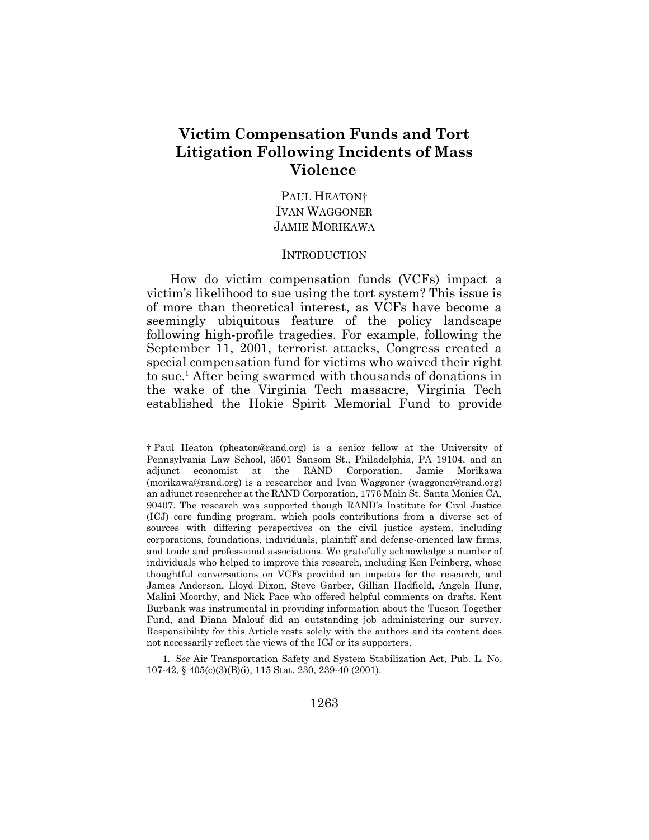# **Victim Compensation Funds and Tort Litigation Following Incidents of Mass Violence**

# PAUL HEATON<sup>†</sup> IVAN WAGGONER JAMIE MORIKAWA

#### INTRODUCTION

How do victim compensation funds (VCFs) impact a victim's likelihood to sue using the tort system? This issue is of more than theoretical interest, as VCFs have become a seemingly ubiquitous feature of the policy landscape following high-profile tragedies. For example, following the September 11, 2001, terrorist attacks, Congress created a special compensation fund for victims who waived their right to sue.<sup>1</sup> After being swarmed with thousands of donations in the wake of the Virginia Tech massacre, Virginia Tech established the Hokie Spirit Memorial Fund to provide

 $\overline{a}$ 

1*. See* Air Transportation Safety and System Stabilization Act, Pub. L. No. 107-42, § 405(c)(3)(B)(i), 115 Stat. 230, 239-40 (2001).

<sup>†</sup> Paul Heaton (pheaton@rand.org) is a senior fellow at the University of Pennsylvania Law School, 3501 Sansom St., Philadelphia, PA 19104, and an adjunct economist at the RAND Corporation, Jamie Morikawa (morikawa@rand.org) is a researcher and Ivan Waggoner (waggoner@rand.org) an adjunct researcher at the RAND Corporation, 1776 Main St. Santa Monica CA, 90407. The research was supported though RAND's Institute for Civil Justice (ICJ) core funding program, which pools contributions from a diverse set of sources with differing perspectives on the civil justice system, including corporations, foundations, individuals, plaintiff and defense-oriented law firms, and trade and professional associations. We gratefully acknowledge a number of individuals who helped to improve this research, including Ken Feinberg, whose thoughtful conversations on VCFs provided an impetus for the research, and James Anderson, Lloyd Dixon, Steve Garber, Gillian Hadfield, Angela Hung, Malini Moorthy, and Nick Pace who offered helpful comments on drafts. Kent Burbank was instrumental in providing information about the Tucson Together Fund, and Diana Malouf did an outstanding job administering our survey. Responsibility for this Article rests solely with the authors and its content does not necessarily reflect the views of the ICJ or its supporters.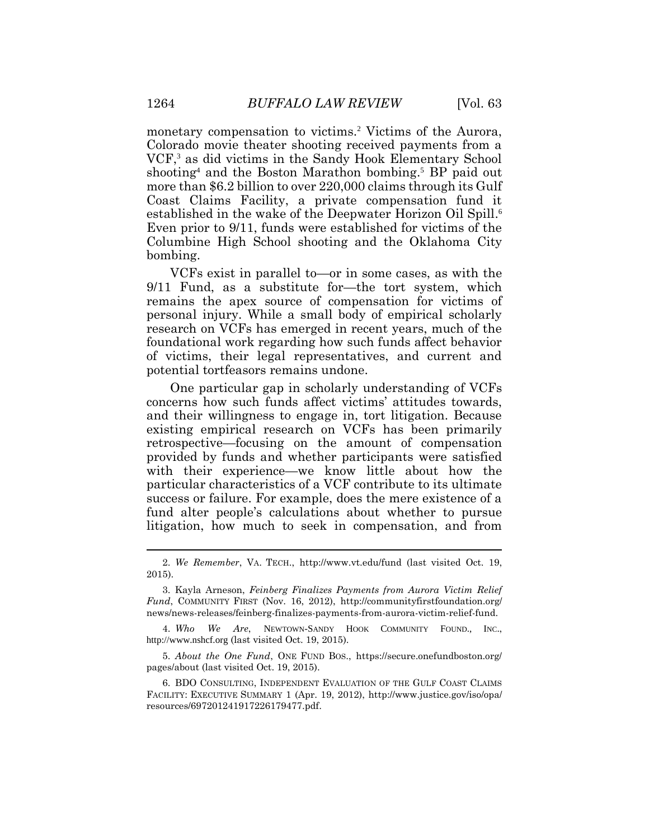monetary compensation to victims.<sup>2</sup> Victims of the Aurora, Colorado movie theater shooting received payments from a VCF, <sup>3</sup> as did victims in the Sandy Hook Elementary School shooting<sup>4</sup> and the Boston Marathon bombing.<sup>5</sup> BP paid out more than \$6.2 billion to over 220,000 claims through its Gulf Coast Claims Facility, a private compensation fund it established in the wake of the Deepwater Horizon Oil Spill.<sup>6</sup> Even prior to 9/11, funds were established for victims of the Columbine High School shooting and the Oklahoma City bombing.

VCFs exist in parallel to—or in some cases, as with the 9/11 Fund, as a substitute for—the tort system, which remains the apex source of compensation for victims of personal injury. While a small body of empirical scholarly research on VCFs has emerged in recent years, much of the foundational work regarding how such funds affect behavior of victims, their legal representatives, and current and potential tortfeasors remains undone.

One particular gap in scholarly understanding of VCFs concerns how such funds affect victims' attitudes towards, and their willingness to engage in, tort litigation. Because existing empirical research on VCFs has been primarily retrospective—focusing on the amount of compensation provided by funds and whether participants were satisfied with their experience—we know little about how the particular characteristics of a VCF contribute to its ultimate success or failure. For example, does the mere existence of a fund alter people's calculations about whether to pursue litigation, how much to seek in compensation, and from

5. *About the One Fund*, ONE FUND BOS., https://secure.onefundboston.org/ pages/about (last visited Oct. 19, 2015).

6. BDO CONSULTING, INDEPENDENT EVALUATION OF THE GULF COAST CLAIMS FACILITY: EXECUTIVE SUMMARY 1 (Apr. 19, 2012), http://www.justice.gov/iso/opa/ resources/697201241917226179477.pdf.

<sup>2.</sup> *We Remember*, VA. TECH., http://www.vt.edu/fund (last visited Oct. 19, 2015).

<sup>3.</sup> Kayla Arneson, *Feinberg Finalizes Payments from Aurora Victim Relief Fund*, COMMUNITY FIRST (Nov. 16, 2012), http://communityfirstfoundation.org/ news/news-releases/feinberg-finalizes-payments-from-aurora-victim-relief-fund.

<sup>4.</sup> *Who We Are*, NEWTOWN-SANDY HOOK COMMUNITY FOUND., INC., http://www.nshcf.org (last visited Oct. 19, 2015).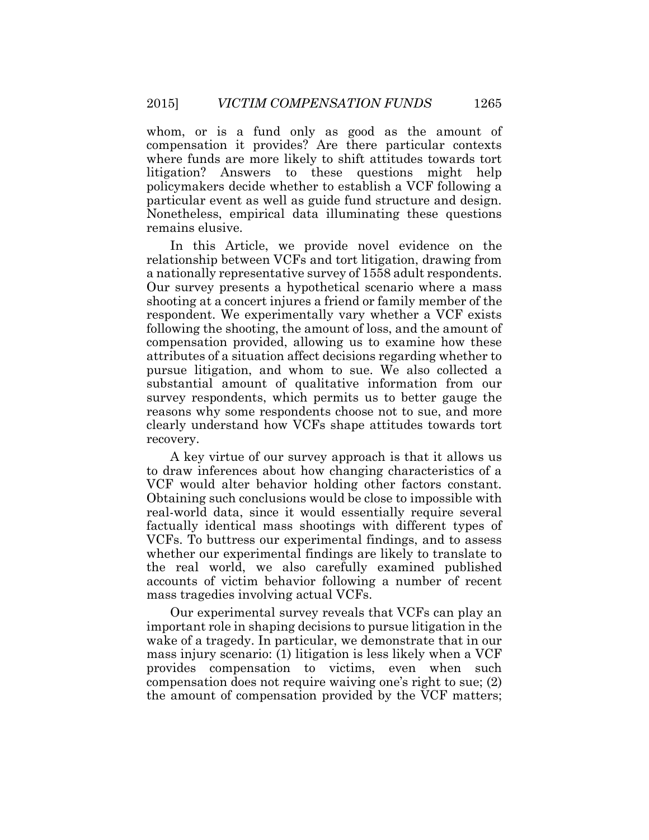whom, or is a fund only as good as the amount of compensation it provides? Are there particular contexts where funds are more likely to shift attitudes towards tort litigation? Answers to these questions might help policymakers decide whether to establish a VCF following a particular event as well as guide fund structure and design. Nonetheless, empirical data illuminating these questions remains elusive.

In this Article, we provide novel evidence on the relationship between VCFs and tort litigation, drawing from a nationally representative survey of 1558 adult respondents. Our survey presents a hypothetical scenario where a mass shooting at a concert injures a friend or family member of the respondent. We experimentally vary whether a VCF exists following the shooting, the amount of loss, and the amount of compensation provided, allowing us to examine how these attributes of a situation affect decisions regarding whether to pursue litigation, and whom to sue. We also collected a substantial amount of qualitative information from our survey respondents, which permits us to better gauge the reasons why some respondents choose not to sue, and more clearly understand how VCFs shape attitudes towards tort recovery.

A key virtue of our survey approach is that it allows us to draw inferences about how changing characteristics of a VCF would alter behavior holding other factors constant. Obtaining such conclusions would be close to impossible with real-world data, since it would essentially require several factually identical mass shootings with different types of VCFs. To buttress our experimental findings, and to assess whether our experimental findings are likely to translate to the real world, we also carefully examined published accounts of victim behavior following a number of recent mass tragedies involving actual VCFs.

Our experimental survey reveals that VCFs can play an important role in shaping decisions to pursue litigation in the wake of a tragedy. In particular, we demonstrate that in our mass injury scenario: (1) litigation is less likely when a VCF provides compensation to victims, even when such compensation does not require waiving one's right to sue; (2) the amount of compensation provided by the VCF matters;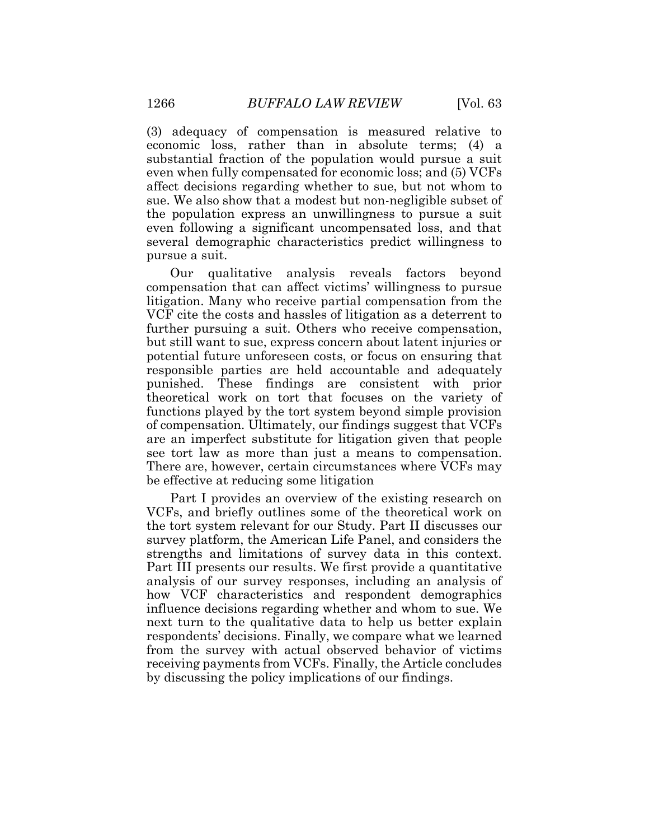(3) adequacy of compensation is measured relative to economic loss, rather than in absolute terms; (4) a substantial fraction of the population would pursue a suit even when fully compensated for economic loss; and (5) VCFs affect decisions regarding whether to sue, but not whom to sue. We also show that a modest but non-negligible subset of the population express an unwillingness to pursue a suit even following a significant uncompensated loss, and that several demographic characteristics predict willingness to pursue a suit.

Our qualitative analysis reveals factors beyond compensation that can affect victims' willingness to pursue litigation. Many who receive partial compensation from the VCF cite the costs and hassles of litigation as a deterrent to further pursuing a suit. Others who receive compensation, but still want to sue, express concern about latent injuries or potential future unforeseen costs, or focus on ensuring that responsible parties are held accountable and adequately punished. These findings are consistent with prior theoretical work on tort that focuses on the variety of functions played by the tort system beyond simple provision of compensation. Ultimately, our findings suggest that VCFs are an imperfect substitute for litigation given that people see tort law as more than just a means to compensation. There are, however, certain circumstances where VCFs may be effective at reducing some litigation

Part I provides an overview of the existing research on VCFs, and briefly outlines some of the theoretical work on the tort system relevant for our Study. Part II discusses our survey platform, the American Life Panel, and considers the strengths and limitations of survey data in this context. Part III presents our results. We first provide a quantitative analysis of our survey responses, including an analysis of how VCF characteristics and respondent demographics influence decisions regarding whether and whom to sue. We next turn to the qualitative data to help us better explain respondents' decisions. Finally, we compare what we learned from the survey with actual observed behavior of victims receiving payments from VCFs. Finally, the Article concludes by discussing the policy implications of our findings.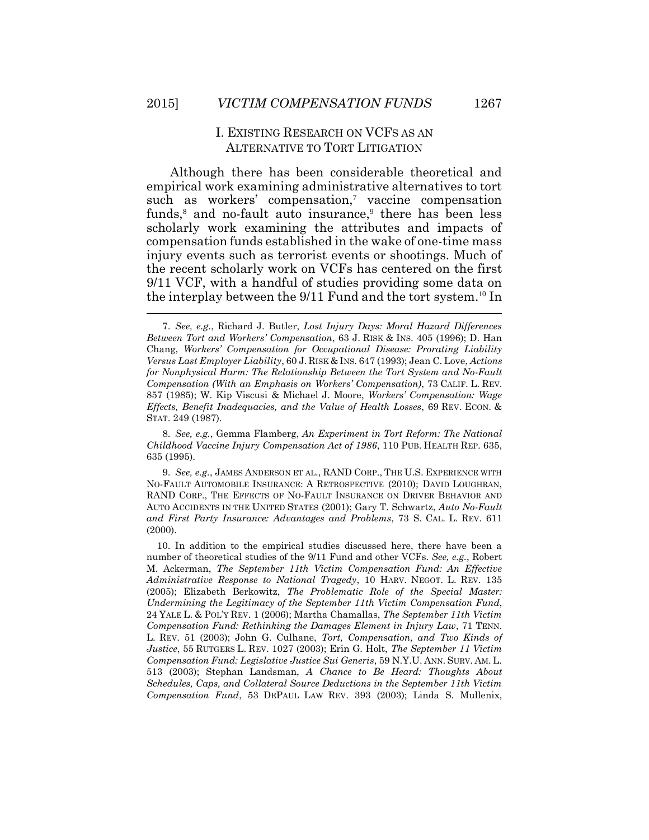# I. EXISTING RESEARCH ON VCFS AS AN ALTERNATIVE TO TORT LITIGATION

Although there has been considerable theoretical and empirical work examining administrative alternatives to tort such as workers' compensation, 7 vaccine compensation funds,<sup>8</sup> and no-fault auto insurance,<sup>9</sup> there has been less scholarly work examining the attributes and impacts of compensation funds established in the wake of one-time mass injury events such as terrorist events or shootings. Much of the recent scholarly work on VCFs has centered on the first 9/11 VCF, with a handful of studies providing some data on the interplay between the 9/11 Fund and the tort system.<sup>10</sup> In  $\overline{\phantom{a}}$ 

8. *See, e.g.*, Gemma Flamberg, *An Experiment in Tort Reform: The National Childhood Vaccine Injury Compensation Act of 1986*, 110 PUB. HEALTH REP. 635, 635 (1995).

9. *See, e.g.*, JAMES ANDERSON ET AL., RAND CORP., THE U.S. EXPERIENCE WITH NO-FAULT AUTOMOBILE INSURANCE: A RETROSPECTIVE (2010); DAVID LOUGHRAN, RAND CORP., THE EFFECTS OF NO-FAULT INSURANCE ON DRIVER BEHAVIOR AND AUTO ACCIDENTS IN THE UNITED STATES (2001); Gary T. Schwartz, *Auto No-Fault and First Party Insurance: Advantages and Problems*, 73 S. CAL. L. REV. 611 (2000).

10. In addition to the empirical studies discussed here, there have been a number of theoretical studies of the 9/11 Fund and other VCFs. *See, e.g.*, Robert M. Ackerman, *The September 11th Victim Compensation Fund: An Effective Administrative Response to National Tragedy*, 10 HARV. NEGOT. L. REV. 135 (2005); Elizabeth Berkowitz, *The Problematic Role of the Special Master: Undermining the Legitimacy of the September 11th Victim Compensation Fund*, 24 YALE L. & POL'Y REV. 1 (2006); Martha Chamallas, *The September 11th Victim Compensation Fund: Rethinking the Damages Element in Injury Law*, 71 TENN. L. REV. 51 (2003); John G. Culhane, *Tort, Compensation, and Two Kinds of Justice*, 55 RUTGERS L. REV. 1027 (2003); Erin G. Holt, *The September 11 Victim Compensation Fund: Legislative Justice Sui Generis*, 59 N.Y.U. ANN. SURV. AM. L. 513 (2003); Stephan Landsman, *A Chance to Be Heard: Thoughts About Schedules, Caps, and Collateral Source Deductions in the September 11th Victim Compensation Fund*, 53 DEPAUL LAW REV. 393 (2003); Linda S. Mullenix,

<sup>7.</sup> *See, e.g.*, Richard J. Butler, *Lost Injury Days: Moral Hazard Differences Between Tort and Workers' Compensation*, 63 J. RISK & INS. 405 (1996); D. Han Chang, *Workers' Compensation for Occupational Disease: Prorating Liability Versus Last Employer Liability*, 60 J. RISK & INS. 647 (1993); Jean C. Love, *Actions for Nonphysical Harm: The Relationship Between the Tort System and No-Fault Compensation (With an Emphasis on Workers' Compensation)*, 73 CALIF. L. REV. 857 (1985); W. Kip Viscusi & Michael J. Moore, *Workers' Compensation: Wage Effects, Benefit Inadequacies, and the Value of Health Losses*, 69 REV. ECON. & STAT. 249 (1987).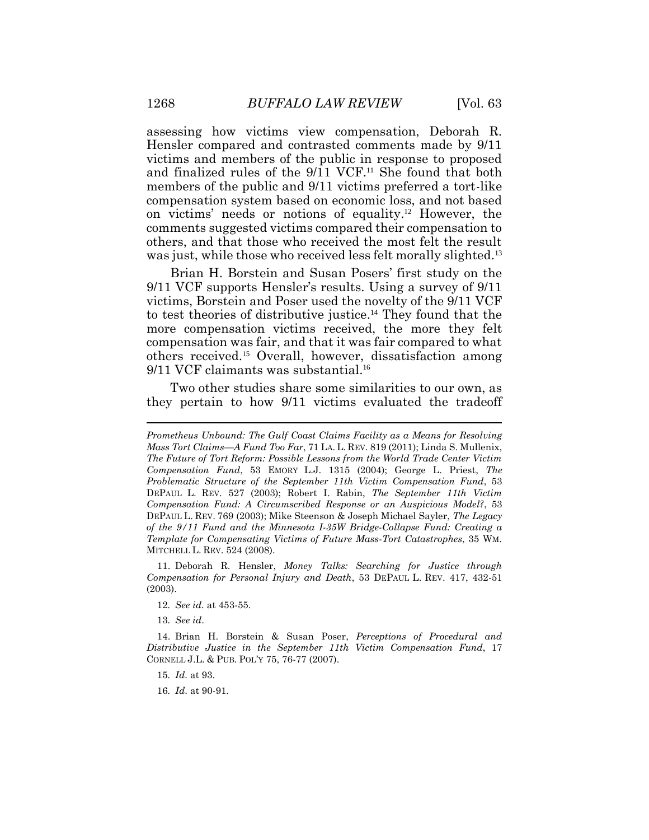assessing how victims view compensation, Deborah R. Hensler compared and contrasted comments made by 9/11 victims and members of the public in response to proposed and finalized rules of the 9/11 VCF. <sup>11</sup> She found that both members of the public and 9/11 victims preferred a tort-like compensation system based on economic loss, and not based on victims' needs or notions of equality. <sup>12</sup> However, the comments suggested victims compared their compensation to others, and that those who received the most felt the result was just, while those who received less felt morally slighted.<sup>13</sup>

Brian H. Borstein and Susan Posers' first study on the 9/11 VCF supports Hensler's results. Using a survey of 9/11 victims, Borstein and Poser used the novelty of the 9/11 VCF to test theories of distributive justice. <sup>14</sup> They found that the more compensation victims received, the more they felt compensation was fair, and that it was fair compared to what others received. <sup>15</sup> Overall, however, dissatisfaction among 9/11 VCF claimants was substantial. 16

Two other studies share some similarities to our own, as they pertain to how 9/11 victims evaluated the tradeoff

11. Deborah R. Hensler, *Money Talks: Searching for Justice through Compensation for Personal Injury and Death*, 53 DEPAUL L. REV. 417, 432-51 (2003).

12*. See id.* at 453-55.

13*. See id*.

14. Brian H. Borstein & Susan Poser, *Perceptions of Procedural and Distributive Justice in the September 11th Victim Compensation Fund*, 17 CORNELL J.L. & PUB. POL'Y 75, 76-77 (2007).

15*. Id*. at 93.

16*. Id*. at 90-91.

*Prometheus Unbound: The Gulf Coast Claims Facility as a Means for Resolving Mass Tort Claims—A Fund Too Far*, 71 LA. L. REV. 819 (2011); Linda S. Mullenix, *The Future of Tort Reform: Possible Lessons from the World Trade Center Victim Compensation Fund*, 53 EMORY L.J. 1315 (2004); George L. Priest, *The Problematic Structure of the September 11th Victim Compensation Fund*, 53 DEPAUL L. REV. 527 (2003); Robert I. Rabin, *The September 11th Victim Compensation Fund: A Circumscribed Response or an Auspicious Model?*, 53 DEPAUL L. REV. 769 (2003); Mike Steenson & Joseph Michael Sayler, *The Legacy of the 9/11 Fund and the Minnesota I-35W Bridge-Collapse Fund: Creating a Template for Compensating Victims of Future Mass-Tort Catastrophes*, 35 WM. MITCHELL L. REV. 524 (2008).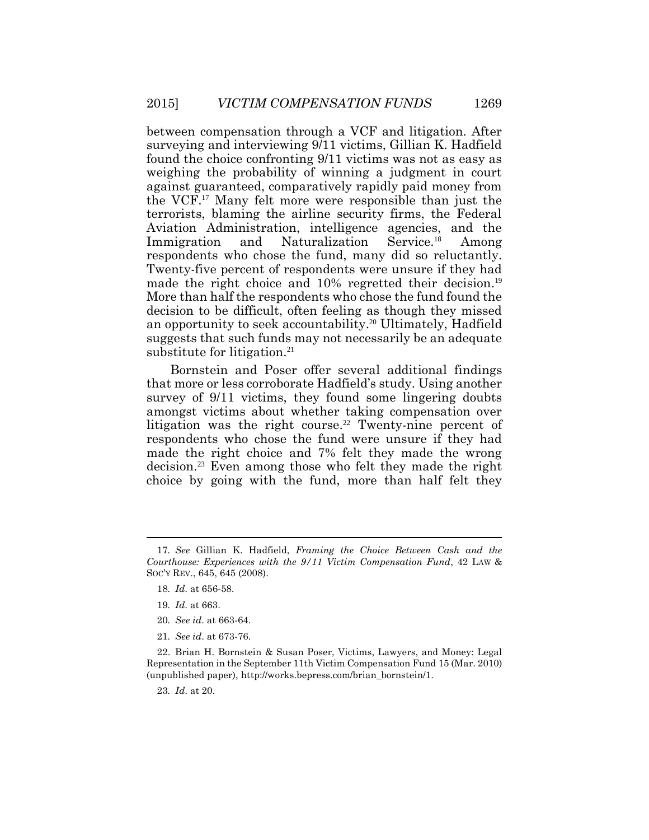between compensation through a VCF and litigation. After surveying and interviewing 9/11 victims, Gillian K. Hadfield found the choice confronting 9/11 victims was not as easy as weighing the probability of winning a judgment in court against guaranteed, comparatively rapidly paid money from the VCF. <sup>17</sup> Many felt more were responsible than just the terrorists, blaming the airline security firms, the Federal Aviation Administration, intelligence agencies, and the Immigration and Naturalization Service.<sup>18</sup> Among respondents who chose the fund, many did so reluctantly. Twenty-five percent of respondents were unsure if they had made the right choice and 10% regretted their decision. 19 More than half the respondents who chose the fund found the decision to be difficult, often feeling as though they missed an opportunity to seek accountability. <sup>20</sup> Ultimately, Hadfield suggests that such funds may not necessarily be an adequate substitute for litigation. 21

Bornstein and Poser offer several additional findings that more or less corroborate Hadfield's study. Using another survey of 9/11 victims, they found some lingering doubts amongst victims about whether taking compensation over litigation was the right course. <sup>22</sup> Twenty-nine percent of respondents who chose the fund were unsure if they had made the right choice and 7% felt they made the wrong decision. <sup>23</sup> Even among those who felt they made the right choice by going with the fund, more than half felt they

- 18*. Id*. at 656-58.
- 19*. Id*. at 663.
- 20*. See id*. at 663-64.
- 21*. See id*. at 673-76.

22. Brian H. Bornstein & Susan Poser, Victims, Lawyers, and Money: Legal Representation in the September 11th Victim Compensation Fund 15 (Mar. 2010) (unpublished paper), http://works.bepress.com/brian\_bornstein/1.

23*. Id*. at 20.

<sup>17</sup>*. See* Gillian K. Hadfield, *Framing the Choice Between Cash and the Courthouse: Experiences with the 9/11 Victim Compensation Fund*, 42 LAW & SOC'Y REV., 645, 645 (2008).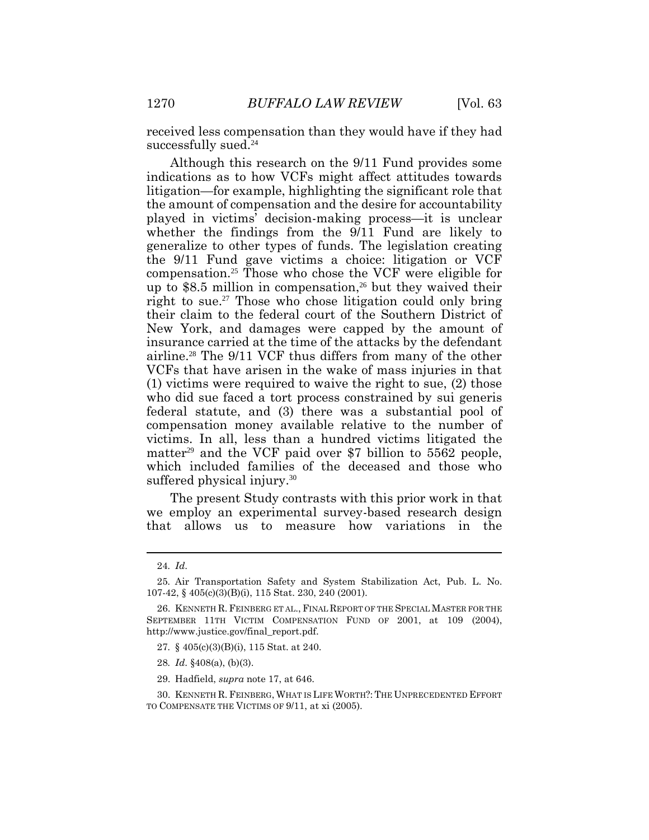received less compensation than they would have if they had successfully sued.<sup>24</sup>

Although this research on the 9/11 Fund provides some indications as to how VCFs might affect attitudes towards litigation—for example, highlighting the significant role that the amount of compensation and the desire for accountability played in victims' decision-making process—it is unclear whether the findings from the 9/11 Fund are likely to generalize to other types of funds. The legislation creating the 9/11 Fund gave victims a choice: litigation or VCF compensation. <sup>25</sup> Those who chose the VCF were eligible for up to \$8.5 million in compensation, <sup>26</sup> but they waived their right to sue. <sup>27</sup> Those who chose litigation could only bring their claim to the federal court of the Southern District of New York, and damages were capped by the amount of insurance carried at the time of the attacks by the defendant airline.<sup>28</sup> The 9/11 VCF thus differs from many of the other VCFs that have arisen in the wake of mass injuries in that (1) victims were required to waive the right to sue, (2) those who did sue faced a tort process constrained by sui generis federal statute, and (3) there was a substantial pool of compensation money available relative to the number of victims. In all, less than a hundred victims litigated the matter<sup>29</sup> and the VCF paid over \$7 billion to  $5562$  people, which included families of the deceased and those who suffered physical injury.<sup>30</sup>

The present Study contrasts with this prior work in that we employ an experimental survey-based research design that allows us to measure how variations in the

- 27*.* § 405(c)(3)(B)(i), 115 Stat. at 240.
- 28*. Id*. §408(a), (b)(3).
- 29. Hadfield, *supra* note 17, at 646.

TO COMPENSATE THE VICTIMS OF 9/11, at xi (2005).

<sup>24</sup>*. Id*.

<sup>25</sup>*.* Air Transportation Safety and System Stabilization Act, Pub. L. No. 107-42, § 405(c)(3)(B)(i), 115 Stat. 230, 240 (2001).

<sup>26.</sup> KENNETH R.FEINBERG ET AL., FINAL REPORT OF THE SPECIAL MASTER FOR THE SEPTEMBER 11TH VICTIM COMPENSATION FUND OF 2001, at 109 (2004), http://www.justice.gov/final\_report.pdf.

<sup>30.</sup> KENNETH R. FEINBERG, WHAT IS LIFE WORTH?: THE UNPRECEDENTED EFFORT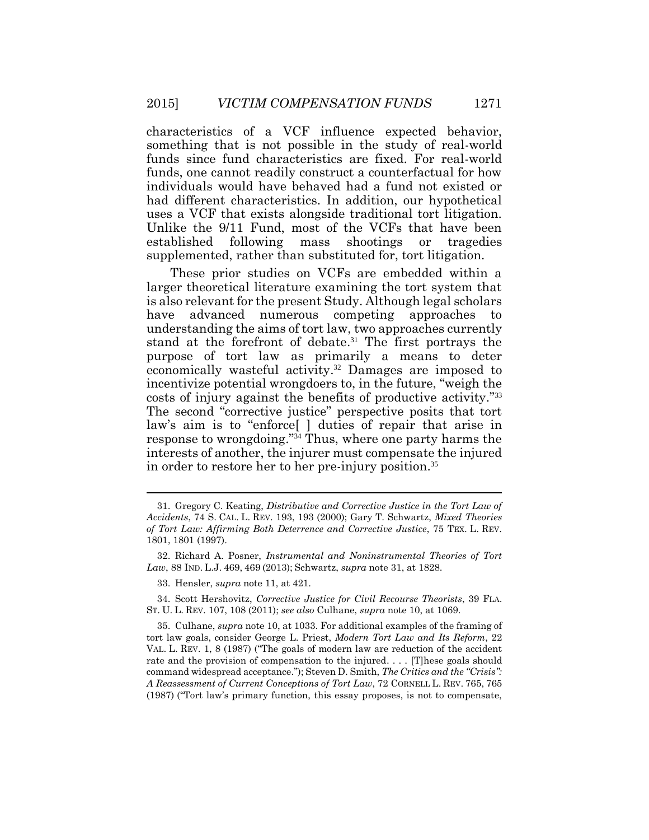characteristics of a VCF influence expected behavior, something that is not possible in the study of real-world funds since fund characteristics are fixed. For real-world funds, one cannot readily construct a counterfactual for how individuals would have behaved had a fund not existed or had different characteristics. In addition, our hypothetical uses a VCF that exists alongside traditional tort litigation. Unlike the 9/11 Fund, most of the VCFs that have been established following mass shootings or tragedies supplemented, rather than substituted for, tort litigation.

These prior studies on VCFs are embedded within a larger theoretical literature examining the tort system that is also relevant for the present Study. Although legal scholars have advanced numerous competing approaches to understanding the aims of tort law, two approaches currently stand at the forefront of debate. <sup>31</sup> The first portrays the purpose of tort law as primarily a means to deter economically wasteful activity. <sup>32</sup> Damages are imposed to incentivize potential wrongdoers to, in the future, "weigh the costs of injury against the benefits of productive activity." 33 The second "corrective justice" perspective posits that tort law's aim is to "enforce[ ] duties of repair that arise in response to wrongdoing." <sup>34</sup> Thus, where one party harms the interests of another, the injurer must compensate the injured in order to restore her to her pre-injury position. 35

<sup>31.</sup> Gregory C. Keating, *Distributive and Corrective Justice in the Tort Law of Accidents*, 74 S. CAL. L. REV. 193, 193 (2000); Gary T. Schwartz, *Mixed Theories of Tort Law: Affirming Both Deterrence and Corrective Justice*, 75 TEX. L. REV. 1801, 1801 (1997).

<sup>32.</sup> Richard A. Posner, *Instrumental and Noninstrumental Theories of Tort Law*, 88 IND. L.J. 469, 469 (2013); Schwartz, *supra* note 31, at 1828.

<sup>33.</sup> Hensler, *supra* note 11, at 421.

<sup>34.</sup> Scott Hershovitz, *Corrective Justice for Civil Recourse Theorists*, 39 FLA. ST. U. L. REV. 107, 108 (2011); *see also* Culhane, *supra* note 10, at 1069.

<sup>35.</sup> Culhane, *supra* note 10, at 1033. For additional examples of the framing of tort law goals, consider George L. Priest, *Modern Tort Law and Its Reform*, 22 VAL. L. REV. 1, 8 (1987) ("The goals of modern law are reduction of the accident rate and the provision of compensation to the injured. . . . [T]hese goals should command widespread acceptance."); Steven D. Smith, *The Critics and the "Crisis": A Reassessment of Current Conceptions of Tort Law*, 72 CORNELL L. REV. 765, 765 (1987) ("Tort law's primary function, this essay proposes, is not to compensate,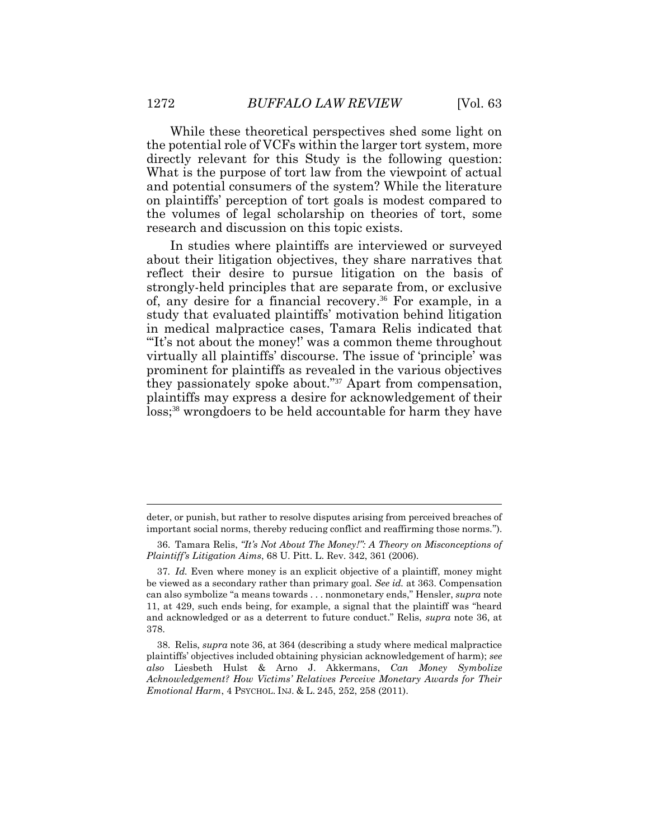While these theoretical perspectives shed some light on the potential role of VCFs within the larger tort system, more directly relevant for this Study is the following question: What is the purpose of tort law from the viewpoint of actual and potential consumers of the system? While the literature on plaintiffs' perception of tort goals is modest compared to the volumes of legal scholarship on theories of tort, some research and discussion on this topic exists.

In studies where plaintiffs are interviewed or surveyed about their litigation objectives, they share narratives that reflect their desire to pursue litigation on the basis of strongly-held principles that are separate from, or exclusive of, any desire for a financial recovery. <sup>36</sup> For example, in a study that evaluated plaintiffs' motivation behind litigation in medical malpractice cases, Tamara Relis indicated that "It's not about the money!' was a common theme throughout virtually all plaintiffs' discourse. The issue of 'principle' was prominent for plaintiffs as revealed in the various objectives they passionately spoke about." <sup>37</sup> Apart from compensation, plaintiffs may express a desire for acknowledgement of their loss; <sup>38</sup> wrongdoers to be held accountable for harm they have

deter, or punish, but rather to resolve disputes arising from perceived breaches of important social norms, thereby reducing conflict and reaffirming those norms.").

<sup>36.</sup> Tamara Relis, *"It's Not About The Money!": A Theory on Misconceptions of Plaintiff's Litigation Aims*, 68 U. Pitt. L. Rev. 342, 361 (2006).

<sup>37</sup>*. Id.* Even where money is an explicit objective of a plaintiff, money might be viewed as a secondary rather than primary goal. *See id.* at 363. Compensation can also symbolize "a means towards . . . nonmonetary ends," Hensler, *supra* note 11, at 429, such ends being, for example, a signal that the plaintiff was "heard and acknowledged or as a deterrent to future conduct." Relis, *supra* note 36, at 378.

<sup>38.</sup> Relis, *supra* note 36, at 364 (describing a study where medical malpractice plaintiffs' objectives included obtaining physician acknowledgement of harm); *see also* Liesbeth Hulst & Arno J. Akkermans, *Can Money Symbolize Acknowledgement? How Victims' Relatives Perceive Monetary Awards for Their Emotional Harm*, 4 PSYCHOL. INJ. & L. 245, 252, 258 (2011).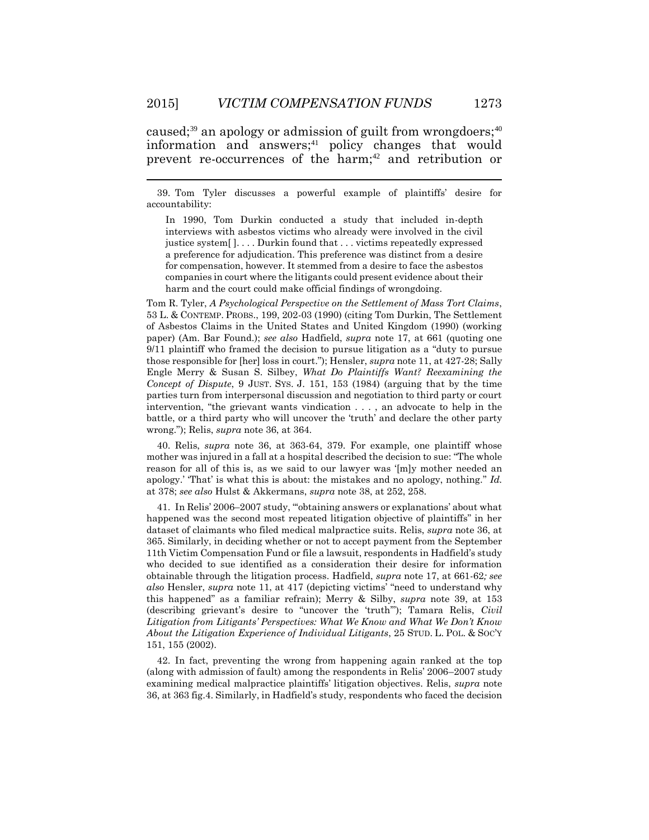caused;<sup>39</sup> an apology or admission of guilt from wrongdoers;<sup>40</sup> information and answers; <sup>41</sup> policy changes that would prevent re-occurrences of the harm; <sup>42</sup> and retribution or

39. Tom Tyler discusses a powerful example of plaintiffs' desire for accountability:

In 1990, Tom Durkin conducted a study that included in-depth interviews with asbestos victims who already were involved in the civil justice system[ ]. . . . Durkin found that . . . victims repeatedly expressed a preference for adjudication. This preference was distinct from a desire for compensation, however. It stemmed from a desire to face the asbestos companies in court where the litigants could present evidence about their harm and the court could make official findings of wrongdoing.

Tom R. Tyler, *A Psychological Perspective on the Settlement of Mass Tort Claims*, 53 L. & CONTEMP. PROBS., 199, 202-03 (1990) (citing Tom Durkin, The Settlement of Asbestos Claims in the United States and United Kingdom (1990) (working paper) (Am. Bar Found.); *see also* Hadfield, *supra* note 17, at 661 (quoting one 9/11 plaintiff who framed the decision to pursue litigation as a "duty to pursue those responsible for [her] loss in court."); Hensler, *supra* note 11, at 427-28; Sally Engle Merry & Susan S. Silbey, *What Do Plaintiffs Want? Reexamining the Concept of Dispute*, 9 JUST. SYS. J. 151, 153 (1984) (arguing that by the time parties turn from interpersonal discussion and negotiation to third party or court intervention, "the grievant wants vindication . . . , an advocate to help in the battle, or a third party who will uncover the 'truth' and declare the other party wrong."); Relis, *supra* note 36, at 364.

40. Relis, *supra* note 36, at 363-64, 379. For example, one plaintiff whose mother was injured in a fall at a hospital described the decision to sue: "The whole reason for all of this is, as we said to our lawyer was '[m]y mother needed an apology.' 'That' is what this is about: the mistakes and no apology, nothing." *Id.*  at 378; *see also* Hulst & Akkermans, *supra* note 38, at 252, 258.

41. In Relis' 2006–2007 study, "'obtaining answers or explanations' about what happened was the second most repeated litigation objective of plaintiffs" in her dataset of claimants who filed medical malpractice suits. Relis, *supra* note 36, at 365. Similarly, in deciding whether or not to accept payment from the September 11th Victim Compensation Fund or file a lawsuit, respondents in Hadfield's study who decided to sue identified as a consideration their desire for information obtainable through the litigation process. Hadfield, *supra* note 17, at 661-62*; see also* Hensler, *supra* note 11, at 417 (depicting victims' "need to understand why this happened" as a familiar refrain); Merry & Silby, *supra* note 39, at 153 (describing grievant's desire to "uncover the 'truth'"); Tamara Relis, *Civil Litigation from Litigants' Perspectives: What We Know and What We Don't Know About the Litigation Experience of Individual Litigants*, 25 STUD. L. POL. & SOC'Y 151, 155 (2002).

42. In fact, preventing the wrong from happening again ranked at the top (along with admission of fault) among the respondents in Relis' 2006–2007 study examining medical malpractice plaintiffs' litigation objectives. Relis, *supra* note 36, at 363 fig.4. Similarly, in Hadfield's study, respondents who faced the decision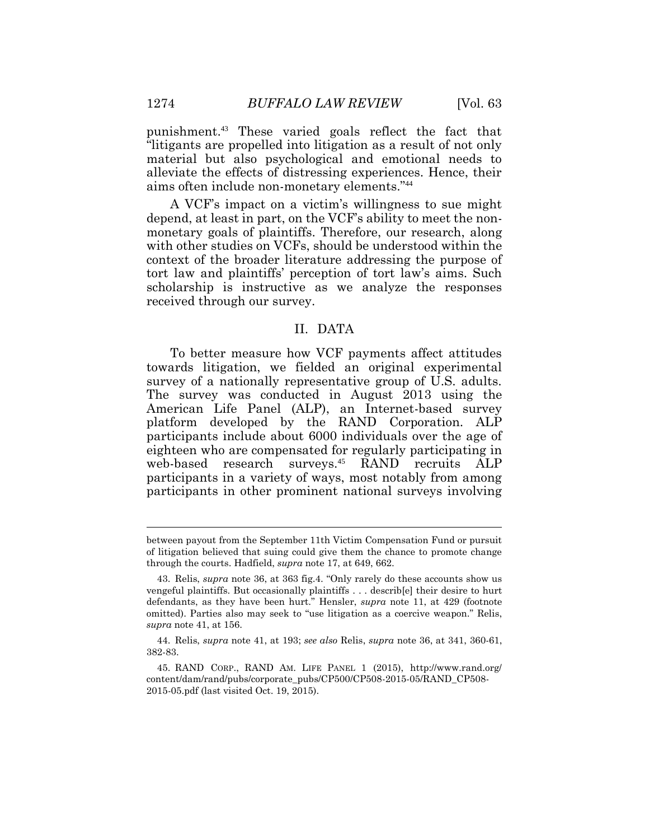punishment.43 These varied goals reflect the fact that "litigants are propelled into litigation as a result of not only material but also psychological and emotional needs to alleviate the effects of distressing experiences. Hence, their aims often include non-monetary elements." 44

A VCF's impact on a victim's willingness to sue might depend, at least in part, on the VCF's ability to meet the nonmonetary goals of plaintiffs. Therefore, our research, along with other studies on VCFs, should be understood within the context of the broader literature addressing the purpose of tort law and plaintiffs' perception of tort law's aims. Such scholarship is instructive as we analyze the responses received through our survey.

#### II. DATA

To better measure how VCF payments affect attitudes towards litigation, we fielded an original experimental survey of a nationally representative group of U.S. adults. The survey was conducted in August 2013 using the American Life Panel (ALP), an Internet-based survey platform developed by the RAND Corporation. ALP participants include about 6000 individuals over the age of eighteen who are compensated for regularly participating in web-based research surveys. <sup>45</sup> RAND recruits ALP participants in a variety of ways, most notably from among participants in other prominent national surveys involving

 $\overline{a}$ 

between payout from the September 11th Victim Compensation Fund or pursuit of litigation believed that suing could give them the chance to promote change through the courts. Hadfield, *supra* note 17, at 649, 662.

<sup>43.</sup> Relis, *supra* note 36, at 363 fig.4. "Only rarely do these accounts show us vengeful plaintiffs. But occasionally plaintiffs . . . describ[e] their desire to hurt defendants, as they have been hurt." Hensler, *supra* note 11, at 429 (footnote omitted). Parties also may seek to "use litigation as a coercive weapon." Relis, *supra* note 41, at 156.

<sup>44.</sup> Relis, *supra* note 41, at 193; *see also* Relis, *supra* note 36, at 341, 360-61, 382-83.

<sup>45.</sup> RAND CORP., RAND AM. LIFE PANEL 1 (2015), http://www.rand.org/ content/dam/rand/pubs/corporate\_pubs/CP500/CP508-2015-05/RAND\_CP508- 2015-05.pdf (last visited Oct. 19, 2015).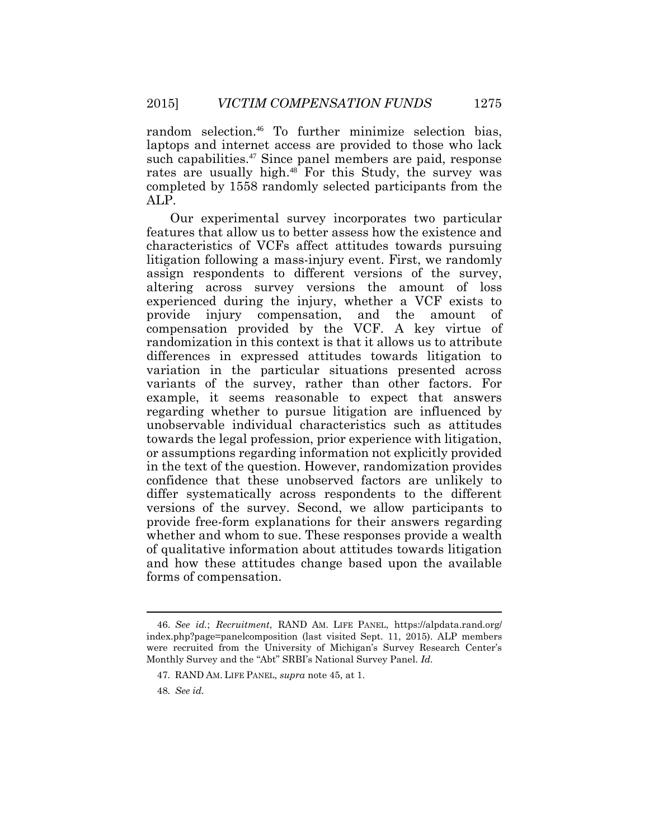random selection. <sup>46</sup> To further minimize selection bias, laptops and internet access are provided to those who lack such capabilities. <sup>47</sup> Since panel members are paid, response rates are usually high. <sup>48</sup> For this Study, the survey was completed by 1558 randomly selected participants from the ALP.

Our experimental survey incorporates two particular features that allow us to better assess how the existence and characteristics of VCFs affect attitudes towards pursuing litigation following a mass-injury event. First, we randomly assign respondents to different versions of the survey, altering across survey versions the amount of loss experienced during the injury, whether a VCF exists to provide injury compensation, and the amount of compensation provided by the VCF. A key virtue of randomization in this context is that it allows us to attribute differences in expressed attitudes towards litigation to variation in the particular situations presented across variants of the survey, rather than other factors. For example, it seems reasonable to expect that answers regarding whether to pursue litigation are influenced by unobservable individual characteristics such as attitudes towards the legal profession, prior experience with litigation, or assumptions regarding information not explicitly provided in the text of the question. However, randomization provides confidence that these unobserved factors are unlikely to differ systematically across respondents to the different versions of the survey. Second, we allow participants to provide free-form explanations for their answers regarding whether and whom to sue. These responses provide a wealth of qualitative information about attitudes towards litigation and how these attitudes change based upon the available forms of compensation.

<sup>46.</sup> *See id.*; *Recruitment*, RAND AM. LIFE PANEL, https://alpdata.rand.org/ index.php?page=panelcomposition (last visited Sept. 11, 2015). ALP members were recruited from the University of Michigan's Survey Research Center's Monthly Survey and the "Abt" SRBI's National Survey Panel. *Id.*

<sup>47</sup>*.* RAND AM. LIFE PANEL, *supra* note 45, at 1.

<sup>48</sup>*. See id.*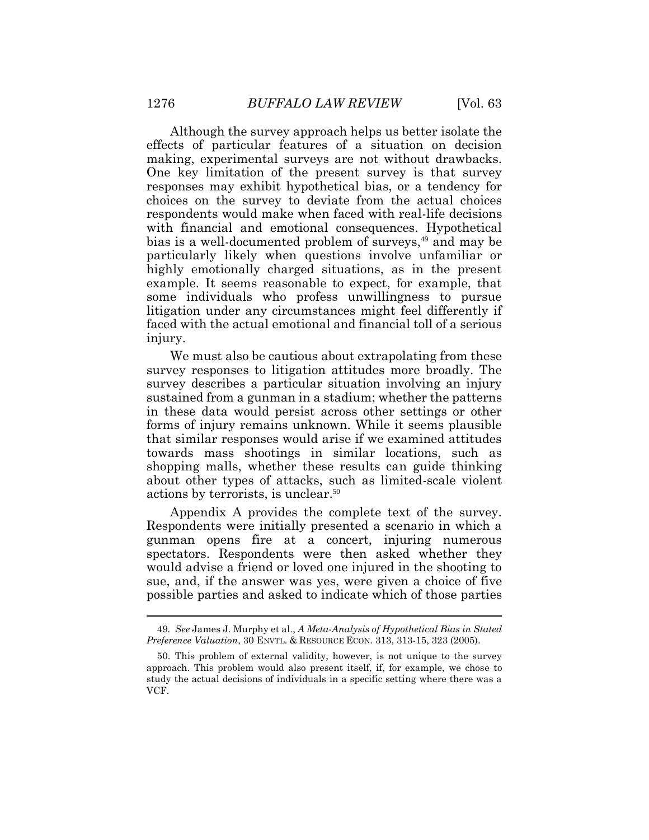Although the survey approach helps us better isolate the effects of particular features of a situation on decision making, experimental surveys are not without drawbacks. One key limitation of the present survey is that survey responses may exhibit hypothetical bias, or a tendency for choices on the survey to deviate from the actual choices respondents would make when faced with real-life decisions with financial and emotional consequences. Hypothetical bias is a well-documented problem of surveys, <sup>49</sup> and may be particularly likely when questions involve unfamiliar or highly emotionally charged situations, as in the present example. It seems reasonable to expect, for example, that some individuals who profess unwillingness to pursue litigation under any circumstances might feel differently if faced with the actual emotional and financial toll of a serious injury.

We must also be cautious about extrapolating from these survey responses to litigation attitudes more broadly. The survey describes a particular situation involving an injury sustained from a gunman in a stadium; whether the patterns in these data would persist across other settings or other forms of injury remains unknown. While it seems plausible that similar responses would arise if we examined attitudes towards mass shootings in similar locations, such as shopping malls, whether these results can guide thinking about other types of attacks, such as limited-scale violent actions by terrorists, is unclear. 50

Appendix A provides the complete text of the survey. Respondents were initially presented a scenario in which a gunman opens fire at a concert, injuring numerous spectators. Respondents were then asked whether they would advise a friend or loved one injured in the shooting to sue, and, if the answer was yes, were given a choice of five possible parties and asked to indicate which of those parties

<sup>49</sup>*. See* James J. Murphy et al., *A Meta-Analysis of Hypothetical Bias in Stated Preference Valuation*, 30 ENVTL. & RESOURCE ECON. 313, 313-15, 323 (2005).

<sup>50.</sup> This problem of external validity, however, is not unique to the survey approach. This problem would also present itself, if, for example, we chose to study the actual decisions of individuals in a specific setting where there was a VCF.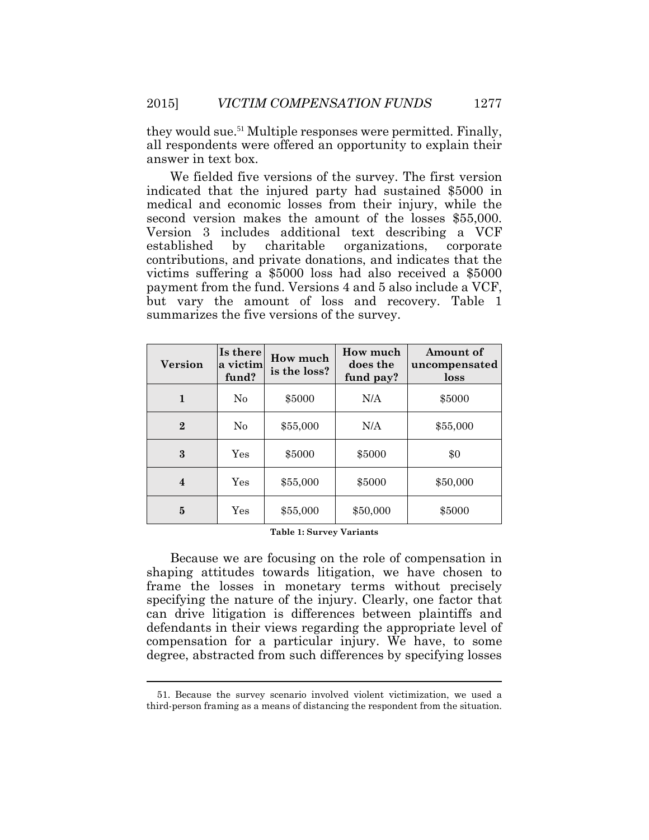they would sue. <sup>51</sup> Multiple responses were permitted. Finally, all respondents were offered an opportunity to explain their answer in text box.

We fielded five versions of the survey. The first version indicated that the injured party had sustained \$5000 in medical and economic losses from their injury, while the second version makes the amount of the losses \$55,000. Version 3 includes additional text describing a VCF established by charitable organizations, corporate contributions, and private donations, and indicates that the victims suffering a \$5000 loss had also received a \$5000 payment from the fund. Versions 4 and 5 also include a VCF, but vary the amount of loss and recovery. Table 1 summarizes the five versions of the survey.

| <b>Version</b> | Is there<br>a victim<br>fund? | How much<br>is the loss? | How much<br>does the<br>fund pay? | Amount of<br>uncompensated<br>loss |
|----------------|-------------------------------|--------------------------|-----------------------------------|------------------------------------|
| 1              | $\rm No$                      | \$5000                   | N/A                               | \$5000                             |
| $\overline{2}$ | $\rm No$                      | \$55,000                 | N/A                               | \$55,000                           |
| 3              | Yes                           | \$5000                   | \$5000                            | \$0                                |
| 4              | Yes                           | \$55,000                 | \$5000                            | \$50,000                           |
| 5              | Yes                           | \$55,000                 | \$50,000                          | \$5000                             |

#### **Table 1: Survey Variants**

Because we are focusing on the role of compensation in shaping attitudes towards litigation, we have chosen to frame the losses in monetary terms without precisely specifying the nature of the injury. Clearly, one factor that can drive litigation is differences between plaintiffs and defendants in their views regarding the appropriate level of compensation for a particular injury. We have, to some degree, abstracted from such differences by specifying losses

<sup>51.</sup> Because the survey scenario involved violent victimization, we used a third-person framing as a means of distancing the respondent from the situation.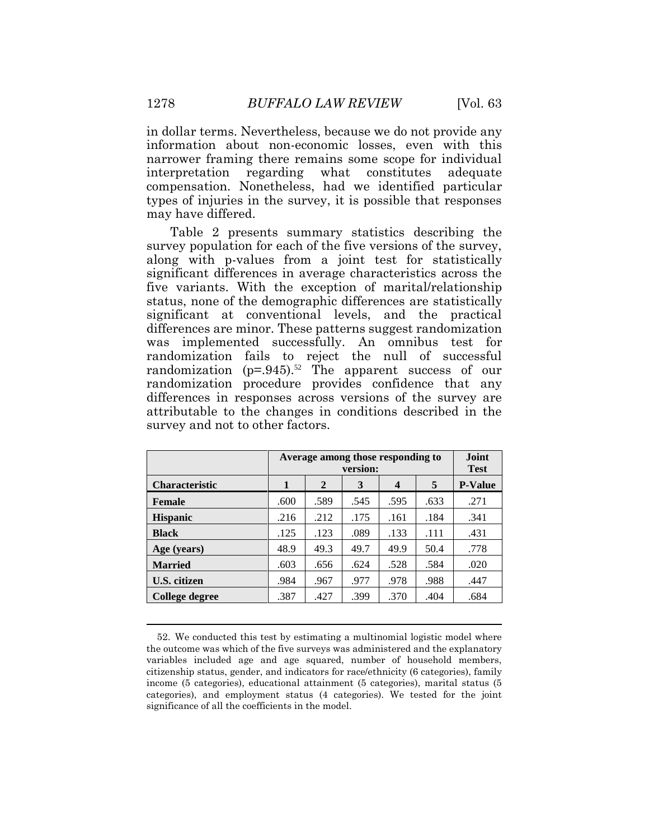in dollar terms. Nevertheless, because we do not provide any information about non-economic losses, even with this narrower framing there remains some scope for individual interpretation regarding what constitutes adequate compensation. Nonetheless, had we identified particular types of injuries in the survey, it is possible that responses may have differed.

Table 2 presents summary statistics describing the survey population for each of the five versions of the survey, along with p-values from a joint test for statistically significant differences in average characteristics across the five variants. With the exception of marital/relationship status, none of the demographic differences are statistically significant at conventional levels, and the practical differences are minor. These patterns suggest randomization was implemented successfully. An omnibus test for randomization fails to reject the null of successful randomization (p=.945). <sup>52</sup> The apparent success of our randomization procedure provides confidence that any differences in responses across versions of the survey are attributable to the changes in conditions described in the survey and not to other factors.

|                       |      | Average among those responding to<br>version: |      |      |      |      |  |  |  |
|-----------------------|------|-----------------------------------------------|------|------|------|------|--|--|--|
| <b>Characteristic</b> | 1    | 5<br>2<br>3<br>$\overline{\mathbf{4}}$        |      |      |      |      |  |  |  |
| <b>Female</b>         | .600 | .589                                          | .545 | .595 | .633 | .271 |  |  |  |
| <b>Hispanic</b>       | .216 | .212                                          | .175 | .161 | .184 | .341 |  |  |  |
| <b>Black</b>          | .125 | .123                                          | .089 | .133 | .111 | .431 |  |  |  |
| Age (years)           | 48.9 | 49.3                                          | 49.7 | 49.9 | 50.4 | .778 |  |  |  |
| <b>Married</b>        | .603 | .656                                          | .624 | .528 | .584 | .020 |  |  |  |
| U.S. citizen          | .984 | .967                                          | .977 | .978 | .988 | .447 |  |  |  |
| College degree        | .387 | .427                                          | .399 | .370 | .404 | .684 |  |  |  |

<sup>52.</sup> We conducted this test by estimating a multinomial logistic model where the outcome was which of the five surveys was administered and the explanatory variables included age and age squared, number of household members, citizenship status, gender, and indicators for race/ethnicity (6 categories), family income (5 categories), educational attainment (5 categories), marital status (5 categories), and employment status (4 categories). We tested for the joint significance of all the coefficients in the model.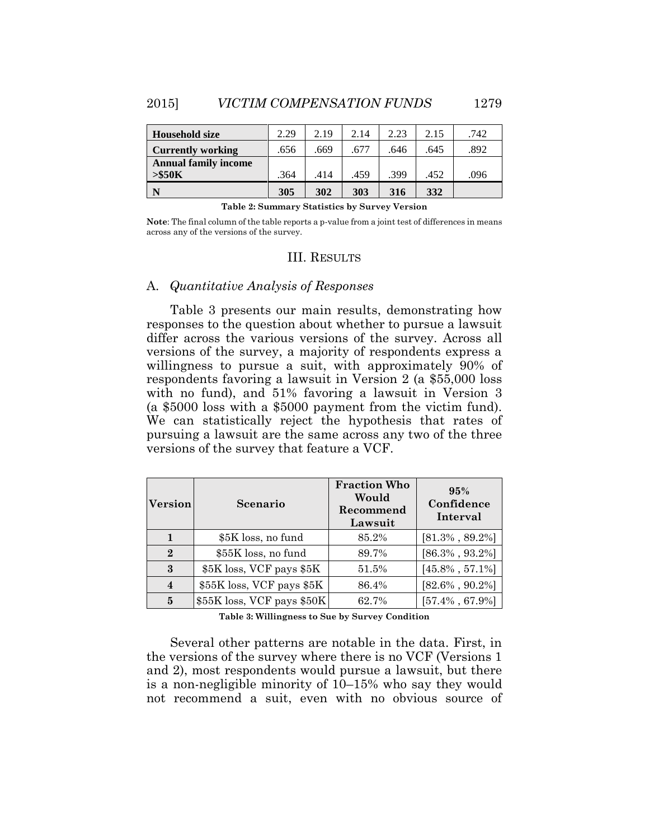| Household size              | 2.29 | 2.19 | 2.14 | 2.23 | 2.15 | .742 |
|-----------------------------|------|------|------|------|------|------|
| <b>Currently working</b>    | .656 | .669 | .677 | .646 | .645 | .892 |
| <b>Annual family income</b> |      |      |      |      |      |      |
| > \$50K                     | .364 | .414 | .459 | .399 | .452 | .096 |
| N                           | 305  | 302  | 303  | 316  | 332  |      |

**Table 2: Summary Statistics by Survey Version**

**Note**: The final column of the table reports a p-value from a joint test of differences in means across any of the versions of the survey.

#### III. RESULTS

## A. *Quantitative Analysis of Responses*

Table 3 presents our main results, demonstrating how responses to the question about whether to pursue a lawsuit differ across the various versions of the survey. Across all versions of the survey, a majority of respondents express a willingness to pursue a suit, with approximately 90% of respondents favoring a lawsuit in Version 2 (a \$55,000 loss with no fund), and 51% favoring a lawsuit in Version 3 (a \$5000 loss with a \$5000 payment from the victim fund). We can statistically reject the hypothesis that rates of pursuing a lawsuit are the same across any two of the three versions of the survey that feature a VCF.

| <b>Version</b> | Scenario                   | <b>Fraction Who</b><br>Would<br>Recommend<br>Lawsuit | 95%<br>Confidence<br>Interval |
|----------------|----------------------------|------------------------------------------------------|-------------------------------|
|                | \$5K loss, no fund         | 85.2%                                                | $[81.3\% , 89.2\%]$           |
| $\Omega$       | \$55K loss, no fund        | 89.7%                                                | $[86.3\% , 93.2\%]$           |
| 3              | \$5K loss, VCF pays \$5K   | 51.5%                                                | $[45.8\% , 57.1\%]$           |
| $\overline{4}$ | \$55K loss, VCF pays \$5K  | 86.4%                                                | $[82.6\% , 90.2\%]$           |
| 5              | \$55K loss, VCF pays \$50K | 62.7%                                                | $[57.4\% , 67.9\%]$           |

**Table 3: Willingness to Sue by Survey Condition**

Several other patterns are notable in the data. First, in the versions of the survey where there is no VCF (Versions 1 and 2), most respondents would pursue a lawsuit, but there is a non-negligible minority of 10–15% who say they would not recommend a suit, even with no obvious source of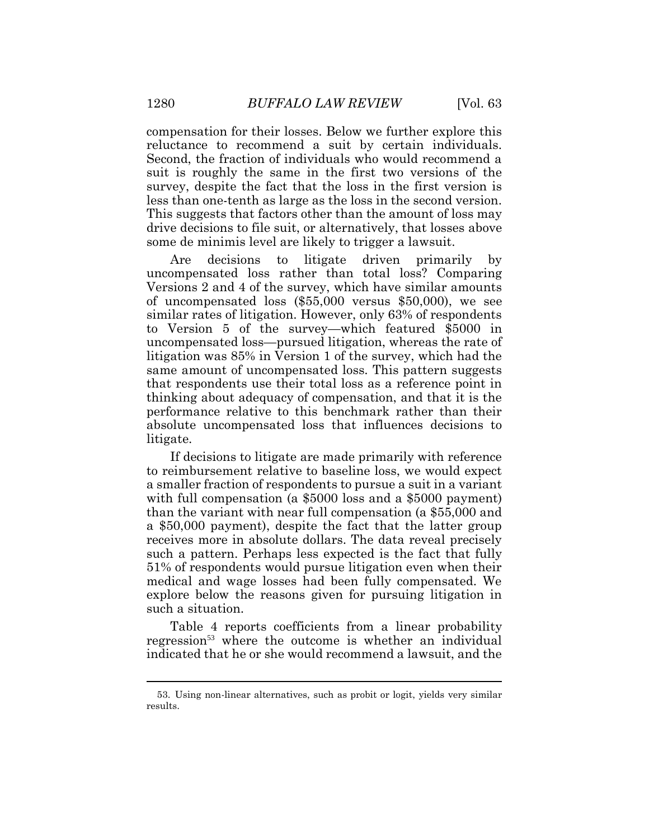compensation for their losses. Below we further explore this reluctance to recommend a suit by certain individuals. Second, the fraction of individuals who would recommend a suit is roughly the same in the first two versions of the survey, despite the fact that the loss in the first version is less than one-tenth as large as the loss in the second version. This suggests that factors other than the amount of loss may drive decisions to file suit, or alternatively, that losses above some de minimis level are likely to trigger a lawsuit.

Are decisions to litigate driven primarily by uncompensated loss rather than total loss? Comparing Versions 2 and 4 of the survey, which have similar amounts of uncompensated loss (\$55,000 versus \$50,000), we see similar rates of litigation. However, only 63% of respondents to Version 5 of the survey—which featured \$5000 in uncompensated loss—pursued litigation, whereas the rate of litigation was 85% in Version 1 of the survey, which had the same amount of uncompensated loss. This pattern suggests that respondents use their total loss as a reference point in thinking about adequacy of compensation, and that it is the performance relative to this benchmark rather than their absolute uncompensated loss that influences decisions to litigate.

If decisions to litigate are made primarily with reference to reimbursement relative to baseline loss, we would expect a smaller fraction of respondents to pursue a suit in a variant with full compensation (a \$5000 loss and a \$5000 payment) than the variant with near full compensation (a \$55,000 and a \$50,000 payment), despite the fact that the latter group receives more in absolute dollars. The data reveal precisely such a pattern. Perhaps less expected is the fact that fully 51% of respondents would pursue litigation even when their medical and wage losses had been fully compensated. We explore below the reasons given for pursuing litigation in such a situation.

Table 4 reports coefficients from a linear probability regression<sup>53</sup> where the outcome is whether an individual indicated that he or she would recommend a lawsuit, and the

<sup>53.</sup> Using non-linear alternatives, such as probit or logit, yields very similar results.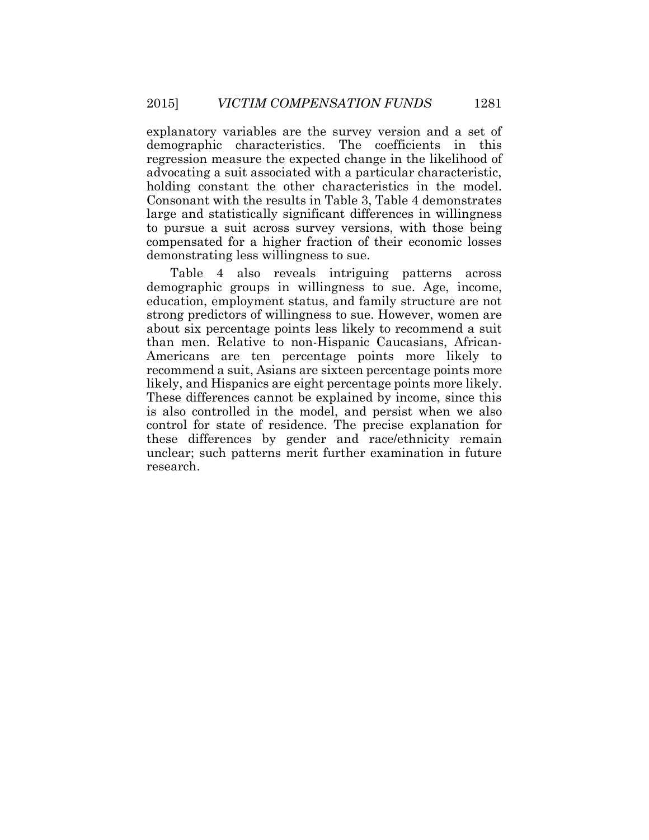explanatory variables are the survey version and a set of demographic characteristics. The coefficients in this regression measure the expected change in the likelihood of advocating a suit associated with a particular characteristic, holding constant the other characteristics in the model. Consonant with the results in Table 3, Table 4 demonstrates large and statistically significant differences in willingness to pursue a suit across survey versions, with those being compensated for a higher fraction of their economic losses demonstrating less willingness to sue.

Table 4 also reveals intriguing patterns across demographic groups in willingness to sue. Age, income, education, employment status, and family structure are not strong predictors of willingness to sue. However, women are about six percentage points less likely to recommend a suit than men. Relative to non-Hispanic Caucasians, African-Americans are ten percentage points more likely to recommend a suit, Asians are sixteen percentage points more likely, and Hispanics are eight percentage points more likely. These differences cannot be explained by income, since this is also controlled in the model, and persist when we also control for state of residence. The precise explanation for these differences by gender and race/ethnicity remain unclear; such patterns merit further examination in future research.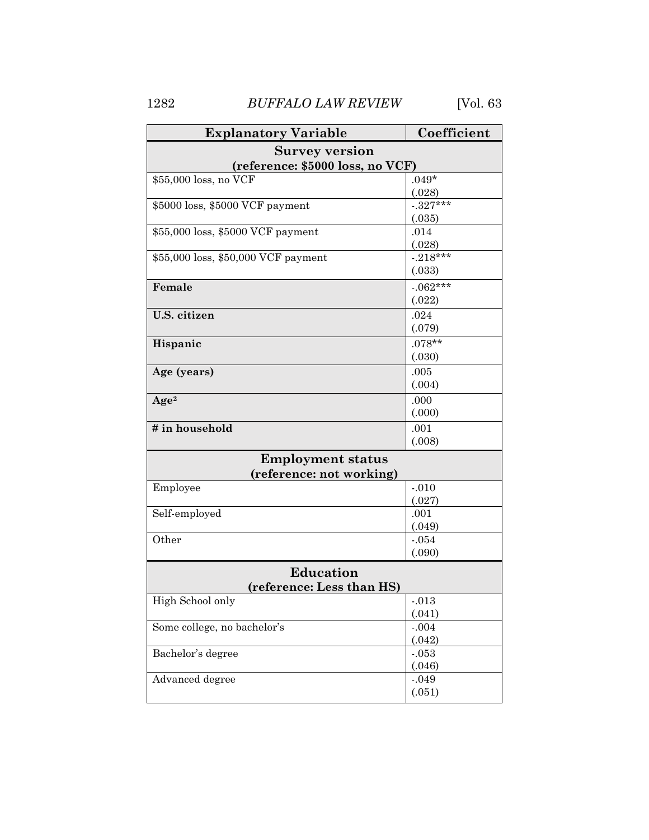1282 *BUFFALO LAW REVIEW* [Vol. 63

| <b>Explanatory Variable</b>         | Coefficient |  |  |  |  |  |
|-------------------------------------|-------------|--|--|--|--|--|
| <b>Survey version</b>               |             |  |  |  |  |  |
| (reference: \$5000 loss, no VCF)    |             |  |  |  |  |  |
| \$55,000 loss, no VCF               | $.049*$     |  |  |  |  |  |
|                                     | (.028)      |  |  |  |  |  |
| \$5000 loss, \$5000 VCF payment     | $-.327***$  |  |  |  |  |  |
|                                     | (.035)      |  |  |  |  |  |
| \$55,000 loss, \$5000 VCF payment   | .014        |  |  |  |  |  |
|                                     | (.028)      |  |  |  |  |  |
| \$55,000 loss, \$50,000 VCF payment | $-218***$   |  |  |  |  |  |
|                                     | (.033)      |  |  |  |  |  |
| Female                              | $-062***$   |  |  |  |  |  |
|                                     | (.022)      |  |  |  |  |  |
| U.S. citizen                        | .024        |  |  |  |  |  |
|                                     | (.079)      |  |  |  |  |  |
| Hispanic                            | $.078**$    |  |  |  |  |  |
|                                     | (.030)      |  |  |  |  |  |
| Age (years)                         | .005        |  |  |  |  |  |
|                                     | (.004)      |  |  |  |  |  |
| Age <sup>2</sup>                    | .000        |  |  |  |  |  |
|                                     | (.000)      |  |  |  |  |  |
| # in household                      | .001        |  |  |  |  |  |
|                                     | (.008)      |  |  |  |  |  |
| <b>Employment status</b>            |             |  |  |  |  |  |
| (reference: not working)            |             |  |  |  |  |  |
| Employee                            | $-.010$     |  |  |  |  |  |
|                                     | (.027)      |  |  |  |  |  |
| Self-employed                       | .001        |  |  |  |  |  |
|                                     | (.049)      |  |  |  |  |  |
| Other                               | $-.054$     |  |  |  |  |  |
|                                     | (.090)      |  |  |  |  |  |
| Education                           |             |  |  |  |  |  |
| (reference: Less than HS)           |             |  |  |  |  |  |
| High School only                    | .013        |  |  |  |  |  |
|                                     | (.041)      |  |  |  |  |  |
| Some college, no bachelor's         | $-.004$     |  |  |  |  |  |
|                                     | (.042)      |  |  |  |  |  |
| Bachelor's degree                   | $-.053$     |  |  |  |  |  |
|                                     | (.046)      |  |  |  |  |  |
| Advanced degree                     | $-.049$     |  |  |  |  |  |
|                                     | (.051)      |  |  |  |  |  |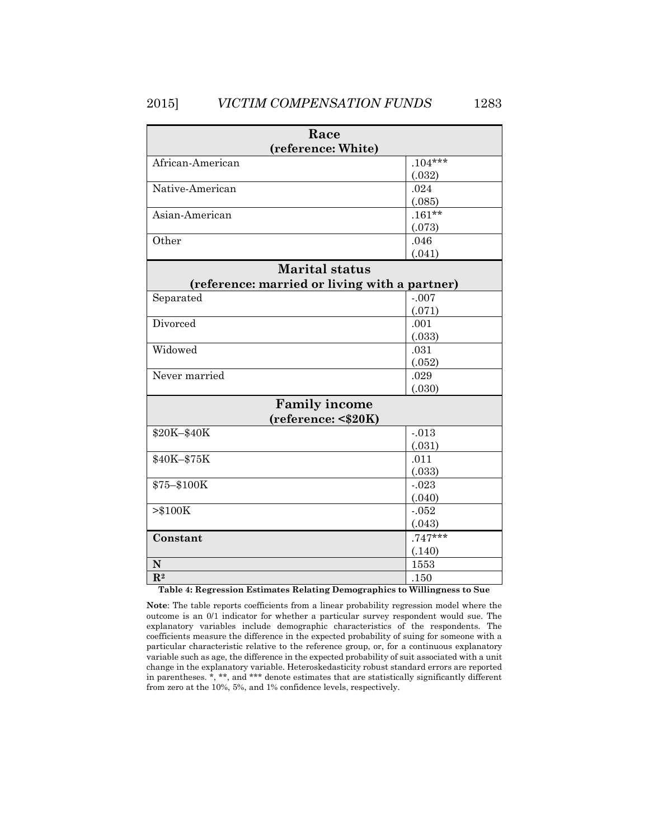| Race                                          |           |  |  |  |  |  |
|-----------------------------------------------|-----------|--|--|--|--|--|
| (reference: White)                            |           |  |  |  |  |  |
| African-American                              | $.104***$ |  |  |  |  |  |
|                                               | (.032)    |  |  |  |  |  |
| Native-American                               | .024      |  |  |  |  |  |
|                                               | (.085)    |  |  |  |  |  |
| Asian-American                                | $.161***$ |  |  |  |  |  |
|                                               | (.073)    |  |  |  |  |  |
| Other                                         | .046      |  |  |  |  |  |
|                                               | (.041)    |  |  |  |  |  |
| <b>Marital status</b>                         |           |  |  |  |  |  |
| (reference: married or living with a partner) |           |  |  |  |  |  |
| Separated                                     | $-.007$   |  |  |  |  |  |
|                                               | (.071)    |  |  |  |  |  |
| Divorced                                      | .001      |  |  |  |  |  |
|                                               | (.033)    |  |  |  |  |  |
| Widowed                                       | .031      |  |  |  |  |  |
|                                               | (.052)    |  |  |  |  |  |
| Never married                                 | .029      |  |  |  |  |  |
|                                               | (.030)    |  |  |  |  |  |
| <b>Family income</b>                          |           |  |  |  |  |  |
| (reference: < \$20K)                          |           |  |  |  |  |  |
| \$20K-\$40K                                   | $-.013$   |  |  |  |  |  |
|                                               | (.031)    |  |  |  |  |  |
| \$40K-\$75K                                   | .011      |  |  |  |  |  |
|                                               | (.033)    |  |  |  |  |  |
| \$75-\$100K                                   | $-.023$   |  |  |  |  |  |
|                                               | (.040)    |  |  |  |  |  |
| > \$100K                                      | $-.052$   |  |  |  |  |  |
|                                               | (.043)    |  |  |  |  |  |
| Constant                                      | $.747***$ |  |  |  |  |  |
|                                               | (.140)    |  |  |  |  |  |
| N                                             | 1553      |  |  |  |  |  |
| $\mathbb{R}^2$                                | .150      |  |  |  |  |  |

**Table 4: Regression Estimates Relating Demographics to Willingness to Sue**

**Note**: The table reports coefficients from a linear probability regression model where the outcome is an 0/1 indicator for whether a particular survey respondent would sue. The explanatory variables include demographic characteristics of the respondents. The coefficients measure the difference in the expected probability of suing for someone with a particular characteristic relative to the reference group, or, for a continuous explanatory variable such as age, the difference in the expected probability of suit associated with a unit change in the explanatory variable. Heteroskedasticity robust standard errors are reported in parentheses. \*, \*\*, and \*\*\* denote estimates that are statistically significantly different from zero at the 10%, 5%, and 1% confidence levels, respectively.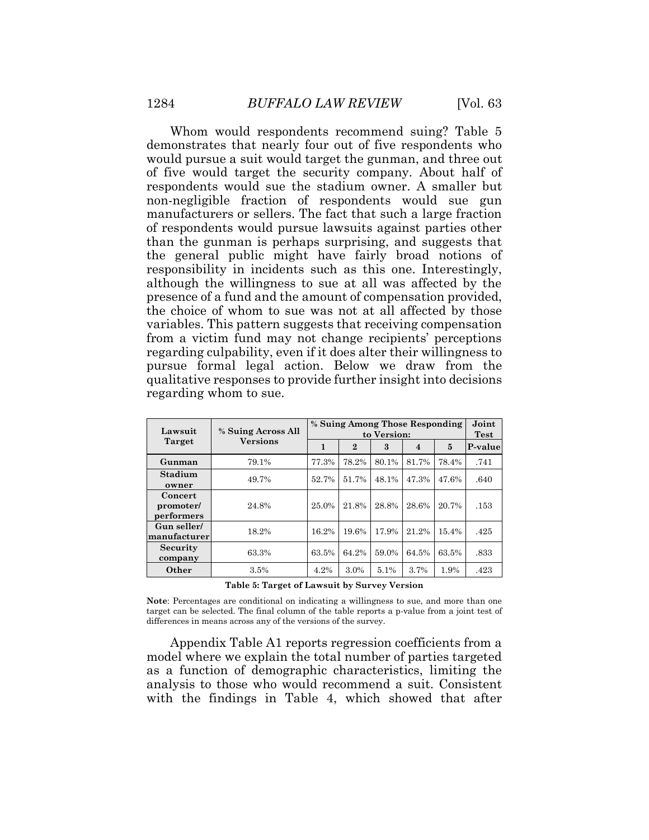Whom would respondents recommend suing? Table 5 demonstrates that nearly four out of five respondents who would pursue a suit would target the gunman, and three out of five would target the security company. About half of respondents would sue the stadium owner. A smaller but non-negligible fraction of respondents would sue gun manufacturers or sellers. The fact that such a large fraction of respondents would pursue lawsuits against parties other than the gunman is perhaps surprising, and suggests that the general public might have fairly broad notions of responsibility in incidents such as this one. Interestingly, although the willingness to sue at all was affected by the presence of a fund and the amount of compensation provided, the choice of whom to sue was not at all affected by those variables. This pattern suggests that receiving compensation from a victim fund may not change recipients' perceptions regarding culpability, even if it does alter their willingness to pursue formal legal action. Below we draw from the qualitative responses to provide further insight into decisions regarding whom to sue.

| Lawsuit                            | % Suing Across All | % Suing Among Those Responding<br>to Version: |                |                  |                | Joint<br><b>Test</b> |         |
|------------------------------------|--------------------|-----------------------------------------------|----------------|------------------|----------------|----------------------|---------|
| <b>Target</b>                      | <b>Versions</b>    | 1                                             | $\overline{2}$ | $\boldsymbol{3}$ | $\overline{4}$ | 5                    | P-value |
| Gunman                             | 79.1%              | 77.3%                                         | 78.2%          | 80.1%            | 81.7%          | 78.4%                | .741    |
| Stadium<br>owner                   | 49.7%              | 52.7%                                         | 51.7%          | 48.1%            | 47.3%          | 47.6%                | .640    |
| Concert<br>promoter/<br>performers | 24.8%              | 25.0%                                         | 21.8%          | 28.8%            | 28.6%          | 20.7%                | .153    |
| Gun seller/<br>manufacturer        | 18.2%              | 16.2%                                         | 19.6%          | 17.9%            | 21.2%          | 15.4%                | .425    |
| <b>Security</b><br>company         | 63.3%              | 63.5%                                         | 64.2%          | 59.0%            | 64.5%          | 63.5%                | .833    |
| Other                              | 3.5%               | 4.2%                                          | 3.0%           | 5.1%             | 3.7%           | 1.9%                 | .423    |

**Note**: Percentages are conditional on indicating a willingness to sue, and more than one target can be selected. The final column of the table reports a p-value from a joint test of differences in means across any of the versions of the survey.

Appendix Table A1 reports regression coefficients from a model where we explain the total number of parties targeted as a function of demographic characteristics, limiting the analysis to those who would recommend a suit. Consistent with the findings in Table 4, which showed that after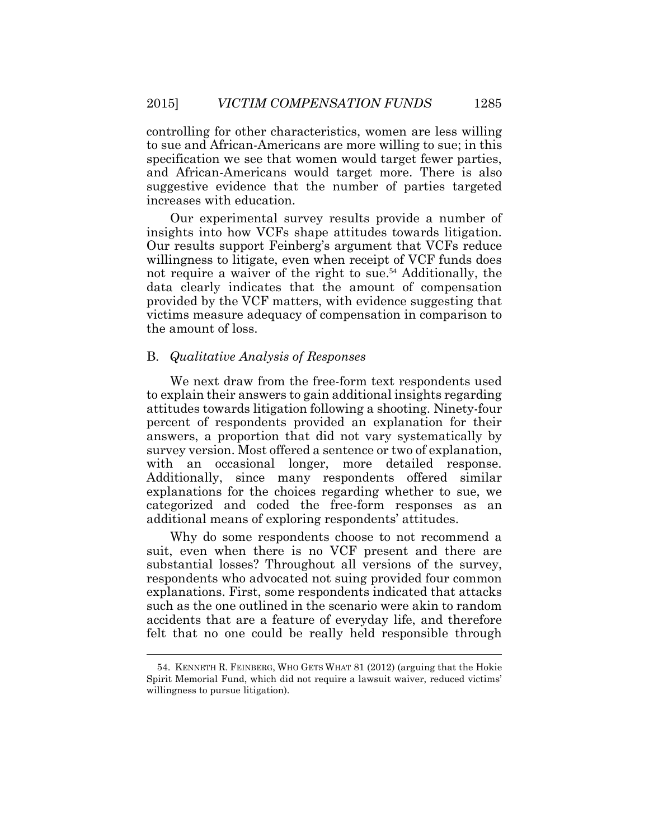controlling for other characteristics, women are less willing to sue and African-Americans are more willing to sue; in this specification we see that women would target fewer parties, and African-Americans would target more. There is also suggestive evidence that the number of parties targeted increases with education.

Our experimental survey results provide a number of insights into how VCFs shape attitudes towards litigation. Our results support Feinberg's argument that VCFs reduce willingness to litigate, even when receipt of VCF funds does not require a waiver of the right to sue.<sup>54</sup> Additionally, the data clearly indicates that the amount of compensation provided by the VCF matters, with evidence suggesting that victims measure adequacy of compensation in comparison to the amount of loss.

## B. *Qualitative Analysis of Responses*

We next draw from the free-form text respondents used to explain their answers to gain additional insights regarding attitudes towards litigation following a shooting. Ninety-four percent of respondents provided an explanation for their answers, a proportion that did not vary systematically by survey version. Most offered a sentence or two of explanation, with an occasional longer, more detailed response. Additionally, since many respondents offered similar explanations for the choices regarding whether to sue, we categorized and coded the free-form responses as an additional means of exploring respondents' attitudes.

Why do some respondents choose to not recommend a suit, even when there is no VCF present and there are substantial losses? Throughout all versions of the survey, respondents who advocated not suing provided four common explanations. First, some respondents indicated that attacks such as the one outlined in the scenario were akin to random accidents that are a feature of everyday life, and therefore felt that no one could be really held responsible through

<sup>54.</sup> KENNETH R. FEINBERG, WHO GETS WHAT 81 (2012) (arguing that the Hokie Spirit Memorial Fund, which did not require a lawsuit waiver, reduced victims' willingness to pursue litigation).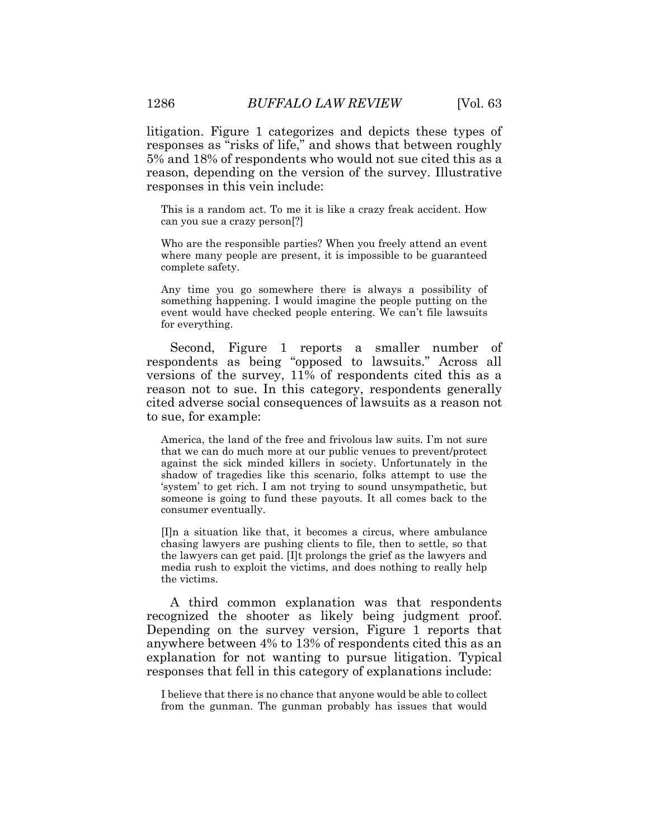litigation. Figure 1 categorizes and depicts these types of responses as "risks of life," and shows that between roughly 5% and 18% of respondents who would not sue cited this as a reason, depending on the version of the survey. Illustrative responses in this vein include:

This is a random act. To me it is like a crazy freak accident. How can you sue a crazy person[?]

Who are the responsible parties? When you freely attend an event where many people are present, it is impossible to be guaranteed complete safety.

Any time you go somewhere there is always a possibility of something happening. I would imagine the people putting on the event would have checked people entering. We can't file lawsuits for everything.

Second, Figure 1 reports a smaller number of respondents as being "opposed to lawsuits." Across all versions of the survey, 11% of respondents cited this as a reason not to sue. In this category, respondents generally cited adverse social consequences of lawsuits as a reason not to sue, for example:

America, the land of the free and frivolous law suits. I'm not sure that we can do much more at our public venues to prevent/protect against the sick minded killers in society. Unfortunately in the shadow of tragedies like this scenario, folks attempt to use the 'system' to get rich. I am not trying to sound unsympathetic, but someone is going to fund these payouts. It all comes back to the consumer eventually.

[I]n a situation like that, it becomes a circus, where ambulance chasing lawyers are pushing clients to file, then to settle, so that the lawyers can get paid. [I]t prolongs the grief as the lawyers and media rush to exploit the victims, and does nothing to really help the victims.

A third common explanation was that respondents recognized the shooter as likely being judgment proof. Depending on the survey version, Figure 1 reports that anywhere between 4% to 13% of respondents cited this as an explanation for not wanting to pursue litigation. Typical responses that fell in this category of explanations include:

I believe that there is no chance that anyone would be able to collect from the gunman. The gunman probably has issues that would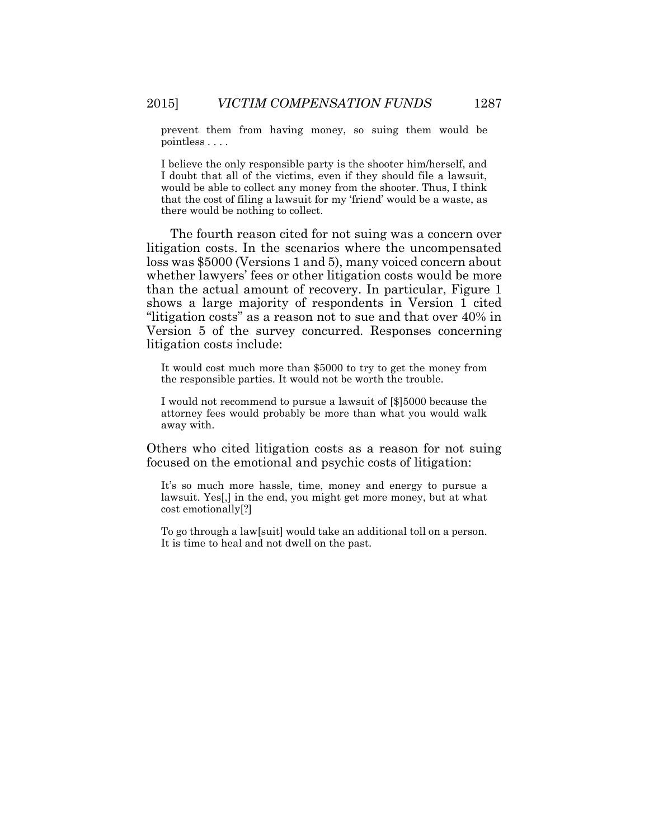prevent them from having money, so suing them would be pointless . . . .

I believe the only responsible party is the shooter him/herself, and I doubt that all of the victims, even if they should file a lawsuit, would be able to collect any money from the shooter. Thus, I think that the cost of filing a lawsuit for my 'friend' would be a waste, as there would be nothing to collect.

The fourth reason cited for not suing was a concern over litigation costs. In the scenarios where the uncompensated loss was \$5000 (Versions 1 and 5), many voiced concern about whether lawyers' fees or other litigation costs would be more than the actual amount of recovery. In particular, Figure 1 shows a large majority of respondents in Version 1 cited "litigation costs" as a reason not to sue and that over 40% in Version 5 of the survey concurred. Responses concerning litigation costs include:

It would cost much more than \$5000 to try to get the money from the responsible parties. It would not be worth the trouble.

I would not recommend to pursue a lawsuit of [\$]5000 because the attorney fees would probably be more than what you would walk away with.

Others who cited litigation costs as a reason for not suing focused on the emotional and psychic costs of litigation:

It's so much more hassle, time, money and energy to pursue a lawsuit. Yes[,] in the end, you might get more money, but at what cost emotionally[?]

To go through a law[suit] would take an additional toll on a person. It is time to heal and not dwell on the past.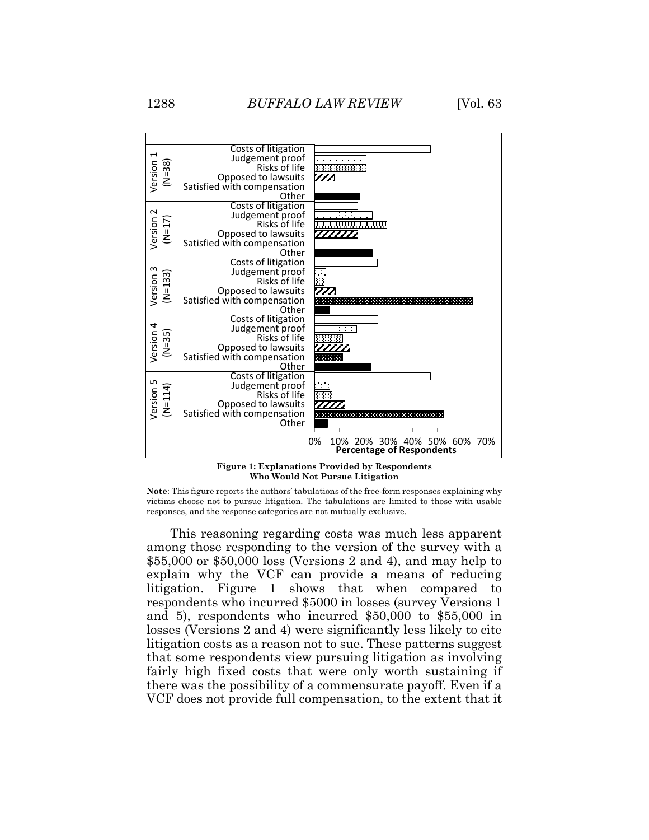



**Note**: This figure reports the authors' tabulations of the free-form responses explaining why victims choose not to pursue litigation. The tabulations are limited to those with usable responses, and the response categories are not mutually exclusive.

This reasoning regarding costs was much less apparent among those responding to the version of the survey with a \$55,000 or \$50,000 loss (Versions 2 and 4), and may help to explain why the VCF can provide a means of reducing litigation. Figure 1 shows that when compared to respondents who incurred \$5000 in losses (survey Versions 1 and 5), respondents who incurred \$50,000 to \$55,000 in losses (Versions 2 and 4) were significantly less likely to cite litigation costs as a reason not to sue. These patterns suggest that some respondents view pursuing litigation as involving fairly high fixed costs that were only worth sustaining if there was the possibility of a commensurate payoff. Even if a VCF does not provide full compensation, to the extent that it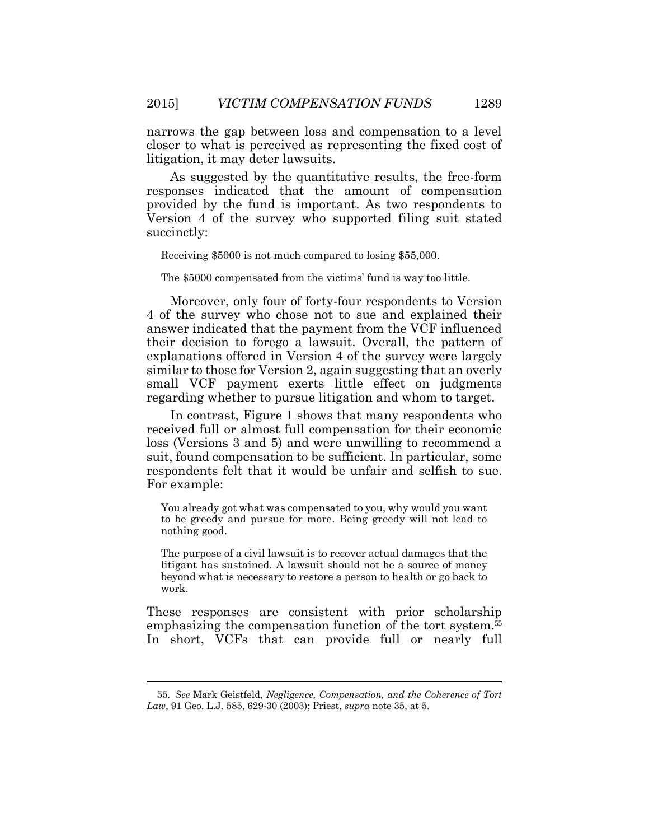narrows the gap between loss and compensation to a level closer to what is perceived as representing the fixed cost of litigation, it may deter lawsuits.

As suggested by the quantitative results, the free-form responses indicated that the amount of compensation provided by the fund is important. As two respondents to Version 4 of the survey who supported filing suit stated succinctly:

Receiving \$5000 is not much compared to losing \$55,000.

The \$5000 compensated from the victims' fund is way too little.

Moreover, only four of forty-four respondents to Version 4 of the survey who chose not to sue and explained their answer indicated that the payment from the VCF influenced their decision to forego a lawsuit. Overall, the pattern of explanations offered in Version 4 of the survey were largely similar to those for Version 2, again suggesting that an overly small VCF payment exerts little effect on judgments regarding whether to pursue litigation and whom to target.

In contrast, Figure 1 shows that many respondents who received full or almost full compensation for their economic loss (Versions 3 and 5) and were unwilling to recommend a suit, found compensation to be sufficient. In particular, some respondents felt that it would be unfair and selfish to sue. For example:

You already got what was compensated to you, why would you want to be greedy and pursue for more. Being greedy will not lead to nothing good.

The purpose of a civil lawsuit is to recover actual damages that the litigant has sustained. A lawsuit should not be a source of money beyond what is necessary to restore a person to health or go back to work.

These responses are consistent with prior scholarship emphasizing the compensation function of the tort system.<sup>55</sup> In short, VCFs that can provide full or nearly full

<sup>55</sup>*. See* Mark Geistfeld, *Negligence, Compensation, and the Coherence of Tort Law*, 91 Geo. L.J. 585, 629-30 (2003); Priest, *supra* note 35, at 5.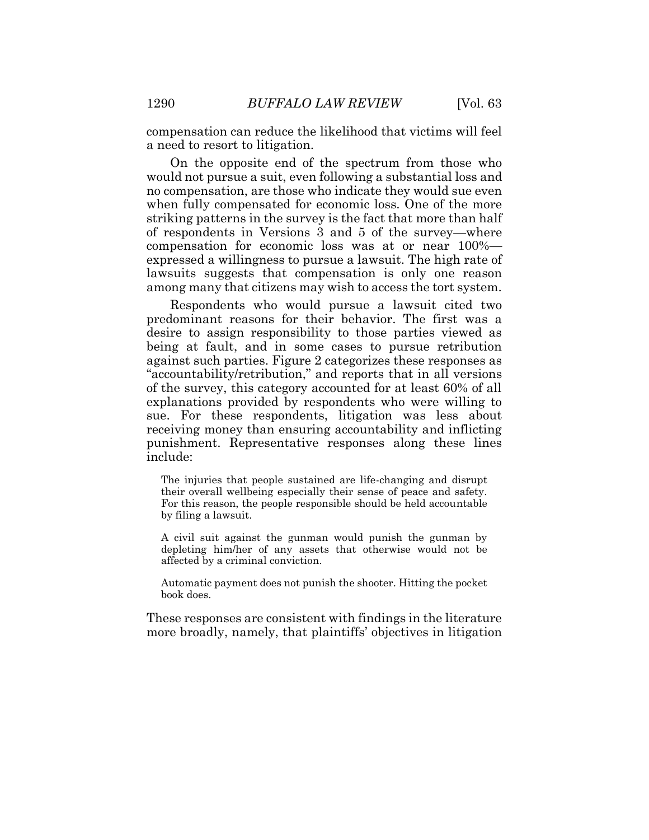compensation can reduce the likelihood that victims will feel a need to resort to litigation.

On the opposite end of the spectrum from those who would not pursue a suit, even following a substantial loss and no compensation, are those who indicate they would sue even when fully compensated for economic loss. One of the more striking patterns in the survey is the fact that more than half of respondents in Versions 3 and 5 of the survey—where compensation for economic loss was at or near 100% expressed a willingness to pursue a lawsuit. The high rate of lawsuits suggests that compensation is only one reason among many that citizens may wish to access the tort system.

Respondents who would pursue a lawsuit cited two predominant reasons for their behavior. The first was a desire to assign responsibility to those parties viewed as being at fault, and in some cases to pursue retribution against such parties. Figure 2 categorizes these responses as "accountability/retribution," and reports that in all versions of the survey, this category accounted for at least 60% of all explanations provided by respondents who were willing to sue. For these respondents, litigation was less about receiving money than ensuring accountability and inflicting punishment. Representative responses along these lines include:

The injuries that people sustained are life-changing and disrupt their overall wellbeing especially their sense of peace and safety. For this reason, the people responsible should be held accountable by filing a lawsuit.

A civil suit against the gunman would punish the gunman by depleting him/her of any assets that otherwise would not be affected by a criminal conviction.

Automatic payment does not punish the shooter. Hitting the pocket book does.

These responses are consistent with findings in the literature more broadly, namely, that plaintiffs' objectives in litigation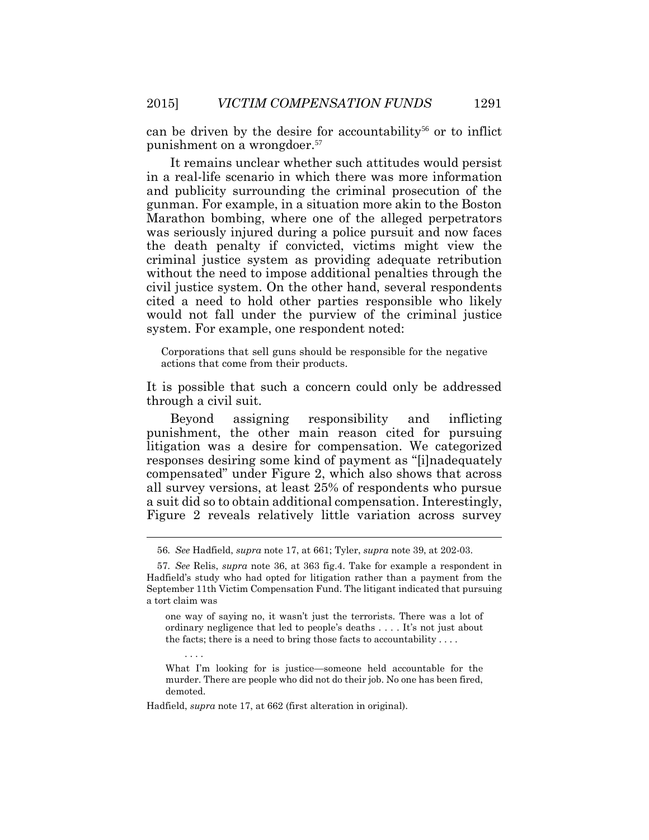can be driven by the desire for accountability<sup>56</sup> or to inflict punishment on a wrongdoer. 57

It remains unclear whether such attitudes would persist in a real-life scenario in which there was more information and publicity surrounding the criminal prosecution of the gunman. For example, in a situation more akin to the Boston Marathon bombing, where one of the alleged perpetrators was seriously injured during a police pursuit and now faces the death penalty if convicted, victims might view the criminal justice system as providing adequate retribution without the need to impose additional penalties through the civil justice system. On the other hand, several respondents cited a need to hold other parties responsible who likely would not fall under the purview of the criminal justice system. For example, one respondent noted:

Corporations that sell guns should be responsible for the negative actions that come from their products.

It is possible that such a concern could only be addressed through a civil suit.

Beyond assigning responsibility and inflicting punishment, the other main reason cited for pursuing litigation was a desire for compensation. We categorized responses desiring some kind of payment as "[i]nadequately compensated" under Figure 2, which also shows that across all survey versions, at least 25% of respondents who pursue a suit did so to obtain additional compensation. Interestingly, Figure 2 reveals relatively little variation across survey

one way of saying no, it wasn't just the terrorists. There was a lot of ordinary negligence that led to people's deaths . . . . It's not just about the facts; there is a need to bring those facts to accountability . . . .

What I'm looking for is justice—someone held accountable for the murder. There are people who did not do their job. No one has been fired, demoted.

Hadfield, *supra* note 17, at 662 (first alteration in original).

. . . .

<sup>56</sup>*. See* Hadfield, *supra* note 17, at 661; Tyler, *supra* note 39, at 202-03.

<sup>57</sup>*. See* Relis, *supra* note 36, at 363 fig.4. Take for example a respondent in Hadfield's study who had opted for litigation rather than a payment from the September 11th Victim Compensation Fund. The litigant indicated that pursuing a tort claim was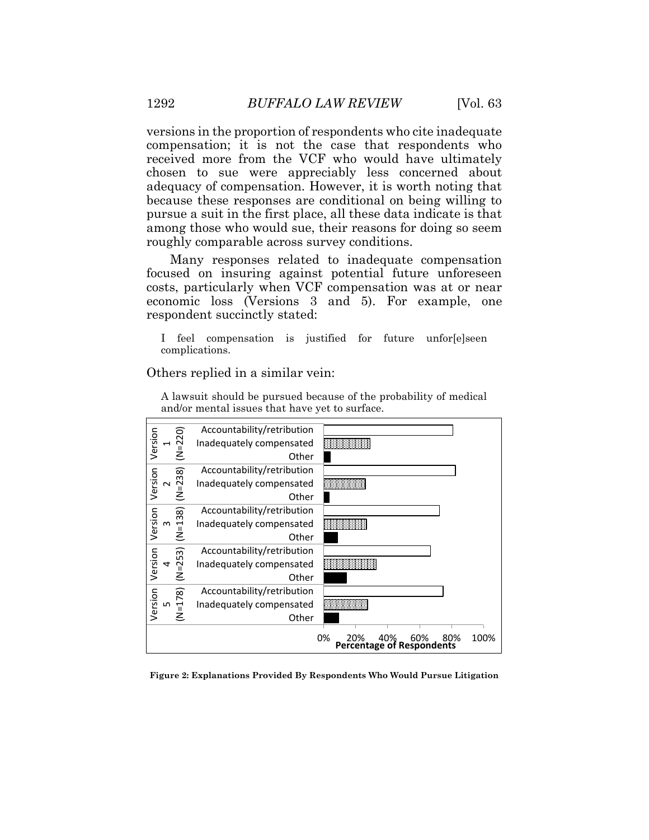versions in the proportion of respondents who cite inadequate compensation; it is not the case that respondents who received more from the VCF who would have ultimately chosen to sue were appreciably less concerned about adequacy of compensation. However, it is worth noting that because these responses are conditional on being willing to pursue a suit in the first place, all these data indicate is that among those who would sue, their reasons for doing so seem roughly comparable across survey conditions.

Many responses related to inadequate compensation focused on insuring against potential future unforeseen costs, particularly when VCF compensation was at or near economic loss (Versions 3 and 5). For example, one respondent succinctly stated:

I feel compensation is justified for future unfor[e]seen complications.

Others replied in a similar vein:



A lawsuit should be pursued because of the probability of medical and/or mental issues that have yet to surface.

**Figure 2: Explanations Provided By Respondents Who Would Pursue Litigation**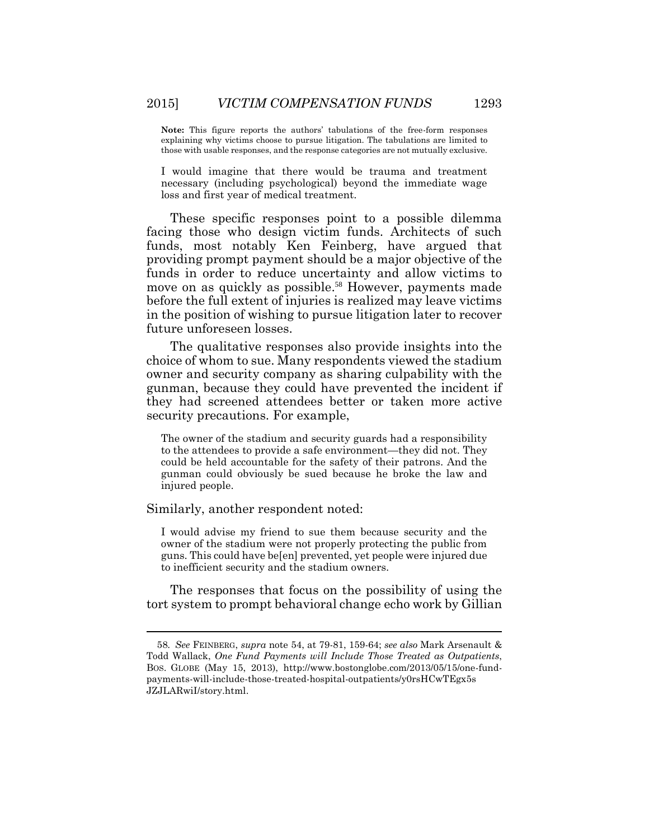**Note:** This figure reports the authors' tabulations of the free-form responses explaining why victims choose to pursue litigation. The tabulations are limited to those with usable responses, and the response categories are not mutually exclusive.

I would imagine that there would be trauma and treatment necessary (including psychological) beyond the immediate wage loss and first year of medical treatment.

These specific responses point to a possible dilemma facing those who design victim funds. Architects of such funds, most notably Ken Feinberg, have argued that providing prompt payment should be a major objective of the funds in order to reduce uncertainty and allow victims to move on as quickly as possible. <sup>58</sup> However, payments made before the full extent of injuries is realized may leave victims in the position of wishing to pursue litigation later to recover future unforeseen losses.

The qualitative responses also provide insights into the choice of whom to sue. Many respondents viewed the stadium owner and security company as sharing culpability with the gunman, because they could have prevented the incident if they had screened attendees better or taken more active security precautions. For example,

The owner of the stadium and security guards had a responsibility to the attendees to provide a safe environment—they did not. They could be held accountable for the safety of their patrons. And the gunman could obviously be sued because he broke the law and injured people.

Similarly, another respondent noted:

I would advise my friend to sue them because security and the owner of the stadium were not properly protecting the public from guns. This could have be[en] prevented, yet people were injured due to inefficient security and the stadium owners.

The responses that focus on the possibility of using the tort system to prompt behavioral change echo work by Gillian

<sup>58</sup>*. See* FEINBERG, *supra* note 54, at 79-81, 159-64; *see also* Mark Arsenault & Todd Wallack, *One Fund Payments will Include Those Treated as Outpatients*, BOS. GLOBE (May 15, 2013), http://www.bostonglobe.com/2013/05/15/one-fundpayments-will-include-those-treated-hospital-outpatients/y0rsHCwTEgx5s JZJLARwiI/story.html.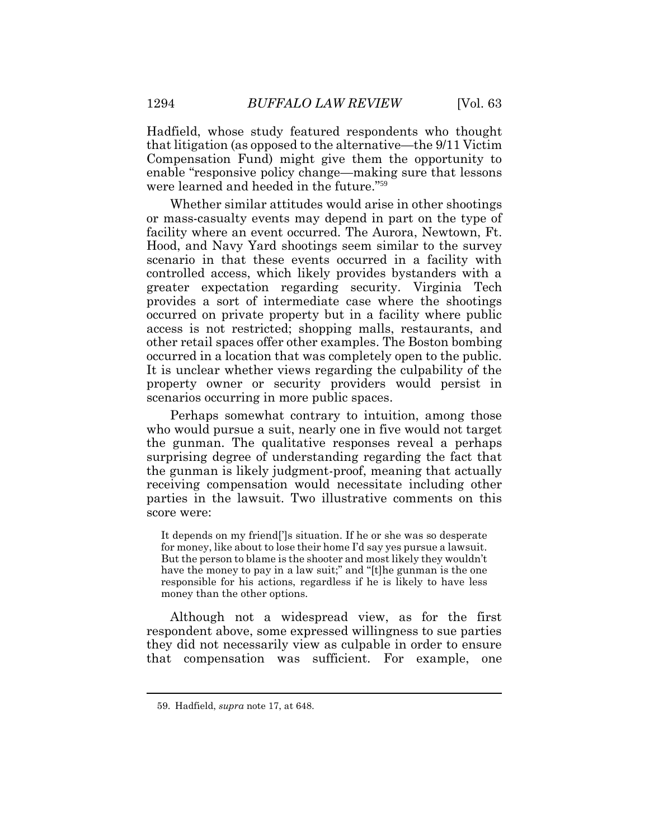Hadfield, whose study featured respondents who thought that litigation (as opposed to the alternative—the 9/11 Victim Compensation Fund) might give them the opportunity to enable "responsive policy change—making sure that lessons were learned and heeded in the future." 59

Whether similar attitudes would arise in other shootings or mass-casualty events may depend in part on the type of facility where an event occurred. The Aurora, Newtown, Ft. Hood, and Navy Yard shootings seem similar to the survey scenario in that these events occurred in a facility with controlled access, which likely provides bystanders with a greater expectation regarding security. Virginia Tech provides a sort of intermediate case where the shootings occurred on private property but in a facility where public access is not restricted; shopping malls, restaurants, and other retail spaces offer other examples. The Boston bombing occurred in a location that was completely open to the public. It is unclear whether views regarding the culpability of the property owner or security providers would persist in scenarios occurring in more public spaces.

Perhaps somewhat contrary to intuition, among those who would pursue a suit, nearly one in five would not target the gunman. The qualitative responses reveal a perhaps surprising degree of understanding regarding the fact that the gunman is likely judgment-proof, meaning that actually receiving compensation would necessitate including other parties in the lawsuit. Two illustrative comments on this score were:

It depends on my friend[']s situation. If he or she was so desperate for money, like about to lose their home I'd say yes pursue a lawsuit. But the person to blame is the shooter and most likely they wouldn't have the money to pay in a law suit;" and "[t]he gunman is the one responsible for his actions, regardless if he is likely to have less money than the other options.

Although not a widespread view, as for the first respondent above, some expressed willingness to sue parties they did not necessarily view as culpable in order to ensure that compensation was sufficient. For example, one

<sup>59.</sup> Hadfield, *supra* note 17, at 648.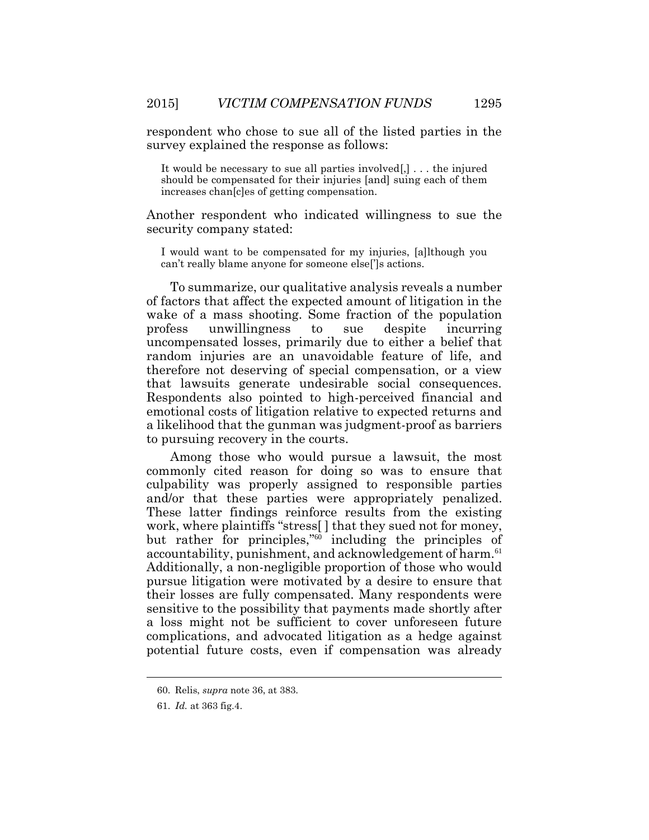respondent who chose to sue all of the listed parties in the survey explained the response as follows:

It would be necessary to sue all parties involved[,] . . . the injured should be compensated for their injuries [and] suing each of them increases chan[c]es of getting compensation.

Another respondent who indicated willingness to sue the security company stated:

I would want to be compensated for my injuries, [a]lthough you can't really blame anyone for someone else[']s actions.

To summarize, our qualitative analysis reveals a number of factors that affect the expected amount of litigation in the wake of a mass shooting. Some fraction of the population profess unwillingness to sue despite incurring uncompensated losses, primarily due to either a belief that random injuries are an unavoidable feature of life, and therefore not deserving of special compensation, or a view that lawsuits generate undesirable social consequences. Respondents also pointed to high-perceived financial and emotional costs of litigation relative to expected returns and a likelihood that the gunman was judgment-proof as barriers to pursuing recovery in the courts.

Among those who would pursue a lawsuit, the most commonly cited reason for doing so was to ensure that culpability was properly assigned to responsible parties and/or that these parties were appropriately penalized. These latter findings reinforce results from the existing work, where plaintiffs "stress[ ] that they sued not for money, but rather for principles," <sup>60</sup> including the principles of accountability, punishment, and acknowledgement of harm. 61 Additionally, a non-negligible proportion of those who would pursue litigation were motivated by a desire to ensure that their losses are fully compensated. Many respondents were sensitive to the possibility that payments made shortly after a loss might not be sufficient to cover unforeseen future complications, and advocated litigation as a hedge against potential future costs, even if compensation was already

<sup>60.</sup> Relis, *supra* note 36, at 383.

<sup>61.</sup> *Id.* at 363 fig.4.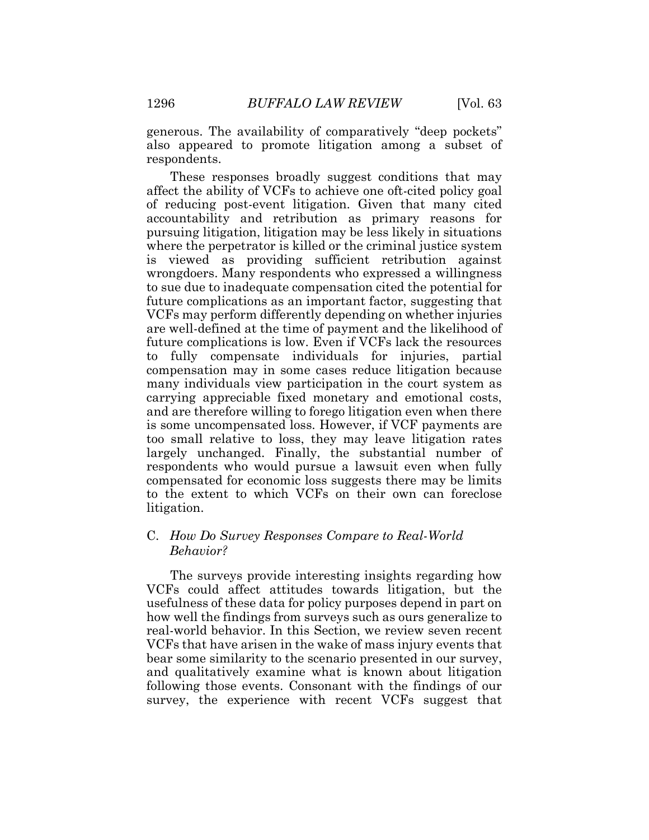generous. The availability of comparatively "deep pockets" also appeared to promote litigation among a subset of respondents.

These responses broadly suggest conditions that may affect the ability of VCFs to achieve one oft-cited policy goal of reducing post-event litigation. Given that many cited accountability and retribution as primary reasons for pursuing litigation, litigation may be less likely in situations where the perpetrator is killed or the criminal justice system is viewed as providing sufficient retribution against wrongdoers. Many respondents who expressed a willingness to sue due to inadequate compensation cited the potential for future complications as an important factor, suggesting that VCFs may perform differently depending on whether injuries are well-defined at the time of payment and the likelihood of future complications is low. Even if VCFs lack the resources to fully compensate individuals for injuries, partial compensation may in some cases reduce litigation because many individuals view participation in the court system as carrying appreciable fixed monetary and emotional costs, and are therefore willing to forego litigation even when there is some uncompensated loss. However, if VCF payments are too small relative to loss, they may leave litigation rates largely unchanged. Finally, the substantial number of respondents who would pursue a lawsuit even when fully compensated for economic loss suggests there may be limits to the extent to which VCFs on their own can foreclose litigation.

# C. *How Do Survey Responses Compare to Real-World Behavior?*

The surveys provide interesting insights regarding how VCFs could affect attitudes towards litigation, but the usefulness of these data for policy purposes depend in part on how well the findings from surveys such as ours generalize to real-world behavior. In this Section, we review seven recent VCFs that have arisen in the wake of mass injury events that bear some similarity to the scenario presented in our survey, and qualitatively examine what is known about litigation following those events. Consonant with the findings of our survey, the experience with recent VCFs suggest that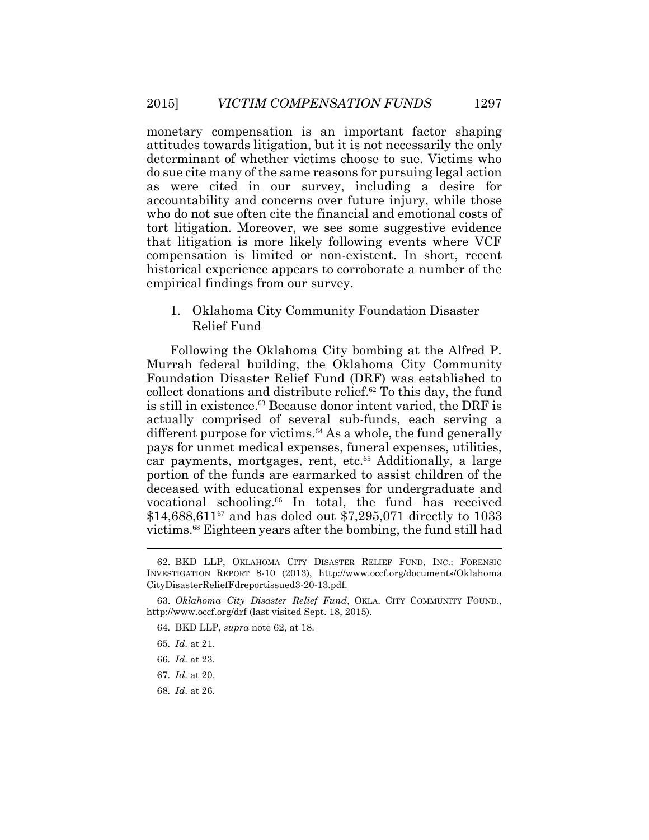monetary compensation is an important factor shaping attitudes towards litigation, but it is not necessarily the only determinant of whether victims choose to sue. Victims who do sue cite many of the same reasons for pursuing legal action as were cited in our survey, including a desire for accountability and concerns over future injury, while those who do not sue often cite the financial and emotional costs of tort litigation. Moreover, we see some suggestive evidence that litigation is more likely following events where VCF compensation is limited or non-existent. In short, recent historical experience appears to corroborate a number of the empirical findings from our survey.

1. Oklahoma City Community Foundation Disaster Relief Fund

Following the Oklahoma City bombing at the Alfred P. Murrah federal building, the Oklahoma City Community Foundation Disaster Relief Fund (DRF) was established to collect donations and distribute relief. $62$  To this day, the fund is still in existence.63 Because donor intent varied, the DRF is actually comprised of several sub-funds, each serving a different purpose for victims. $64$  As a whole, the fund generally pays for unmet medical expenses, funeral expenses, utilities, car payments, mortgages, rent, etc.<sup>65</sup> Additionally, a large portion of the funds are earmarked to assist children of the deceased with educational expenses for undergraduate and vocational schooling.66 In total, the fund has received  $$14,688,611^{\circ}$  and has doled out \$7,295,071 directly to 1033 victims. <sup>68</sup> Eighteen years after the bombing, the fund still had 

<sup>62.</sup> BKD LLP, OKLAHOMA CITY DISASTER RELIEF FUND, INC.: FORENSIC INVESTIGATION REPORT 8-10 (2013), http://www.occf.org/documents/Oklahoma CityDisasterReliefFdreportissued3-20-13.pdf.

<sup>63.</sup> *Oklahoma City Disaster Relief Fund*, OKLA. CITY COMMUNITY FOUND., http://www.occf.org/drf (last visited Sept. 18, 2015).

<sup>64</sup>*.* BKD LLP, *supra* note 62, at 18.

<sup>65</sup>*. Id*. at 21.

<sup>66</sup>*. Id*. at 23.

<sup>67</sup>*. Id*. at 20.

<sup>68</sup>*. Id*. at 26.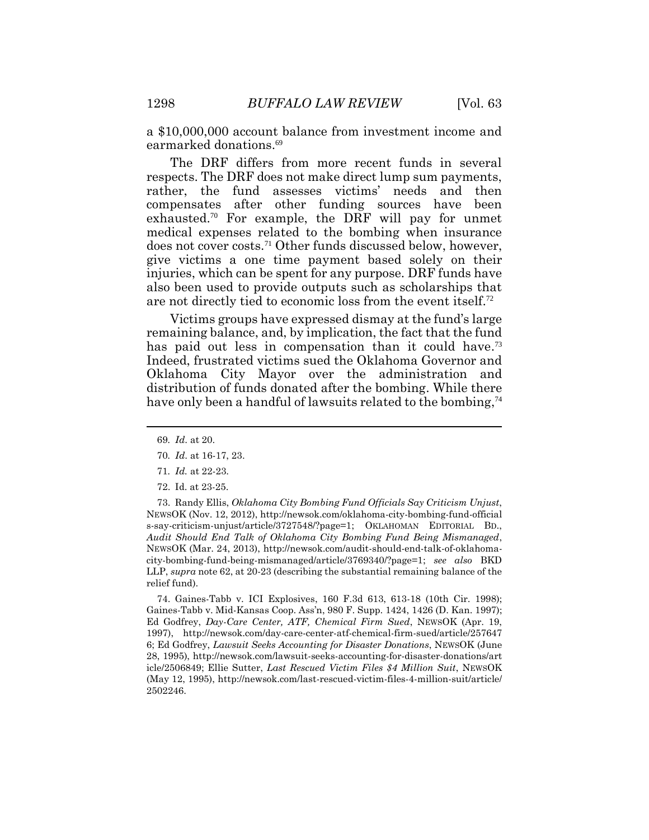a \$10,000,000 account balance from investment income and earmarked donations. 69

The DRF differs from more recent funds in several respects. The DRF does not make direct lump sum payments, rather, the fund assesses victims' needs and then compensates after other funding sources have been exhausted. <sup>70</sup> For example, the DRF will pay for unmet medical expenses related to the bombing when insurance does not cover costs. <sup>71</sup> Other funds discussed below, however, give victims a one time payment based solely on their injuries, which can be spent for any purpose. DRF funds have also been used to provide outputs such as scholarships that are not directly tied to economic loss from the event itself.<sup>72</sup>

Victims groups have expressed dismay at the fund's large remaining balance, and, by implication, the fact that the fund has paid out less in compensation than it could have.<sup>73</sup> Indeed, frustrated victims sued the Oklahoma Governor and Oklahoma City Mayor over the administration and distribution of funds donated after the bombing. While there have only been a handful of lawsuits related to the bombing,<sup>74</sup>

- 69*. Id*. at 20.
- 70*. Id*. at 16-17, 23.
- 71*. Id.* at 22-23.
- 72. Id. at 23-25.

73. Randy Ellis, *Oklahoma City Bombing Fund Officials Say Criticism Unjust*, NEWSOK (Nov. 12, 2012), http://newsok.com/oklahoma-city-bombing-fund-official s-say-criticism-unjust/article/3727548/?page=1; OKLAHOMAN EDITORIAL BD., *Audit Should End Talk of Oklahoma City Bombing Fund Being Mismanaged*, NEWSOK (Mar. 24, 2013), http://newsok.com/audit-should-end-talk-of-oklahomacity-bombing-fund-being-mismanaged/article/3769340/?page=1; *see also* BKD LLP, *supra* note 62, at 20-23 (describing the substantial remaining balance of the relief fund).

74. Gaines-Tabb v. ICI Explosives, 160 F.3d 613, 613-18 (10th Cir. 1998); Gaines-Tabb v. Mid-Kansas Coop. Ass'n, 980 F. Supp. 1424, 1426 (D. Kan. 1997); Ed Godfrey, *Day-Care Center, ATF, Chemical Firm Sued*, NEWSOK (Apr. 19, 1997), http://newsok.com/day-care-center-atf-chemical-firm-sued/article/257647 6; Ed Godfrey, *Lawsuit Seeks Accounting for Disaster Donations*, NEWSOK (June 28, 1995), http://newsok.com/lawsuit-seeks-accounting-for-disaster-donations/art icle/2506849; Ellie Sutter, *Last Rescued Victim Files \$4 Million Suit*, NEWSOK (May 12, 1995), http://newsok.com/last-rescued-victim-files-4-million-suit/article/ 2502246.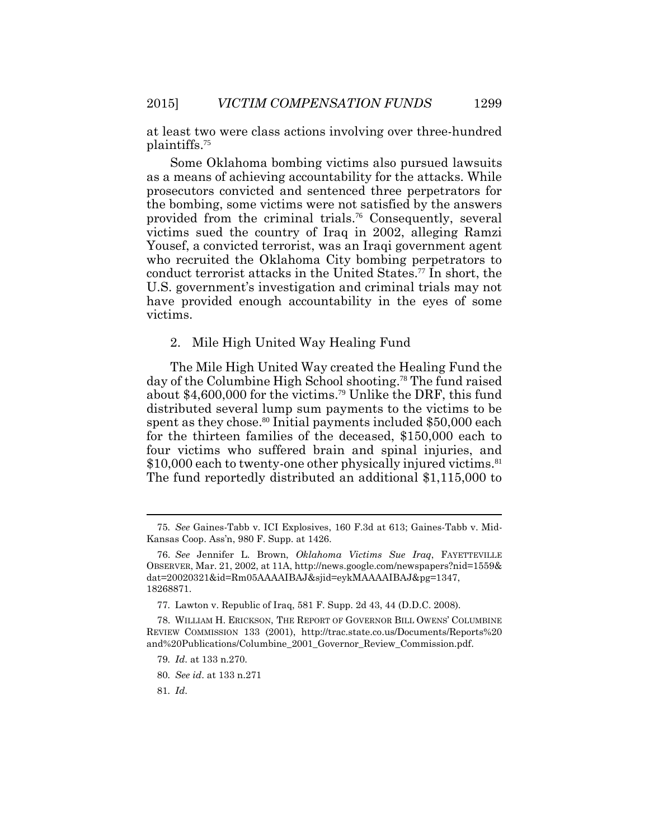at least two were class actions involving over three-hundred plaintiffs.<sup>75</sup>

Some Oklahoma bombing victims also pursued lawsuits as a means of achieving accountability for the attacks. While prosecutors convicted and sentenced three perpetrators for the bombing, some victims were not satisfied by the answers provided from the criminal trials.76 Consequently, several victims sued the country of Iraq in 2002, alleging Ramzi Yousef, a convicted terrorist, was an Iraqi government agent who recruited the Oklahoma City bombing perpetrators to conduct terrorist attacks in the United States.77 In short, the U.S. government's investigation and criminal trials may not have provided enough accountability in the eyes of some victims.

#### 2. Mile High United Way Healing Fund

The Mile High United Way created the Healing Fund the day of the Columbine High School shooting.78 The fund raised about \$4,600,000 for the victims.79 Unlike the DRF, this fund distributed several lump sum payments to the victims to be spent as they chose.<sup>80</sup> Initial payments included  $$50,000$  each for the thirteen families of the deceased, \$150,000 each to four victims who suffered brain and spinal injuries, and \$10,000 each to twenty-one other physically injured victims.<sup>81</sup> The fund reportedly distributed an additional \$1,115,000 to

 $\overline{a}$ 

<sup>75</sup>*. See* Gaines-Tabb v. ICI Explosives, 160 F.3d at 613; Gaines-Tabb v. Mid-Kansas Coop. Ass'n, 980 F. Supp. at 1426.

<sup>76.</sup> *See* Jennifer L. Brown, *Oklahoma Victims Sue Iraq*, FAYETTEVILLE OBSERVER, Mar. 21, 2002, at 11A, http://news.google.com/newspapers?nid=1559& dat=20020321&id=Rm05AAAAIBAJ&sjid=eykMAAAAIBAJ&pg=1347, 18268871.

<sup>77</sup>*.* Lawton v. Republic of Iraq, 581 F. Supp. 2d 43, 44 (D.D.C. 2008).

<sup>78.</sup> WILLIAM H. ERICKSON, THE REPORT OF GOVERNOR BILL OWENS' COLUMBINE REVIEW COMMISSION 133 (2001), http://trac.state.co.us/Documents/Reports%20 and%20Publications/Columbine\_2001\_Governor\_Review\_Commission.pdf.

<sup>79</sup>*. Id*. at 133 n.270.

<sup>80</sup>*. See id*. at 133 n.271

<sup>81</sup>*. Id*.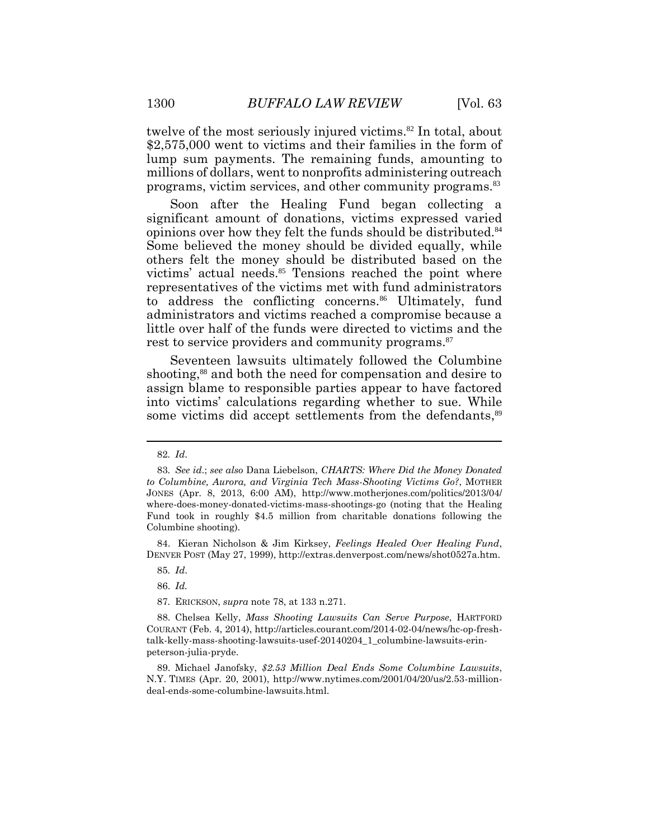twelve of the most seriously injured victims. <sup>82</sup> In total, about \$2,575,000 went to victims and their families in the form of lump sum payments. The remaining funds, amounting to millions of dollars, went to nonprofits administering outreach programs, victim services, and other community programs. 83

Soon after the Healing Fund began collecting a significant amount of donations, victims expressed varied opinions over how they felt the funds should be distributed. 84 Some believed the money should be divided equally, while others felt the money should be distributed based on the victims' actual needs. <sup>85</sup> Tensions reached the point where representatives of the victims met with fund administrators to address the conflicting concerns. <sup>86</sup> Ultimately, fund administrators and victims reached a compromise because a little over half of the funds were directed to victims and the rest to service providers and community programs. 87

Seventeen lawsuits ultimately followed the Columbine shooting,<sup>88</sup> and both the need for compensation and desire to assign blame to responsible parties appear to have factored into victims' calculations regarding whether to sue. While some victims did accept settlements from the defendants,<sup>89</sup>

84. Kieran Nicholson & Jim Kirksey, *Feelings Healed Over Healing Fund*, DENVER POST (May 27, 1999), http://extras.denverpost.com/news/shot0527a.htm.

<sup>82</sup>*. Id*.

<sup>83</sup>*. See id*.; *see also* Dana Liebelson, *CHARTS: Where Did the Money Donated to Columbine, Aurora, and Virginia Tech Mass-Shooting Victims Go?*, MOTHER JONES (Apr. 8, 2013, 6:00 AM), http://www.motherjones.com/politics/2013/04/ where-does-money-donated-victims-mass-shootings-go (noting that the Healing Fund took in roughly \$4.5 million from charitable donations following the Columbine shooting).

<sup>85</sup>*. Id*.

<sup>86.</sup> *Id.*

<sup>87</sup>*.* ERICKSON, *supra* note 78, at 133 n.271.

<sup>88.</sup> Chelsea Kelly, *Mass Shooting Lawsuits Can Serve Purpose*, HARTFORD COURANT (Feb. 4, 2014), http://articles.courant.com/2014-02-04/news/hc-op-freshtalk-kelly-mass-shooting-lawsuits-usef-20140204\_1\_columbine-lawsuits-erinpeterson-julia-pryde.

<sup>89.</sup> Michael Janofsky, *\$2.53 Million Deal Ends Some Columbine Lawsuits*, N.Y. TIMES (Apr. 20, 2001), http://www.nytimes.com/2001/04/20/us/2.53-milliondeal-ends-some-columbine-lawsuits.html.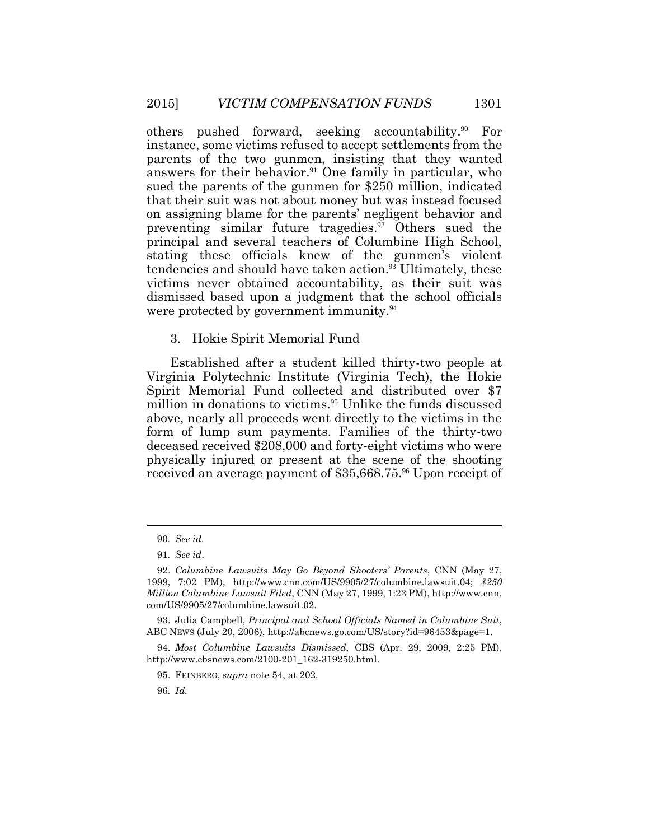others pushed forward, seeking accountability.90 For instance, some victims refused to accept settlements from the parents of the two gunmen, insisting that they wanted answers for their behavior.<sup>91</sup> One family in particular, who sued the parents of the gunmen for \$250 million, indicated that their suit was not about money but was instead focused on assigning blame for the parents' negligent behavior and preventing similar future tragedies.92 Others sued the principal and several teachers of Columbine High School, stating these officials knew of the gunmen's violent tendencies and should have taken action.<sup>93</sup> Ultimately, these victims never obtained accountability, as their suit was dismissed based upon a judgment that the school officials were protected by government immunity.<sup>94</sup>

#### 3. Hokie Spirit Memorial Fund

Established after a student killed thirty-two people at Virginia Polytechnic Institute (Virginia Tech), the Hokie Spirit Memorial Fund collected and distributed over \$7 million in donations to victims.<sup>95</sup> Unlike the funds discussed above, nearly all proceeds went directly to the victims in the form of lump sum payments. Families of the thirty-two deceased received \$208,000 and forty-eight victims who were physically injured or present at the scene of the shooting received an average payment of \$35,668.75.<sup>96</sup> Upon receipt of

 $\overline{a}$ 

93. Julia Campbell, *Principal and School Officials Named in Columbine Suit*, ABC NEWS (July 20, 2006), http://abcnews.go.com/US/story?id=96453&page=1.

96*. Id.*

<sup>90</sup>*. See id.*

<sup>91</sup>*. See id*.

<sup>92.</sup> *Columbine Lawsuits May Go Beyond Shooters' Parents*, CNN (May 27, 1999, 7:02 PM), http://www.cnn.com/US/9905/27/columbine.lawsuit.04; *\$250 Million Columbine Lawsuit Filed*, CNN (May 27, 1999, 1:23 PM), http://www.cnn. com/US/9905/27/columbine.lawsuit.02.

<sup>94.</sup> *Most Columbine Lawsuits Dismissed*, CBS (Apr. 29, 2009, 2:25 PM), http://www.cbsnews.com/2100-201\_162-319250.html.

<sup>95.</sup> FEINBERG, *supra* note 54, at 202.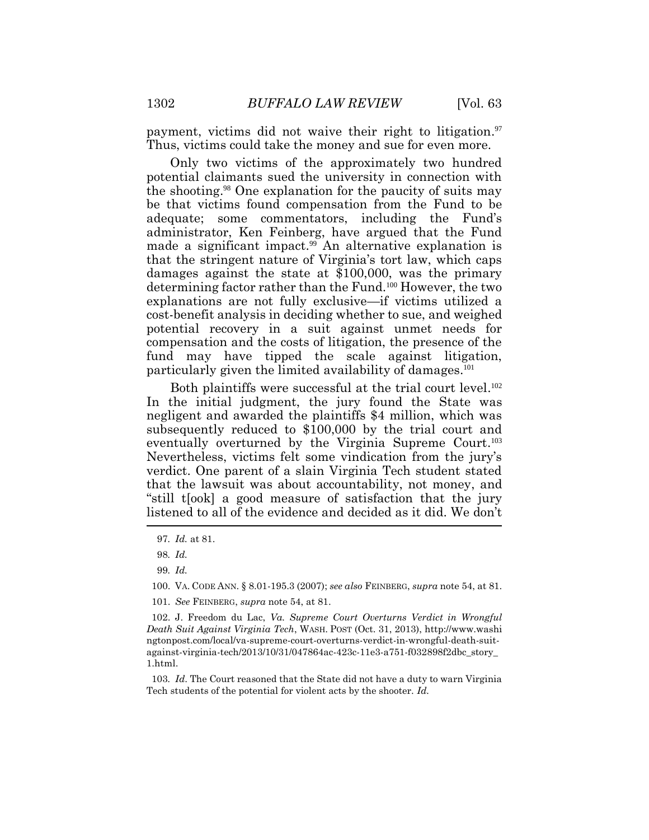payment, victims did not waive their right to litigation.<sup>97</sup> Thus, victims could take the money and sue for even more.

Only two victims of the approximately two hundred potential claimants sued the university in connection with the shooting. <sup>98</sup> One explanation for the paucity of suits may be that victims found compensation from the Fund to be adequate; some commentators, including the Fund's administrator, Ken Feinberg, have argued that the Fund made a significant impact. <sup>99</sup> An alternative explanation is that the stringent nature of Virginia's tort law, which caps damages against the state at \$100,000, was the primary determining factor rather than the Fund. <sup>100</sup> However, the two explanations are not fully exclusive—if victims utilized a cost-benefit analysis in deciding whether to sue, and weighed potential recovery in a suit against unmet needs for compensation and the costs of litigation, the presence of the fund may have tipped the scale against litigation, particularly given the limited availability of damages.<sup>101</sup>

Both plaintiffs were successful at the trial court level.<sup>102</sup> In the initial judgment, the jury found the State was negligent and awarded the plaintiffs \$4 million, which was subsequently reduced to \$100,000 by the trial court and eventually overturned by the Virginia Supreme Court. 103 Nevertheless, victims felt some vindication from the jury's verdict. One parent of a slain Virginia Tech student stated that the lawsuit was about accountability, not money, and "still t[ook] a good measure of satisfaction that the jury listened to all of the evidence and decided as it did. We don't

101. *See* FEINBERG, *supra* note 54, at 81.

102. J. Freedom du Lac, *Va. Supreme Court Overturns Verdict in Wrongful Death Suit Against Virginia Tech*, WASH. POST (Oct. 31, 2013), http://www.washi ngtonpost.com/local/va-supreme-court-overturns-verdict-in-wrongful-death-suitagainst-virginia-tech/2013/10/31/047864ac-423c-11e3-a751-f032898f2dbc\_story\_ 1.html.

103*. Id*. The Court reasoned that the State did not have a duty to warn Virginia Tech students of the potential for violent acts by the shooter. *Id.*

<sup>97</sup>*. Id.* at 81.

<sup>98</sup>*. Id.*

<sup>99</sup>*. Id.*

<sup>100.</sup> VA. CODE ANN. § 8.01-195.3 (2007); *see also* FEINBERG, *supra* note 54, at 81.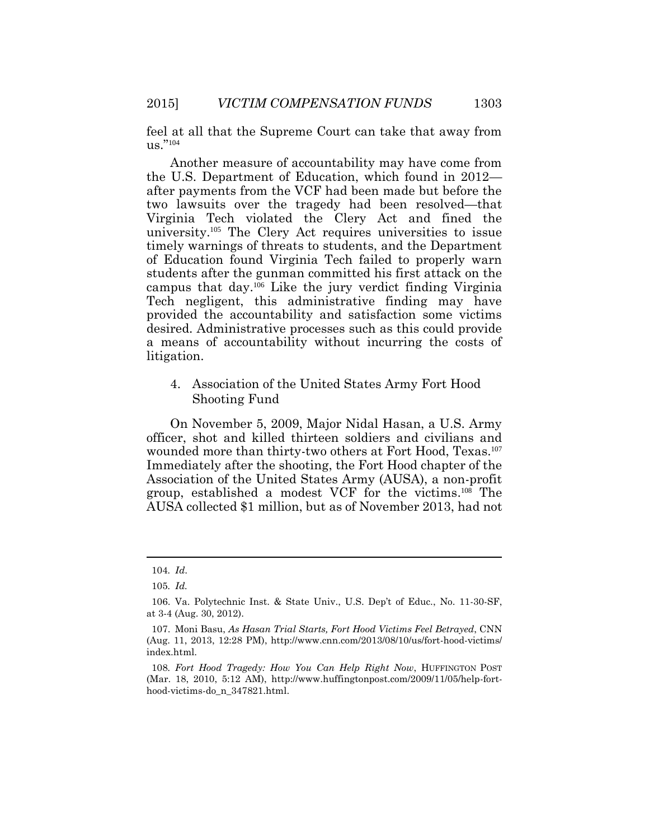feel at all that the Supreme Court can take that away from us."<sup>104</sup>

Another measure of accountability may have come from the U.S. Department of Education, which found in 2012 after payments from the VCF had been made but before the two lawsuits over the tragedy had been resolved—that Virginia Tech violated the Clery Act and fined the university.105 The Clery Act requires universities to issue timely warnings of threats to students, and the Department of Education found Virginia Tech failed to properly warn students after the gunman committed his first attack on the campus that day.106 Like the jury verdict finding Virginia Tech negligent, this administrative finding may have provided the accountability and satisfaction some victims desired. Administrative processes such as this could provide a means of accountability without incurring the costs of litigation.

4. Association of the United States Army Fort Hood Shooting Fund

On November 5, 2009, Major Nidal Hasan, a U.S. Army officer, shot and killed thirteen soldiers and civilians and wounded more than thirty-two others at Fort Hood, Texas.<sup>107</sup> Immediately after the shooting, the Fort Hood chapter of the Association of the United States Army (AUSA), a non-profit group, established a modest VCF for the victims.108 The AUSA collected \$1 million, but as of November 2013, had not

 $\overline{a}$ 

<sup>104</sup>*. Id*.

<sup>105</sup>*. Id.*

<sup>106.</sup> Va. Polytechnic Inst. & State Univ., U.S. Dep't of Educ., No. 11-30-SF, at 3-4 (Aug. 30, 2012).

<sup>107.</sup> Moni Basu, *As Hasan Trial Starts, Fort Hood Victims Feel Betrayed*, CNN (Aug. 11, 2013, 12:28 PM), http://www.cnn.com/2013/08/10/us/fort-hood-victims/ index.html.

<sup>108</sup>*. Fort Hood Tragedy: How You Can Help Right Now*, HUFFINGTON POST (Mar. 18, 2010, 5:12 AM), http://www.huffingtonpost.com/2009/11/05/help-forthood-victims-do\_n\_347821.html.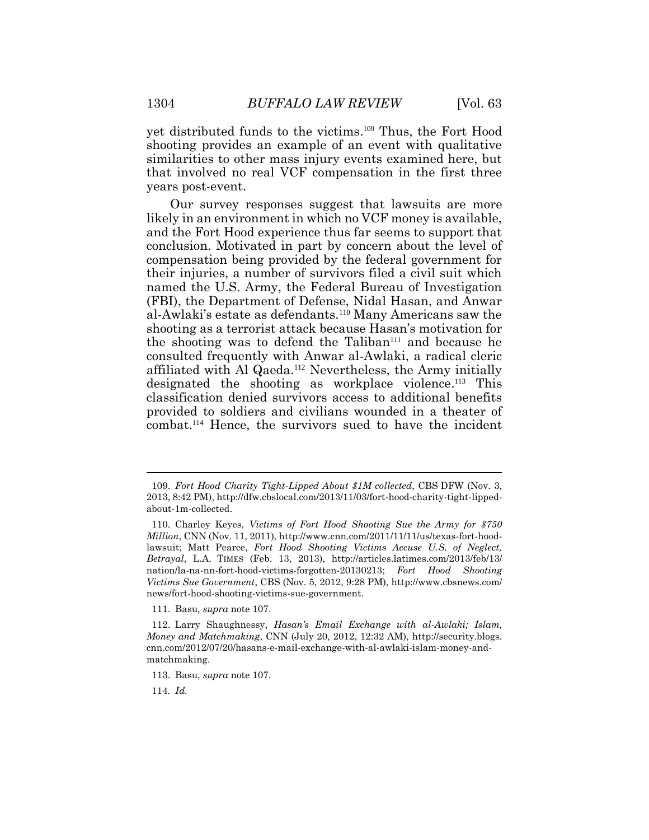yet distributed funds to the victims. <sup>109</sup> Thus, the Fort Hood shooting provides an example of an event with qualitative similarities to other mass injury events examined here, but that involved no real VCF compensation in the first three years post-event.

Our survey responses suggest that lawsuits are more likely in an environment in which no VCF money is available, and the Fort Hood experience thus far seems to support that conclusion. Motivated in part by concern about the level of compensation being provided by the federal government for their injuries, a number of survivors filed a civil suit which named the U.S. Army, the Federal Bureau of Investigation (FBI), the Department of Defense, Nidal Hasan, and Anwar al-Awlaki's estate as defendants.<sup>110</sup> Many Americans saw the shooting as a terrorist attack because Hasan's motivation for the shooting was to defend the Taliban<sup>111</sup> and because he consulted frequently with Anwar al-Awlaki, a radical cleric affiliated with Al Qaeda. <sup>112</sup> Nevertheless, the Army initially designated the shooting as workplace violence. <sup>113</sup> This classification denied survivors access to additional benefits provided to soldiers and civilians wounded in a theater of combat. <sup>114</sup> Hence, the survivors sued to have the incident

111. Basu, *supra* note 107.

114*. Id.*

<sup>109.</sup> *Fort Hood Charity Tight-Lipped About \$1M collected*, CBS DFW (Nov. 3, 2013, 8:42 PM), http://dfw.cbslocal.com/2013/11/03/fort-hood-charity-tight-lippedabout-1m-collected.

<sup>110.</sup> Charley Keyes, *Victims of Fort Hood Shooting Sue the Army for \$750 Million*, CNN (Nov. 11, 2011), http://www.cnn.com/2011/11/11/us/texas-fort-hoodlawsuit; Matt Pearce, *Fort Hood Shooting Victims Accuse U.S. of Neglect, Betrayal*, L.A. TIMES (Feb. 13, 2013), http://articles.latimes.com/2013/feb/13/ nation/la-na-nn-fort-hood-victims-forgotten-20130213; *Fort Hood Shooting Victims Sue Government*, CBS (Nov. 5, 2012, 9:28 PM), http://www.cbsnews.com/ news/fort-hood-shooting-victims-sue-government.

<sup>112.</sup> Larry Shaughnessy, *Hasan's Email Exchange with al-Awlaki; Islam, Money and Matchmaking*, CNN (July 20, 2012, 12:32 AM), http://security.blogs. cnn.com/2012/07/20/hasans-e-mail-exchange-with-al-awlaki-islam-money-andmatchmaking.

<sup>113.</sup> Basu, *supra* note 107.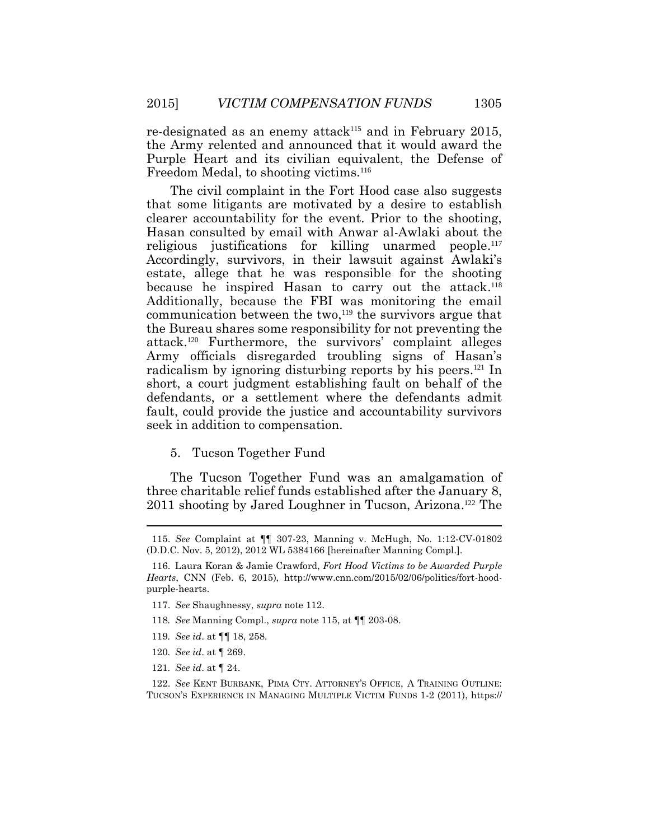re-designated as an enemy attack<sup>115</sup> and in February 2015, the Army relented and announced that it would award the Purple Heart and its civilian equivalent, the Defense of Freedom Medal, to shooting victims.<sup>116</sup>

The civil complaint in the Fort Hood case also suggests that some litigants are motivated by a desire to establish clearer accountability for the event. Prior to the shooting, Hasan consulted by email with Anwar al-Awlaki about the religious justifications for killing unarmed people.<sup>117</sup> Accordingly, survivors, in their lawsuit against Awlaki's estate, allege that he was responsible for the shooting because he inspired Hasan to carry out the attack.<sup>118</sup> Additionally, because the FBI was monitoring the email communication between the two, $119$  the survivors argue that the Bureau shares some responsibility for not preventing the attack.<sup>120</sup> Furthermore, the survivors' complaint alleges Army officials disregarded troubling signs of Hasan's radicalism by ignoring disturbing reports by his peers.<sup>121</sup> In short, a court judgment establishing fault on behalf of the defendants, or a settlement where the defendants admit fault, could provide the justice and accountability survivors seek in addition to compensation.

5. Tucson Together Fund

The Tucson Together Fund was an amalgamation of three charitable relief funds established after the January 8, 2011 shooting by Jared Loughner in Tucson, Arizona.<sup>122</sup> The

- 117. *See* Shaughnessy, *supra* note 112.
- 118*. See* Manning Compl., *supra* note 115, at ¶¶ 203-08.
- 119*. See id*. at ¶¶ 18, 258.
- 120*. See id*. at ¶ 269.
- 121*. See id*. at ¶ 24.

 $\overline{a}$ 

122. *See* KENT BURBANK, PIMA CTY. ATTORNEY'S OFFICE, A TRAINING OUTLINE: TUCSON'S EXPERIENCE IN MANAGING MULTIPLE VICTIM FUNDS 1-2 (2011), https://

<sup>115.</sup> *See* Complaint at ¶¶ 307-23, Manning v. McHugh, No. 1:12-CV-01802 (D.D.C. Nov. 5, 2012), 2012 WL 5384166 [hereinafter Manning Compl.].

<sup>116.</sup> Laura Koran & Jamie Crawford, *Fort Hood Victims to be Awarded Purple Hearts*, CNN (Feb. 6, 2015), http://www.cnn.com/2015/02/06/politics/fort-hoodpurple-hearts.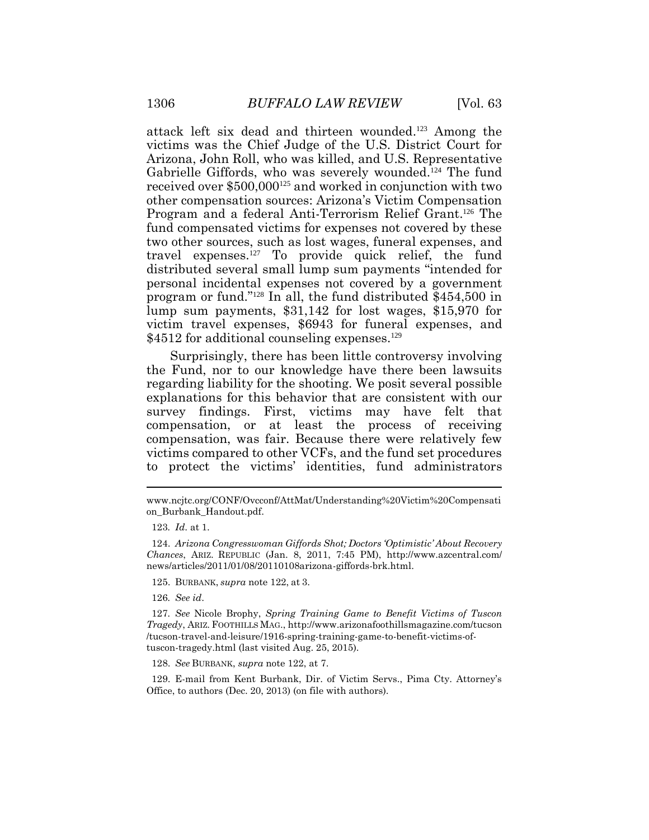attack left six dead and thirteen wounded. <sup>123</sup> Among the victims was the Chief Judge of the U.S. District Court for Arizona, John Roll, who was killed, and U.S. Representative Gabrielle Giffords, who was severely wounded. <sup>124</sup> The fund received over \$500,000<sup>125</sup> and worked in conjunction with two other compensation sources: Arizona's Victim Compensation Program and a federal Anti-Terrorism Relief Grant.<sup>126</sup> The fund compensated victims for expenses not covered by these two other sources, such as lost wages, funeral expenses, and travel expenses. <sup>127</sup> To provide quick relief, the fund distributed several small lump sum payments "intended for personal incidental expenses not covered by a government program or fund." <sup>128</sup> In all, the fund distributed \$454,500 in lump sum payments, \$31,142 for lost wages, \$15,970 for victim travel expenses, \$6943 for funeral expenses, and \$4512 for additional counseling expenses.<sup>129</sup>

Surprisingly, there has been little controversy involving the Fund, nor to our knowledge have there been lawsuits regarding liability for the shooting. We posit several possible explanations for this behavior that are consistent with our survey findings. First, victims may have felt that compensation, or at least the process of receiving compensation, was fair. Because there were relatively few victims compared to other VCFs, and the fund set procedures to protect the victims' identities, fund administrators

128. *See* BURBANK, *supra* note 122, at 7.

129. E-mail from Kent Burbank, Dir. of Victim Servs., Pima Cty. Attorney's Office, to authors (Dec. 20, 2013) (on file with authors).

www.ncjtc.org/CONF/Ovcconf/AttMat/Understanding%20Victim%20Compensati on\_Burbank\_Handout.pdf.

<sup>123</sup>*. Id*. at 1.

<sup>124.</sup> *Arizona Congresswoman Giffords Shot; Doctors 'Optimistic' About Recovery Chances*, ARIZ. REPUBLIC (Jan. 8, 2011, 7:45 PM), http://www.azcentral.com/ news/articles/2011/01/08/20110108arizona-giffords-brk.html.

<sup>125.</sup> BURBANK, *supra* note 122, at 3.

<sup>126</sup>*. See id*.

<sup>127</sup>*. See* Nicole Brophy, *Spring Training Game to Benefit Victims of Tuscon Tragedy*, ARIZ. FOOTHILLS MAG., http://www.arizonafoothillsmagazine.com/tucson /tucson-travel-and-leisure/1916-spring-training-game-to-benefit-victims-oftuscon-tragedy.html (last visited Aug. 25, 2015).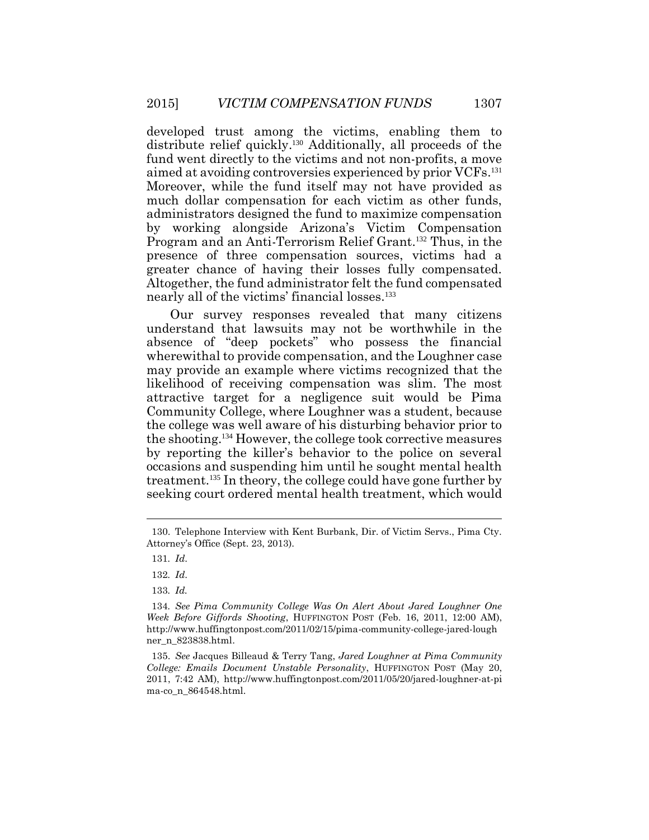developed trust among the victims, enabling them to distribute relief quickly. <sup>130</sup> Additionally, all proceeds of the fund went directly to the victims and not non-profits, a move aimed at avoiding controversies experienced by prior VCFs. 131 Moreover, while the fund itself may not have provided as much dollar compensation for each victim as other funds, administrators designed the fund to maximize compensation by working alongside Arizona's Victim Compensation Program and an Anti-Terrorism Relief Grant. <sup>132</sup> Thus, in the presence of three compensation sources, victims had a greater chance of having their losses fully compensated. Altogether, the fund administrator felt the fund compensated nearly all of the victims' financial losses. 133

Our survey responses revealed that many citizens understand that lawsuits may not be worthwhile in the absence of "deep pockets" who possess the financial wherewithal to provide compensation, and the Loughner case may provide an example where victims recognized that the likelihood of receiving compensation was slim. The most attractive target for a negligence suit would be Pima Community College, where Loughner was a student, because the college was well aware of his disturbing behavior prior to the shooting. <sup>134</sup> However, the college took corrective measures by reporting the killer's behavior to the police on several occasions and suspending him until he sought mental health treatment. <sup>135</sup> In theory, the college could have gone further by seeking court ordered mental health treatment, which would

<sup>130.</sup> Telephone Interview with Kent Burbank, Dir. of Victim Servs., Pima Cty. Attorney's Office (Sept. 23, 2013).

<sup>131</sup>*. Id*.

<sup>132</sup>*. Id*.

<sup>133</sup>*. Id.*

<sup>134</sup>*. See Pima Community College Was On Alert About Jared Loughner One Week Before Giffords Shooting*, HUFFINGTON POST (Feb. 16, 2011, 12:00 AM), http://www.huffingtonpost.com/2011/02/15/pima-community-college-jared-lough ner\_n\_823838.html.

<sup>135.</sup> *See* Jacques Billeaud & Terry Tang, *Jared Loughner at Pima Community College: Emails Document Unstable Personality*, HUFFINGTON POST (May 20, 2011, 7:42 AM), http://www.huffingtonpost.com/2011/05/20/jared-loughner-at-pi ma-co\_n\_864548.html.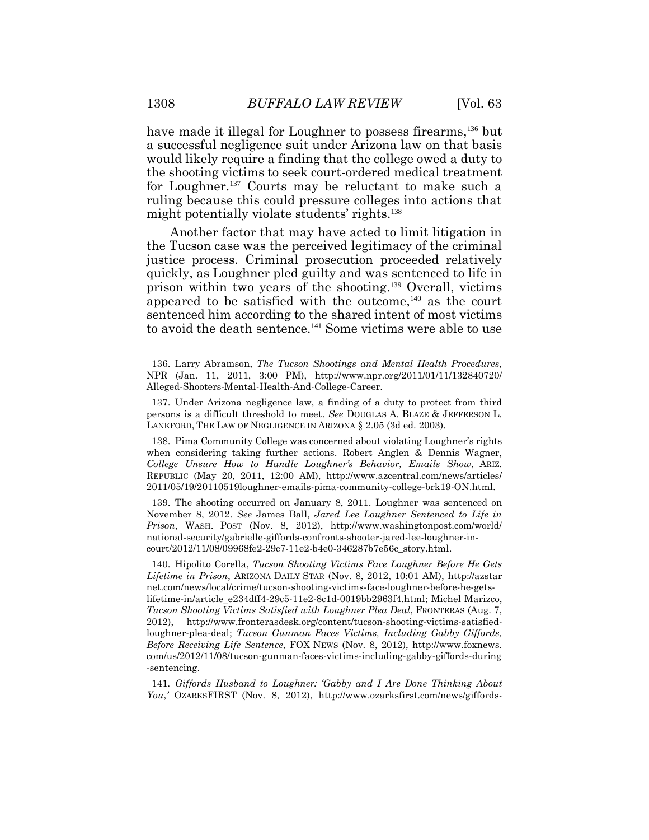have made it illegal for Loughner to possess firearms,<sup>136</sup> but a successful negligence suit under Arizona law on that basis would likely require a finding that the college owed a duty to the shooting victims to seek court-ordered medical treatment for Loughner. <sup>137</sup> Courts may be reluctant to make such a ruling because this could pressure colleges into actions that might potentially violate students' rights. 138

Another factor that may have acted to limit litigation in the Tucson case was the perceived legitimacy of the criminal justice process. Criminal prosecution proceeded relatively quickly, as Loughner pled guilty and was sentenced to life in prison within two years of the shooting. <sup>139</sup> Overall, victims appeared to be satisfied with the outcome, <sup>140</sup> as the court sentenced him according to the shared intent of most victims to avoid the death sentence. <sup>141</sup> Some victims were able to use

138. Pima Community College was concerned about violating Loughner's rights when considering taking further actions. Robert Anglen & Dennis Wagner, *College Unsure How to Handle Loughner's Behavior, Emails Show*, ARIZ. REPUBLIC (May 20, 2011, 12:00 AM), http://www.azcentral.com/news/articles/ 2011/05/19/20110519loughner-emails-pima-community-college-brk19-ON.html.

139. The shooting occurred on January 8, 2011. Loughner was sentenced on November 8, 2012. *See* James Ball, *Jared Lee Loughner Sentenced to Life in Prison*, WASH. POST (Nov. 8, 2012), http://www.washingtonpost.com/world/ national-security/gabrielle-giffords-confronts-shooter-jared-lee-loughner-incourt/2012/11/08/09968fe2-29c7-11e2-b4e0-346287b7e56c\_story.html.

140. Hipolito Corella, *Tucson Shooting Victims Face Loughner Before He Gets Lifetime in Prison*, ARIZONA DAILY STAR (Nov. 8, 2012, 10:01 AM), http://azstar net.com/news/local/crime/tucson-shooting-victims-face-loughner-before-he-getslifetime-in/article\_e234dff4-29c5-11e2-8c1d-0019bb2963f4.html; Michel Marizco, *Tucson Shooting Victims Satisfied with Loughner Plea Deal*, FRONTERAS (Aug. 7, 2012), http://www.fronterasdesk.org/content/tucson-shooting-victims-satisfiedloughner-plea-deal; *Tucson Gunman Faces Victims, Including Gabby Giffords, Before Receiving Life Sentence*, FOX NEWS (Nov. 8, 2012), http://www.foxnews. com/us/2012/11/08/tucson-gunman-faces-victims-including-gabby-giffords-during -sentencing.

141*. Giffords Husband to Loughner: 'Gabby and I Are Done Thinking About You*,*'* OZARKSFIRST (Nov. 8, 2012), http://www.ozarksfirst.com/news/giffords-

<sup>136.</sup> Larry Abramson, *The Tucson Shootings and Mental Health Procedures*, NPR (Jan. 11, 2011, 3:00 PM), http://www.npr.org/2011/01/11/132840720/ Alleged-Shooters-Mental-Health-And-College-Career.

<sup>137.</sup> Under Arizona negligence law, a finding of a duty to protect from third persons is a difficult threshold to meet. *See* DOUGLAS A. BLAZE & JEFFERSON L. LANKFORD, THE LAW OF NEGLIGENCE IN ARIZONA § 2.05 (3d ed. 2003).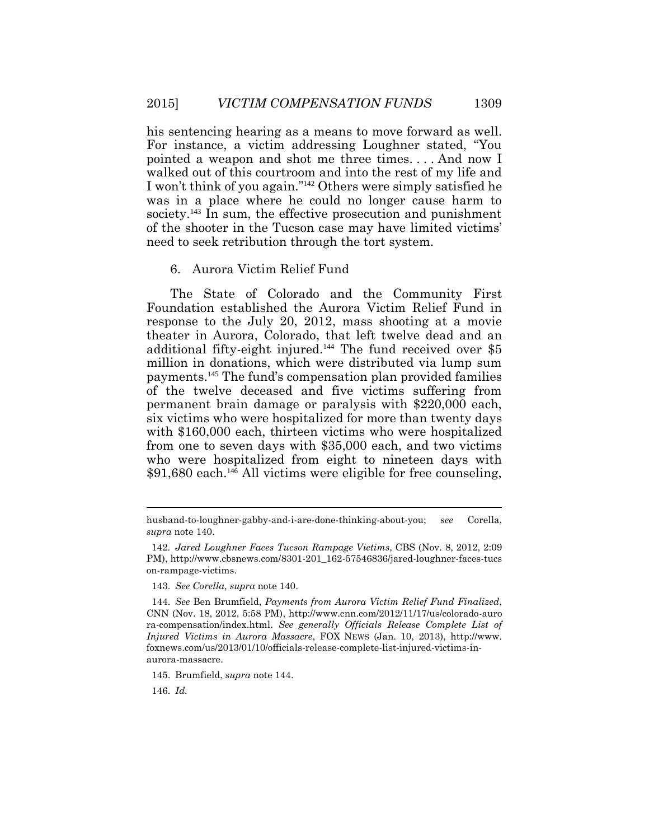his sentencing hearing as a means to move forward as well. For instance, a victim addressing Loughner stated, "You pointed a weapon and shot me three times. . . . And now I walked out of this courtroom and into the rest of my life and I won't think of you again."142 Others were simply satisfied he was in a place where he could no longer cause harm to society.<sup>143</sup> In sum, the effective prosecution and punishment of the shooter in the Tucson case may have limited victims' need to seek retribution through the tort system.

#### 6. Aurora Victim Relief Fund

The State of Colorado and the Community First Foundation established the Aurora Victim Relief Fund in response to the July 20, 2012, mass shooting at a movie theater in Aurora, Colorado, that left twelve dead and an additional fifty-eight injured.<sup>144</sup> The fund received over \$5 million in donations, which were distributed via lump sum payments. <sup>145</sup> The fund's compensation plan provided families of the twelve deceased and five victims suffering from permanent brain damage or paralysis with \$220,000 each, six victims who were hospitalized for more than twenty days with \$160,000 each, thirteen victims who were hospitalized from one to seven days with \$35,000 each, and two victims who were hospitalized from eight to nineteen days with \$91,680 each.<sup>146</sup> All victims were eligible for free counseling,

146. *Id.*

 $\overline{a}$ 

husband-to-loughner-gabby-and-i-are-done-thinking-about-you; *see* Corella, *supra* note 140.

<sup>142</sup>*. Jared Loughner Faces Tucson Rampage Victims*, CBS (Nov. 8, 2012, 2:09 PM), http://www.cbsnews.com/8301-201\_162-57546836/jared-loughner-faces-tucs on-rampage-victims.

<sup>143.</sup> *See Corella*, *supra* note 140.

<sup>144.</sup> *See* Ben Brumfield, *Payments from Aurora Victim Relief Fund Finalized*, CNN (Nov. 18, 2012, 5:58 PM), http://www.cnn.com/2012/11/17/us/colorado-auro ra-compensation/index.html. *See generally Officials Release Complete List of Injured Victims in Aurora Massacre*, FOX NEWS (Jan. 10, 2013), http://www. foxnews.com/us/2013/01/10/officials-release-complete-list-injured-victims-inaurora-massacre.

<sup>145.</sup> Brumfield, *supra* note 144.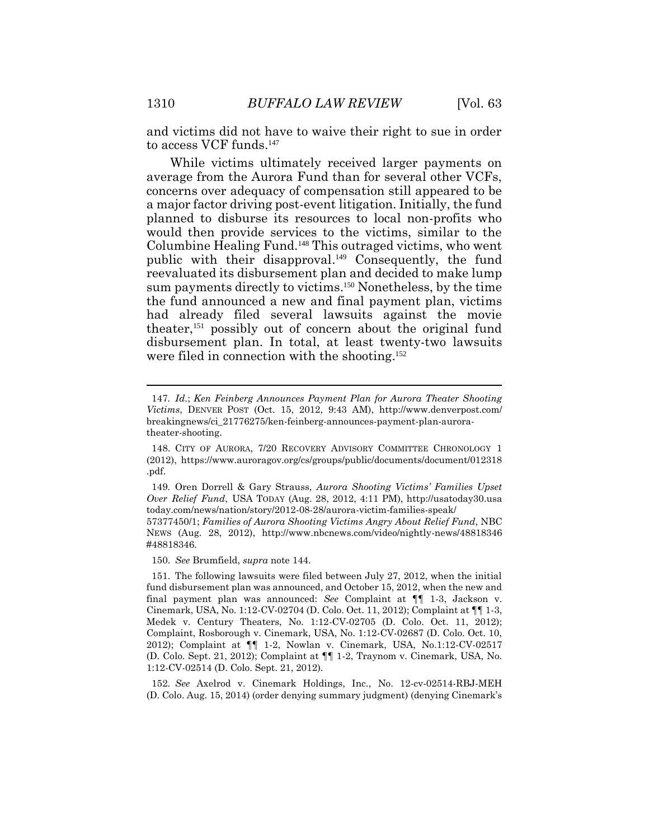and victims did not have to waive their right to sue in order to access VCF funds. 147

While victims ultimately received larger payments on average from the Aurora Fund than for several other VCFs, concerns over adequacy of compensation still appeared to be a major factor driving post-event litigation. Initially, the fund planned to disburse its resources to local non-profits who would then provide services to the victims, similar to the Columbine Healing Fund. <sup>148</sup> This outraged victims, who went public with their disapproval. <sup>149</sup> Consequently, the fund reevaluated its disbursement plan and decided to make lump sum payments directly to victims. <sup>150</sup> Nonetheless, by the time the fund announced a new and final payment plan, victims had already filed several lawsuits against the movie theater,<sup>151</sup> possibly out of concern about the original fund disbursement plan. In total, at least twenty-two lawsuits were filed in connection with the shooting. 152

150. *See* Brumfield, *supra* note 144.

<sup>147</sup>*. Id*.; *Ken Feinberg Announces Payment Plan for Aurora Theater Shooting Victims*, DENVER POST (Oct. 15, 2012, 9:43 AM), http://www.denverpost.com/ breakingnews/ci\_21776275/ken-feinberg-announces-payment-plan-auroratheater-shooting.

<sup>148.</sup> CITY OF AURORA, 7/20 RECOVERY ADVISORY COMMITTEE CHRONOLOGY 1 (2012), https://www.auroragov.org/cs/groups/public/documents/document/012318 .pdf.

<sup>149</sup>*.* Oren Dorrell & Gary Strauss, *Aurora Shooting Victims' Families Upset Over Relief Fund*, USA TODAY (Aug. 28, 2012, 4:11 PM), http://usatoday30.usa today.com/news/nation/story/2012-08-28/aurora-victim-families-speak/

<sup>57377450/1;</sup> *Families of Aurora Shooting Victims Angry About Relief Fund*, NBC NEWS (Aug. 28, 2012), http://www.nbcnews.com/video/nightly-news/48818346 #48818346.

<sup>151.</sup> The following lawsuits were filed between July 27, 2012, when the initial fund disbursement plan was announced, and October 15, 2012, when the new and final payment plan was announced: *See* Complaint at ¶¶ 1-3, Jackson v. Cinemark, USA, No. 1:12-CV-02704 (D. Colo. Oct. 11, 2012); Complaint at ¶¶ 1-3, Medek v. Century Theaters, No. 1:12-CV-02705 (D. Colo. Oct. 11, 2012); Complaint, Rosborough v. Cinemark, USA, No. 1:12-CV-02687 (D. Colo. Oct. 10, 2012); Complaint at ¶¶ 1-2, Nowlan v. Cinemark, USA, No.1:12-CV-02517 (D. Colo. Sept. 21, 2012); Complaint at ¶¶ 1-2, Traynom v. Cinemark, USA, No. 1:12-CV-02514 (D. Colo. Sept. 21, 2012).

<sup>152</sup>*. See* Axelrod v. Cinemark Holdings, Inc., No. 12-cv-02514-RBJ-MEH (D. Colo. Aug. 15, 2014) (order denying summary judgment) (denying Cinemark's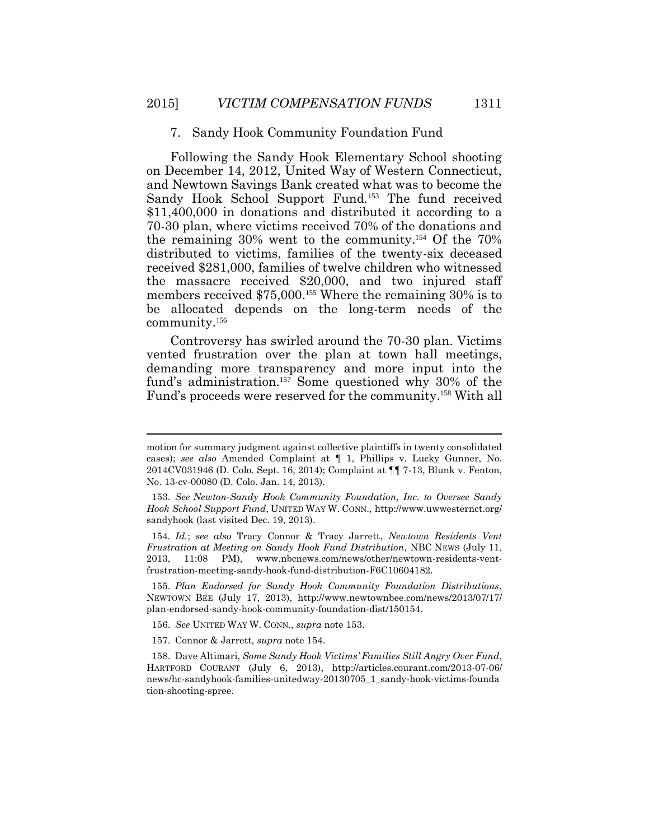#### 7. Sandy Hook Community Foundation Fund

Following the Sandy Hook Elementary School shooting on December 14, 2012, United Way of Western Connecticut, and Newtown Savings Bank created what was to become the Sandy Hook School Support Fund.<sup>153</sup> The fund received \$11,400,000 in donations and distributed it according to a 70-30 plan, where victims received 70% of the donations and the remaining 30% went to the community.154 Of the 70% distributed to victims, families of the twenty-six deceased received \$281,000, families of twelve children who witnessed the massacre received \$20,000, and two injured staff members received \$75,000.<sup>155</sup> Where the remaining 30% is to be allocated depends on the long-term needs of the community.<sup>156</sup>

Controversy has swirled around the 70-30 plan. Victims vented frustration over the plan at town hall meetings, demanding more transparency and more input into the fund's administration. <sup>157</sup> Some questioned why 30% of the Fund's proceeds were reserved for the community. <sup>158</sup> With all

- 156. *See* UNITED WAY W. CONN., *supra* note 153.
- 157. Connor & Jarrett, *supra* note 154.

 $\overline{a}$ 

motion for summary judgment against collective plaintiffs in twenty consolidated cases); *see also* Amended Complaint at ¶ 1, Phillips v. Lucky Gunner, No. 2014CV031946 (D. Colo. Sept. 16, 2014); Complaint at ¶¶ 7-13, Blunk v. Fenton, No. 13-cv-00080 (D. Colo. Jan. 14, 2013).

<sup>153.</sup> *See Newton-Sandy Hook Community Foundation, Inc. to Oversee Sandy Hook School Support Fund*, UNITED WAY W. CONN., http://www.uwwesternct.org/ sandyhook (last visited Dec. 19, 2013).

<sup>154</sup>*. Id.*; *see also* Tracy Connor & Tracy Jarrett, *Newtown Residents Vent Frustration at Meeting on Sandy Hook Fund Distribution*, NBC NEWS (July 11, 2013, 11:08 PM), www.nbcnews.com/news/other/newtown-residents-ventfrustration-meeting-sandy-hook-fund-distribution-F6C10604182.

<sup>155.</sup> *Plan Endorsed for Sandy Hook Community Foundation Distributions*, NEWTOWN BEE (July 17, 2013), http://www.newtownbee.com/news/2013/07/17/ plan-endorsed-sandy-hook-community-foundation-dist/150154.

<sup>158.</sup> Dave Altimari, *Some Sandy Hook Victims' Families Still Angry Over Fund*, HARTFORD COURANT (July 6, 2013), http://articles.courant.com/2013-07-06/ news/hc-sandyhook-families-unitedway-20130705\_1\_sandy-hook-victims-founda tion-shooting-spree.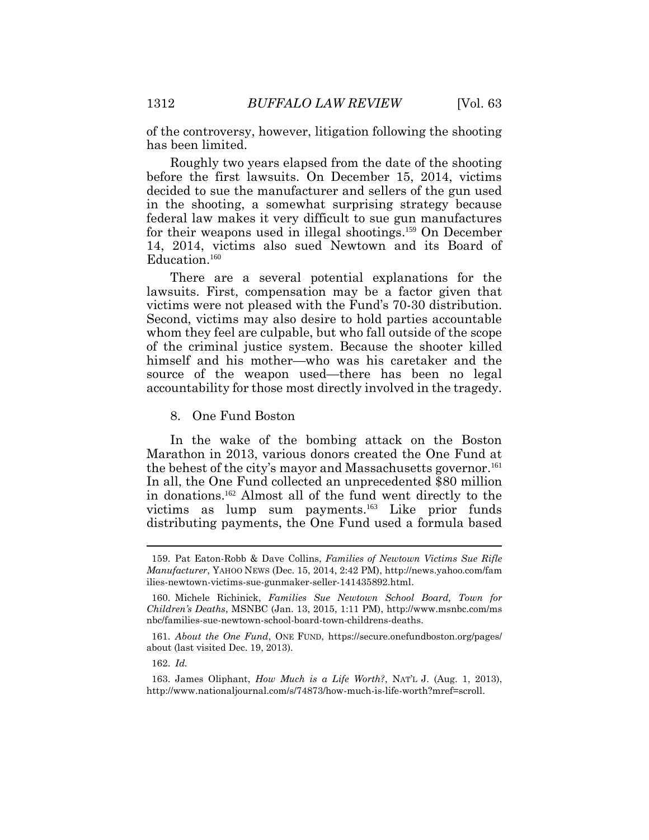of the controversy, however, litigation following the shooting has been limited.

Roughly two years elapsed from the date of the shooting before the first lawsuits. On December 15, 2014, victims decided to sue the manufacturer and sellers of the gun used in the shooting, a somewhat surprising strategy because federal law makes it very difficult to sue gun manufactures for their weapons used in illegal shootings.159 On December 14, 2014, victims also sued Newtown and its Board of Education.<sup>160</sup>

There are a several potential explanations for the lawsuits. First, compensation may be a factor given that victims were not pleased with the Fund's 70-30 distribution. Second, victims may also desire to hold parties accountable whom they feel are culpable, but who fall outside of the scope of the criminal justice system. Because the shooter killed himself and his mother—who was his caretaker and the source of the weapon used—there has been no legal accountability for those most directly involved in the tragedy.

8. One Fund Boston

In the wake of the bombing attack on the Boston Marathon in 2013, various donors created the One Fund at the behest of the city's mayor and Massachusetts governor. 161 In all, the One Fund collected an unprecedented \$80 million in donations.162 Almost all of the fund went directly to the victims as lump sum payments.163 Like prior funds distributing payments, the One Fund used a formula based

 $\overline{a}$ 

<sup>159.</sup> Pat Eaton-Robb & Dave Collins, *Families of Newtown Victims Sue Rifle Manufacturer*, YAHOO NEWS (Dec. 15, 2014, 2:42 PM), http://news.yahoo.com/fam ilies-newtown-victims-sue-gunmaker-seller-141435892.html.

<sup>160.</sup> Michele Richinick, *Families Sue Newtown School Board, Town for Children's Deaths*, MSNBC (Jan. 13, 2015, 1:11 PM), http://www.msnbc.com/ms nbc/families-sue-newtown-school-board-town-childrens-deaths.

<sup>161.</sup> *About the One Fund*, ONE FUND, https://secure.onefundboston.org/pages/ about (last visited Dec. 19, 2013).

<sup>162.</sup> *Id.*

<sup>163.</sup> James Oliphant, *How Much is a Life Worth?*, NAT'L J. (Aug. 1, 2013), http://www.nationaljournal.com/s/74873/how-much-is-life-worth?mref=scroll.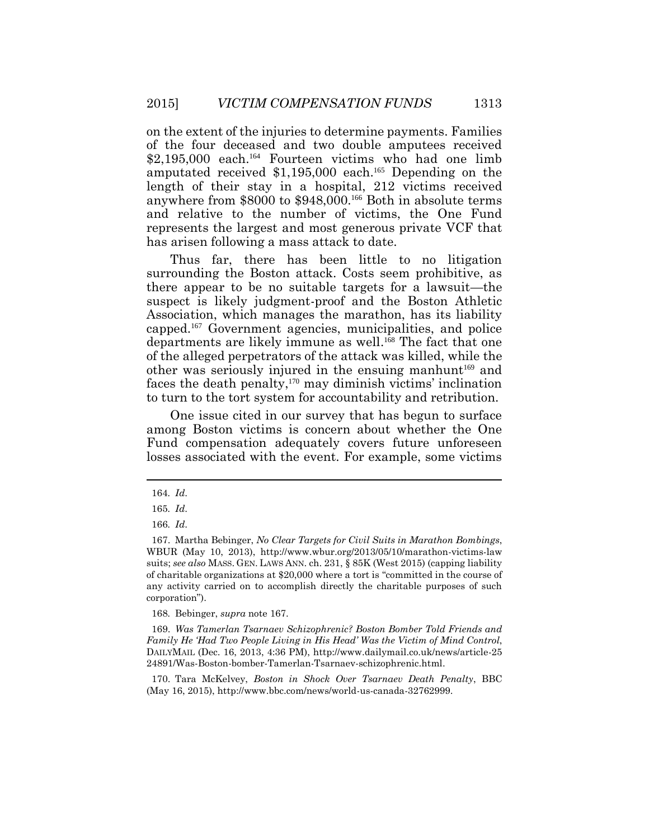on the extent of the injuries to determine payments. Families of the four deceased and two double amputees received \$2,195,000 each. <sup>164</sup> Fourteen victims who had one limb amputated received \$1,195,000 each. <sup>165</sup> Depending on the length of their stay in a hospital, 212 victims received anywhere from \$8000 to \$948,000. <sup>166</sup> Both in absolute terms and relative to the number of victims, the One Fund represents the largest and most generous private VCF that has arisen following a mass attack to date.

Thus far, there has been little to no litigation surrounding the Boston attack. Costs seem prohibitive, as there appear to be no suitable targets for a lawsuit—the suspect is likely judgment-proof and the Boston Athletic Association, which manages the marathon, has its liability capped. <sup>167</sup> Government agencies, municipalities, and police departments are likely immune as well. <sup>168</sup> The fact that one of the alleged perpetrators of the attack was killed, while the other was seriously injured in the ensuing manhunt<sup>169</sup> and faces the death penalty, <sup>170</sup> may diminish victims' inclination to turn to the tort system for accountability and retribution.

One issue cited in our survey that has begun to surface among Boston victims is concern about whether the One Fund compensation adequately covers future unforeseen losses associated with the event. For example, some victims

168*.* Bebinger, *supra* note 167.

169. *Was Tamerlan Tsarnaev Schizophrenic? Boston Bomber Told Friends and Family He 'Had Two People Living in His Head' Was the Victim of Mind Control*, DAILYMAIL (Dec. 16, 2013, 4:36 PM), http://www.dailymail.co.uk/news/article-25 24891/Was-Boston-bomber-Tamerlan-Tsarnaev-schizophrenic.html.

170. Tara McKelvey, *Boston in Shock Over Tsarnaev Death Penalty*, BBC (May 16, 2015), http://www.bbc.com/news/world-us-canada-32762999.

<sup>164</sup>*. Id*.

<sup>165</sup>*. Id*.

<sup>166</sup>*. Id*.

<sup>167.</sup> Martha Bebinger, *No Clear Targets for Civil Suits in Marathon Bombings*, WBUR (May 10, 2013), http://www.wbur.org/2013/05/10/marathon-victims-law suits; *see also* MASS. GEN. LAWS ANN. ch. 231, § 85K (West 2015) (capping liability of charitable organizations at \$20,000 where a tort is "committed in the course of any activity carried on to accomplish directly the charitable purposes of such corporation").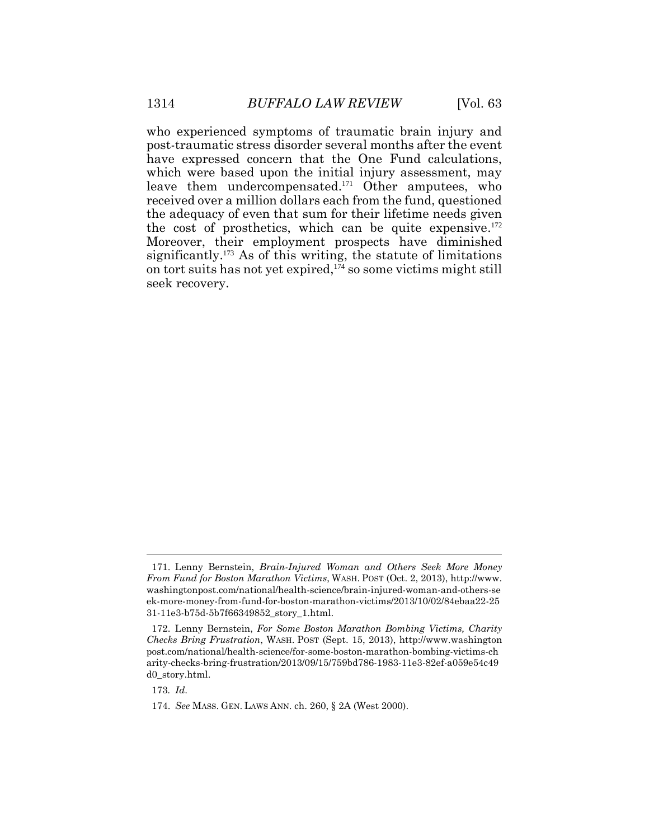who experienced symptoms of traumatic brain injury and post-traumatic stress disorder several months after the event have expressed concern that the One Fund calculations, which were based upon the initial injury assessment, may leave them undercompensated. <sup>171</sup> Other amputees, who received over a million dollars each from the fund, questioned the adequacy of even that sum for their lifetime needs given the cost of prosthetics, which can be quite expensive. 172 Moreover, their employment prospects have diminished significantly.<sup>173</sup> As of this writing, the statute of limitations on tort suits has not yet expired, <sup>174</sup> so some victims might still seek recovery.

<sup>171.</sup> Lenny Bernstein, *Brain-Injured Woman and Others Seek More Money From Fund for Boston Marathon Victims*, WASH. POST (Oct. 2, 2013), http://www. washingtonpost.com/national/health-science/brain-injured-woman-and-others-se ek-more-money-from-fund-for-boston-marathon-victims/2013/10/02/84ebaa22-25 31-11e3-b75d-5b7f66349852\_story\_1.html.

<sup>172.</sup> Lenny Bernstein, *For Some Boston Marathon Bombing Victims, Charity Checks Bring Frustration*, WASH. POST (Sept. 15, 2013), http://www.washington post.com/national/health-science/for-some-boston-marathon-bombing-victims-ch arity-checks-bring-frustration/2013/09/15/759bd786-1983-11e3-82ef-a059e54c49 d0\_story.html.

<sup>173</sup>*. Id*.

<sup>174.</sup> *See* MASS. GEN. LAWS ANN. ch. 260, § 2A (West 2000).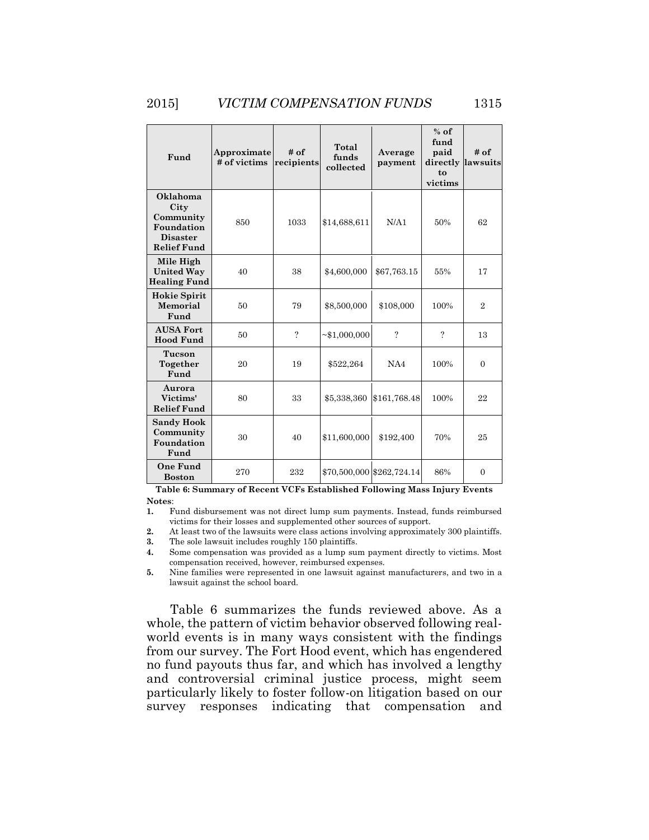| Fund                                                                                 | Approximate<br># of victims | # of<br>recipients | Total<br>funds<br>collected | Average<br>payment        | $%$ of<br>fund<br>paid<br>directly lawsuits<br>to<br>victims | # of           |
|--------------------------------------------------------------------------------------|-----------------------------|--------------------|-----------------------------|---------------------------|--------------------------------------------------------------|----------------|
| Oklahoma<br>City<br>Community<br>Foundation<br><b>Disaster</b><br><b>Relief Fund</b> | 850                         | 1033               | \$14,688,611                | N/A1                      | 50%                                                          | 62             |
| Mile High<br><b>United Way</b><br><b>Healing Fund</b>                                | 40                          | 38                 | \$4,600,000                 | \$67,763.15               | 55%                                                          | 17             |
| <b>Hokie Spirit</b><br>Memorial<br>Fund                                              | 50                          | 79                 | \$8,500,000                 | \$108,000                 | 100%                                                         | $\overline{2}$ |
| <b>AUSA Fort</b><br><b>Hood Fund</b>                                                 | 50                          | $\gamma$           | $\sim$ \$1,000,000          | $\overline{?}$            | 9                                                            | 13             |
| Tucson<br>Together<br>Fund                                                           | 20                          | 19                 | \$522,264                   | NA4                       | 100%                                                         | $\overline{0}$ |
| Aurora<br>Victims'<br><b>Relief Fund</b>                                             | 80                          | 33                 | \$5,338,360                 | \$161,768.48              | 100%                                                         | 22             |
| <b>Sandy Hook</b><br>Community<br>Foundation<br>Fund                                 | 30                          | 40                 | \$11,600,000                | \$192,400                 | 70%                                                          | 25             |
| <b>One Fund</b><br><b>Boston</b>                                                     | 270                         | 232                |                             | \$70,500,000 \$262,724.14 | 86%                                                          | $\overline{0}$ |

**Table 6: Summary of Recent VCFs Established Following Mass Injury Events Notes**:

**1.** Fund disbursement was not direct lump sum payments. Instead, funds reimbursed victims for their losses and supplemented other sources of support.

**2.** At least two of the lawsuits were class actions involving approximately 300 plaintiffs.

**3.** The sole lawsuit includes roughly 150 plaintiffs.

**4.** Some compensation was provided as a lump sum payment directly to victims. Most compensation received, however, reimbursed expenses.

**5.** Nine families were represented in one lawsuit against manufacturers, and two in a lawsuit against the school board.

Table 6 summarizes the funds reviewed above. As a whole, the pattern of victim behavior observed following realworld events is in many ways consistent with the findings from our survey. The Fort Hood event, which has engendered no fund payouts thus far, and which has involved a lengthy and controversial criminal justice process, might seem particularly likely to foster follow-on litigation based on our survey responses indicating that compensation and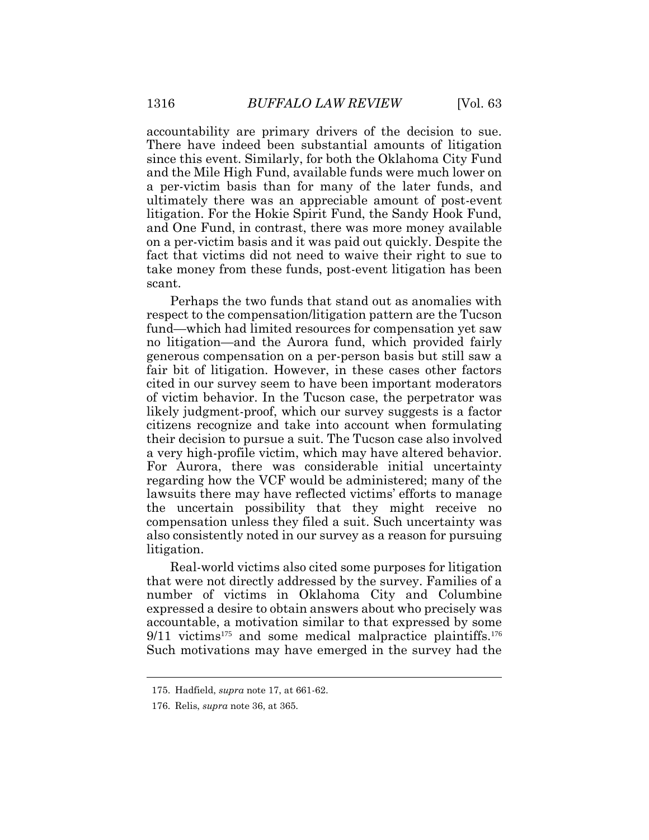accountability are primary drivers of the decision to sue. There have indeed been substantial amounts of litigation since this event. Similarly, for both the Oklahoma City Fund and the Mile High Fund, available funds were much lower on a per-victim basis than for many of the later funds, and ultimately there was an appreciable amount of post-event litigation. For the Hokie Spirit Fund, the Sandy Hook Fund, and One Fund, in contrast, there was more money available on a per-victim basis and it was paid out quickly. Despite the fact that victims did not need to waive their right to sue to take money from these funds, post-event litigation has been scant.

Perhaps the two funds that stand out as anomalies with respect to the compensation/litigation pattern are the Tucson fund—which had limited resources for compensation yet saw no litigation—and the Aurora fund, which provided fairly generous compensation on a per-person basis but still saw a fair bit of litigation. However, in these cases other factors cited in our survey seem to have been important moderators of victim behavior. In the Tucson case, the perpetrator was likely judgment-proof, which our survey suggests is a factor citizens recognize and take into account when formulating their decision to pursue a suit. The Tucson case also involved a very high-profile victim, which may have altered behavior. For Aurora, there was considerable initial uncertainty regarding how the VCF would be administered; many of the lawsuits there may have reflected victims' efforts to manage the uncertain possibility that they might receive no compensation unless they filed a suit. Such uncertainty was also consistently noted in our survey as a reason for pursuing litigation.

Real-world victims also cited some purposes for litigation that were not directly addressed by the survey. Families of a number of victims in Oklahoma City and Columbine expressed a desire to obtain answers about who precisely was accountable, a motivation similar to that expressed by some  $9/11$  victims<sup>175</sup> and some medical malpractice plaintiffs.<sup>176</sup> Such motivations may have emerged in the survey had the

<sup>175.</sup> Hadfield, *supra* note 17, at 661-62.

<sup>176.</sup> Relis, *supra* note 36, at 365.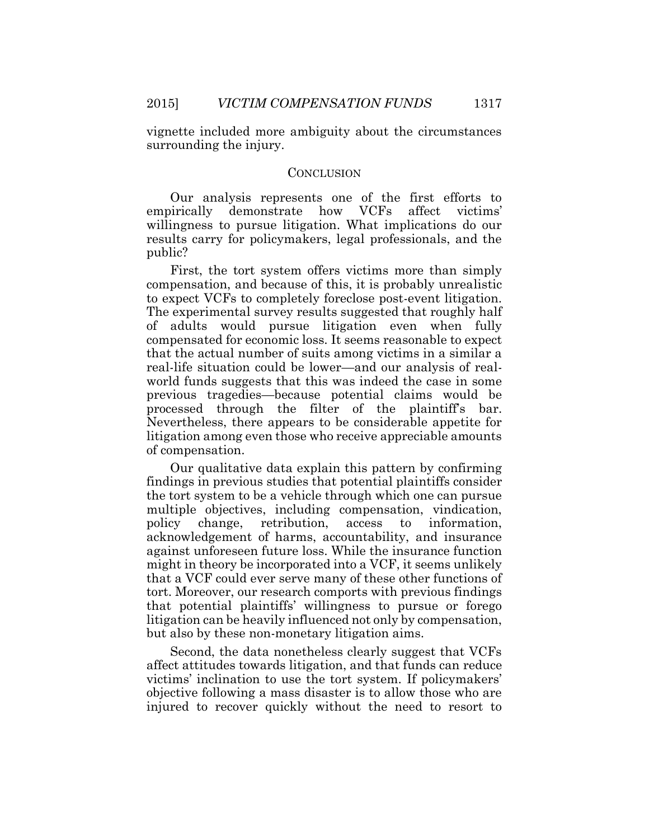vignette included more ambiguity about the circumstances surrounding the injury.

#### **CONCLUSION**

Our analysis represents one of the first efforts to empirically demonstrate how VCFs affect victims' willingness to pursue litigation. What implications do our results carry for policymakers, legal professionals, and the public?

First, the tort system offers victims more than simply compensation, and because of this, it is probably unrealistic to expect VCFs to completely foreclose post-event litigation. The experimental survey results suggested that roughly half of adults would pursue litigation even when fully compensated for economic loss. It seems reasonable to expect that the actual number of suits among victims in a similar a real-life situation could be lower—and our analysis of realworld funds suggests that this was indeed the case in some previous tragedies—because potential claims would be processed through the filter of the plaintiff's bar. Nevertheless, there appears to be considerable appetite for litigation among even those who receive appreciable amounts of compensation.

Our qualitative data explain this pattern by confirming findings in previous studies that potential plaintiffs consider the tort system to be a vehicle through which one can pursue multiple objectives, including compensation, vindication, policy change, retribution, access to information, acknowledgement of harms, accountability, and insurance against unforeseen future loss. While the insurance function might in theory be incorporated into a VCF, it seems unlikely that a VCF could ever serve many of these other functions of tort. Moreover, our research comports with previous findings that potential plaintiffs' willingness to pursue or forego litigation can be heavily influenced not only by compensation, but also by these non-monetary litigation aims.

Second, the data nonetheless clearly suggest that VCFs affect attitudes towards litigation, and that funds can reduce victims' inclination to use the tort system. If policymakers' objective following a mass disaster is to allow those who are injured to recover quickly without the need to resort to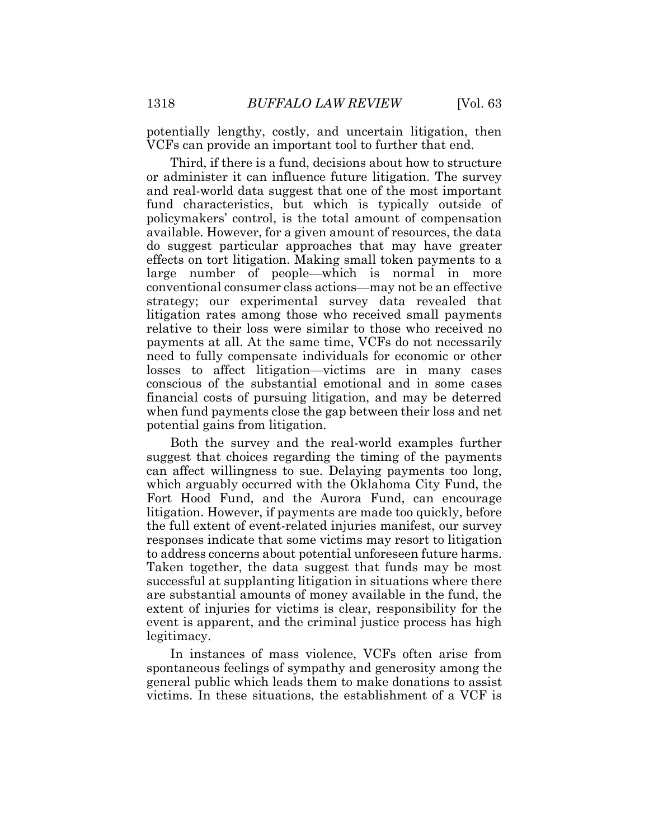potentially lengthy, costly, and uncertain litigation, then VCFs can provide an important tool to further that end.

Third, if there is a fund, decisions about how to structure or administer it can influence future litigation. The survey and real-world data suggest that one of the most important fund characteristics, but which is typically outside of policymakers' control, is the total amount of compensation available. However, for a given amount of resources, the data do suggest particular approaches that may have greater effects on tort litigation. Making small token payments to a large number of people—which is normal in more conventional consumer class actions—may not be an effective strategy; our experimental survey data revealed that litigation rates among those who received small payments relative to their loss were similar to those who received no payments at all. At the same time, VCFs do not necessarily need to fully compensate individuals for economic or other losses to affect litigation—victims are in many cases conscious of the substantial emotional and in some cases financial costs of pursuing litigation, and may be deterred when fund payments close the gap between their loss and net potential gains from litigation.

Both the survey and the real-world examples further suggest that choices regarding the timing of the payments can affect willingness to sue. Delaying payments too long, which arguably occurred with the Oklahoma City Fund, the Fort Hood Fund, and the Aurora Fund, can encourage litigation. However, if payments are made too quickly, before the full extent of event-related injuries manifest, our survey responses indicate that some victims may resort to litigation to address concerns about potential unforeseen future harms. Taken together, the data suggest that funds may be most successful at supplanting litigation in situations where there are substantial amounts of money available in the fund, the extent of injuries for victims is clear, responsibility for the event is apparent, and the criminal justice process has high legitimacy.

In instances of mass violence, VCFs often arise from spontaneous feelings of sympathy and generosity among the general public which leads them to make donations to assist victims. In these situations, the establishment of a VCF is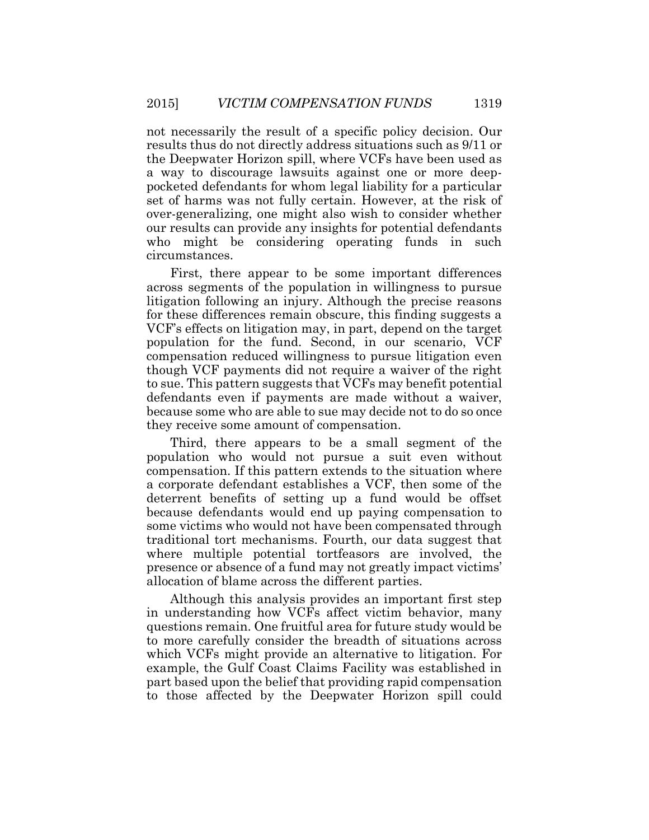not necessarily the result of a specific policy decision. Our results thus do not directly address situations such as 9/11 or the Deepwater Horizon spill, where VCFs have been used as a way to discourage lawsuits against one or more deeppocketed defendants for whom legal liability for a particular set of harms was not fully certain. However, at the risk of over-generalizing, one might also wish to consider whether our results can provide any insights for potential defendants who might be considering operating funds in such circumstances.

First, there appear to be some important differences across segments of the population in willingness to pursue litigation following an injury. Although the precise reasons for these differences remain obscure, this finding suggests a VCF's effects on litigation may, in part, depend on the target population for the fund. Second, in our scenario, VCF compensation reduced willingness to pursue litigation even though VCF payments did not require a waiver of the right to sue. This pattern suggests that VCFs may benefit potential defendants even if payments are made without a waiver, because some who are able to sue may decide not to do so once they receive some amount of compensation.

Third, there appears to be a small segment of the population who would not pursue a suit even without compensation. If this pattern extends to the situation where a corporate defendant establishes a VCF, then some of the deterrent benefits of setting up a fund would be offset because defendants would end up paying compensation to some victims who would not have been compensated through traditional tort mechanisms. Fourth, our data suggest that where multiple potential tortfeasors are involved, the presence or absence of a fund may not greatly impact victims' allocation of blame across the different parties.

Although this analysis provides an important first step in understanding how VCFs affect victim behavior, many questions remain. One fruitful area for future study would be to more carefully consider the breadth of situations across which VCFs might provide an alternative to litigation. For example, the Gulf Coast Claims Facility was established in part based upon the belief that providing rapid compensation to those affected by the Deepwater Horizon spill could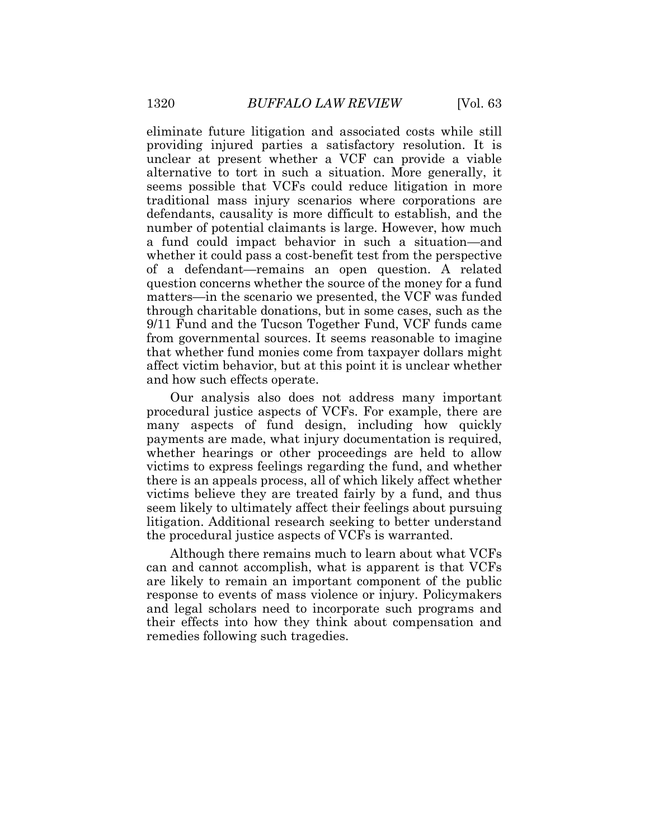eliminate future litigation and associated costs while still providing injured parties a satisfactory resolution. It is unclear at present whether a VCF can provide a viable alternative to tort in such a situation. More generally, it seems possible that VCFs could reduce litigation in more traditional mass injury scenarios where corporations are defendants, causality is more difficult to establish, and the number of potential claimants is large. However, how much a fund could impact behavior in such a situation—and whether it could pass a cost-benefit test from the perspective of a defendant—remains an open question. A related question concerns whether the source of the money for a fund matters—in the scenario we presented, the VCF was funded through charitable donations, but in some cases, such as the 9/11 Fund and the Tucson Together Fund, VCF funds came from governmental sources. It seems reasonable to imagine that whether fund monies come from taxpayer dollars might affect victim behavior, but at this point it is unclear whether and how such effects operate.

Our analysis also does not address many important procedural justice aspects of VCFs. For example, there are many aspects of fund design, including how quickly payments are made, what injury documentation is required, whether hearings or other proceedings are held to allow victims to express feelings regarding the fund, and whether there is an appeals process, all of which likely affect whether victims believe they are treated fairly by a fund, and thus seem likely to ultimately affect their feelings about pursuing litigation. Additional research seeking to better understand the procedural justice aspects of VCFs is warranted.

Although there remains much to learn about what VCFs can and cannot accomplish, what is apparent is that VCFs are likely to remain an important component of the public response to events of mass violence or injury. Policymakers and legal scholars need to incorporate such programs and their effects into how they think about compensation and remedies following such tragedies.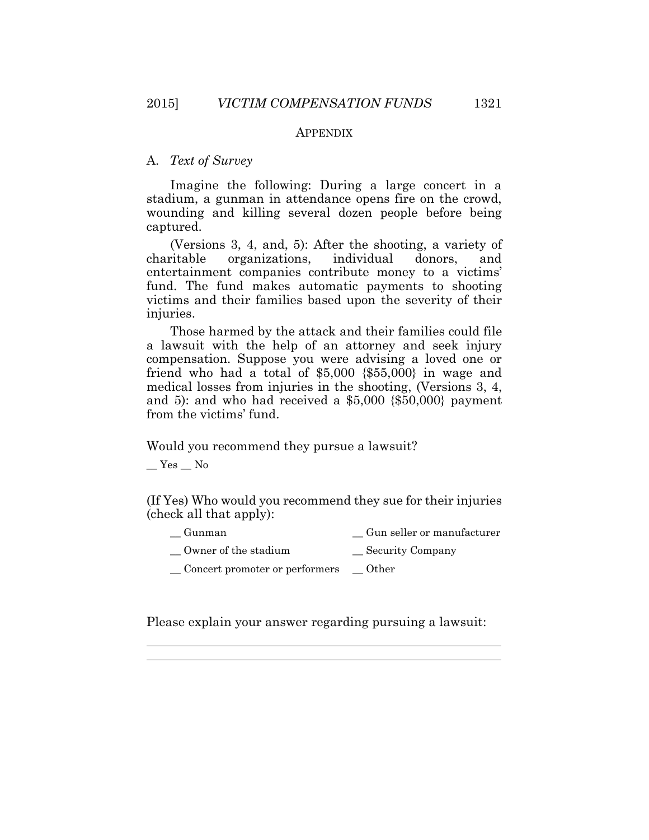#### **APPENDIX**

## A. *Text of Survey*

Imagine the following: During a large concert in a stadium, a gunman in attendance opens fire on the crowd, wounding and killing several dozen people before being captured.

(Versions 3, 4, and, 5): After the shooting, a variety of charitable organizations, individual donors, and entertainment companies contribute money to a victims' fund. The fund makes automatic payments to shooting victims and their families based upon the severity of their injuries.

Those harmed by the attack and their families could file a lawsuit with the help of an attorney and seek injury compensation. Suppose you were advising a loved one or friend who had a total of  $$5,000$   $$55,000$ } in wage and medical losses from injuries in the shooting, (Versions 3, 4, and 5): and who had received a \$5,000 {\$50,000} payment from the victims' fund.

Would you recommend they pursue a lawsuit?

 $\_\ Y$ es  $\_\$  No

 $\overline{a}$  $\overline{a}$ 

(If Yes) Who would you recommend they sue for their injuries (check all that apply):

| Gunman | Gun seller or manufacturer |
|--------|----------------------------|
|        |                            |

- Owner of the stadium Security Company
- \_\_ Concert promoter or performers \_\_ Other

Please explain your answer regarding pursuing a lawsuit: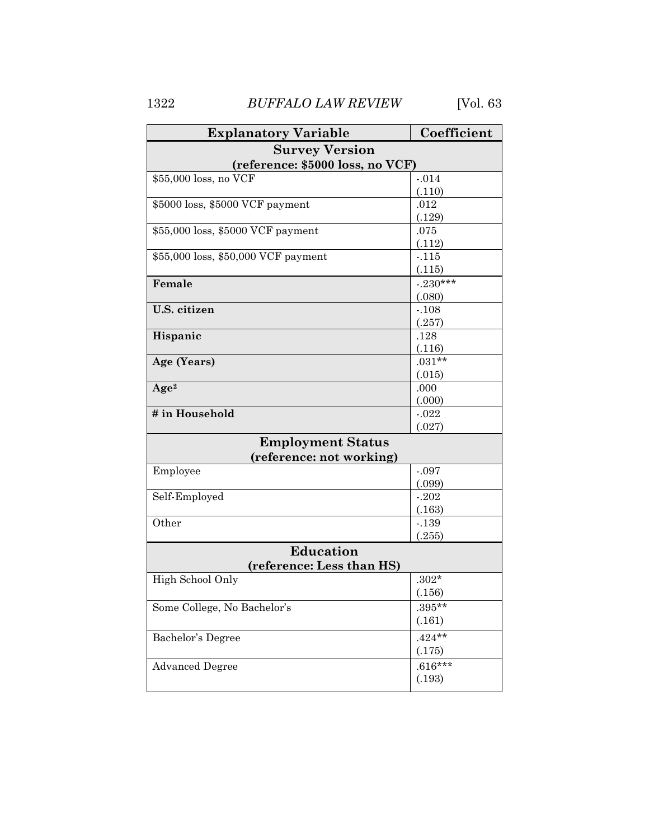1322 *BUFFALO LAW REVIEW* [Vol. 63

| <b>Explanatory Variable</b>         | Coefficient |  |  |  |  |
|-------------------------------------|-------------|--|--|--|--|
| <b>Survey Version</b>               |             |  |  |  |  |
| (reference: \$5000 loss, no VCF)    |             |  |  |  |  |
| \$55,000 loss, no VCF               | $-0.014$    |  |  |  |  |
|                                     | (.110)      |  |  |  |  |
| \$5000 loss, \$5000 VCF payment     | .012        |  |  |  |  |
|                                     | (.129)      |  |  |  |  |
| \$55,000 loss, \$5000 VCF payment   | .075        |  |  |  |  |
|                                     | (.112)      |  |  |  |  |
| \$55,000 loss, \$50,000 VCF payment | $-115$      |  |  |  |  |
|                                     | (.115)      |  |  |  |  |
| Female                              | $-230***$   |  |  |  |  |
|                                     | (.080)      |  |  |  |  |
| U.S. citizen                        | $-.108$     |  |  |  |  |
|                                     | (.257)      |  |  |  |  |
| Hispanic                            | .128        |  |  |  |  |
|                                     | (.116)      |  |  |  |  |
| Age (Years)                         | $.031**$    |  |  |  |  |
|                                     | (.015)      |  |  |  |  |
| Age <sup>2</sup>                    | .000        |  |  |  |  |
|                                     | (.000)      |  |  |  |  |
| # in Household                      | $-0.022$    |  |  |  |  |
|                                     | (.027)      |  |  |  |  |
| <b>Employment Status</b>            |             |  |  |  |  |
| (reference: not working)            |             |  |  |  |  |
| Employee                            | $-.097$     |  |  |  |  |
|                                     | (.099)      |  |  |  |  |
| Self-Employed                       | $-.202$     |  |  |  |  |
|                                     | (.163)      |  |  |  |  |
| Other                               | $-139$      |  |  |  |  |
|                                     | (.255)      |  |  |  |  |
| <b>Education</b>                    |             |  |  |  |  |
| (reference: Less than HS)           |             |  |  |  |  |
| High School Only                    | $.302*$     |  |  |  |  |
|                                     | (.156)      |  |  |  |  |
| Some College, No Bachelor's         | .395**      |  |  |  |  |
|                                     | (.161)      |  |  |  |  |
| Bachelor's Degree                   | $.424**$    |  |  |  |  |
|                                     | (.175)      |  |  |  |  |
| <b>Advanced Degree</b>              | $.616***$   |  |  |  |  |
|                                     | (.193)      |  |  |  |  |
|                                     |             |  |  |  |  |